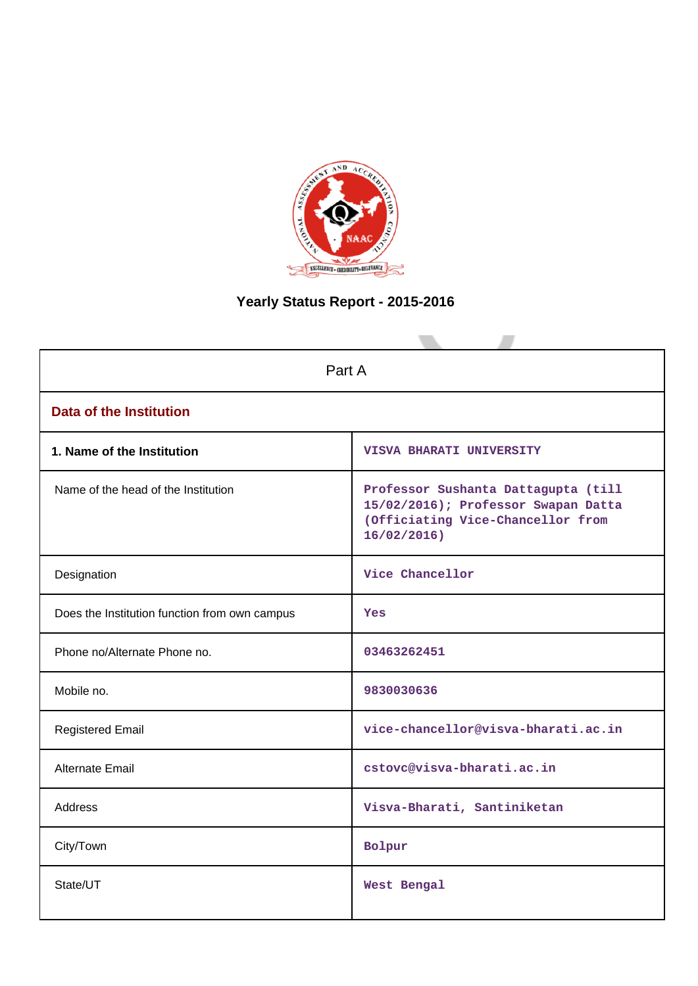

# **Yearly Status Report - 2015-2016**

| Part A                                        |                                                                                                                               |  |  |  |  |
|-----------------------------------------------|-------------------------------------------------------------------------------------------------------------------------------|--|--|--|--|
| <b>Data of the Institution</b>                |                                                                                                                               |  |  |  |  |
| 1. Name of the Institution                    | VISVA BHARATI UNIVERSITY                                                                                                      |  |  |  |  |
| Name of the head of the Institution           | Professor Sushanta Dattagupta (till<br>15/02/2016); Professor Swapan Datta<br>(Officiating Vice-Chancellor from<br>16/02/2016 |  |  |  |  |
| Designation                                   | Vice Chancellor                                                                                                               |  |  |  |  |
| Does the Institution function from own campus | <b>Yes</b>                                                                                                                    |  |  |  |  |
| Phone no/Alternate Phone no.                  | 03463262451                                                                                                                   |  |  |  |  |
| Mobile no.                                    | 9830030636                                                                                                                    |  |  |  |  |
| <b>Registered Email</b>                       | vice-chancellor@visva-bharati.ac.in                                                                                           |  |  |  |  |
| Alternate Email                               | cstovc@visva-bharati.ac.in                                                                                                    |  |  |  |  |
| <b>Address</b>                                | Visva-Bharati, Santiniketan                                                                                                   |  |  |  |  |
| City/Town                                     | Bolpur                                                                                                                        |  |  |  |  |
| State/UT                                      | West Bengal                                                                                                                   |  |  |  |  |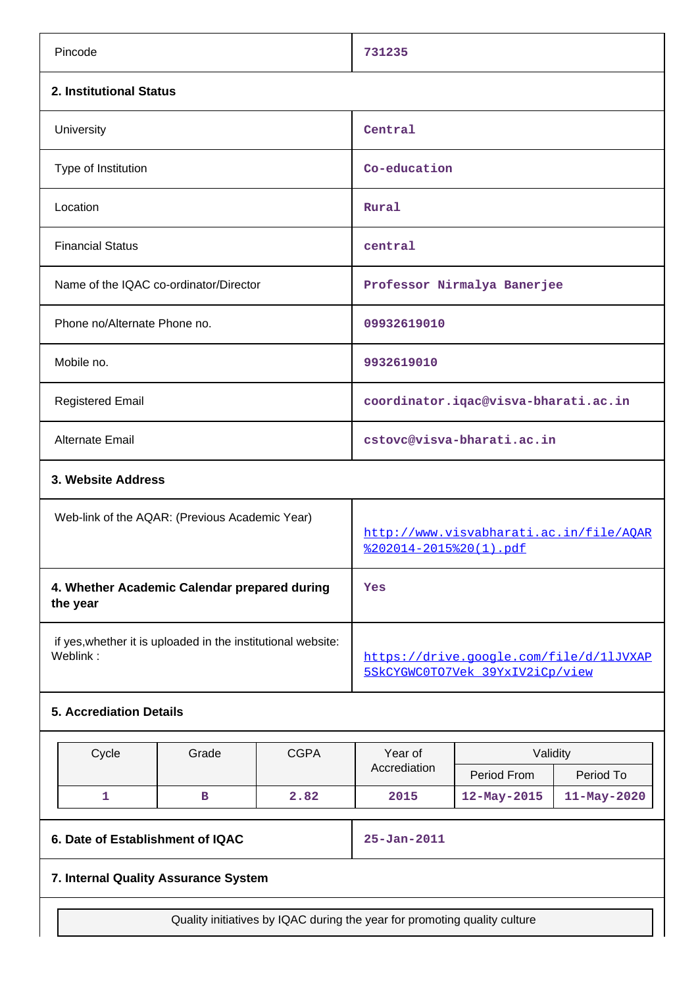| Pincode                                                                  | 731235                                                                     |  |  |  |
|--------------------------------------------------------------------------|----------------------------------------------------------------------------|--|--|--|
| 2. Institutional Status                                                  |                                                                            |  |  |  |
| University                                                               | Central                                                                    |  |  |  |
| Type of Institution                                                      | Co-education                                                               |  |  |  |
| Location                                                                 | Rural                                                                      |  |  |  |
| <b>Financial Status</b>                                                  | central                                                                    |  |  |  |
| Name of the IQAC co-ordinator/Director                                   | Professor Nirmalya Banerjee                                                |  |  |  |
| Phone no/Alternate Phone no.                                             | 09932619010                                                                |  |  |  |
| Mobile no.                                                               | 9932619010                                                                 |  |  |  |
| <b>Registered Email</b>                                                  | coordinator.iqac@visva-bharati.ac.in                                       |  |  |  |
| <b>Alternate Email</b>                                                   | cstovc@visva-bharati.ac.in                                                 |  |  |  |
| 3. Website Address                                                       |                                                                            |  |  |  |
| Web-link of the AQAR: (Previous Academic Year)                           | http://www.visvabharati.ac.in/file/AOAR<br><u> %202014-2015%20(1).pdf</u>  |  |  |  |
| 4. Whether Academic Calendar prepared during<br>the year                 | Yes                                                                        |  |  |  |
| if yes, whether it is uploaded in the institutional website:<br>Weblink: | https://drive.google.com/file/d/11JVXAP<br>5SkCYGWC0TO7Vek 39YxIV2iCp/view |  |  |  |
| <b>5. Accrediation Details</b>                                           |                                                                            |  |  |  |

| Cvcle | Grade | CGPA<br>Validitv<br>Year of |              |                   |                   |
|-------|-------|-----------------------------|--------------|-------------------|-------------------|
|       |       |                             | Accrediation | Period From       | Period To         |
|       |       | 2.82                        | 2015         | $12 - May - 2015$ | $11 - May - 2020$ |

# **6. Date of Establishment of IQAC 25-Jan-2011**

# **7. Internal Quality Assurance System**

Quality initiatives by IQAC during the year for promoting quality culture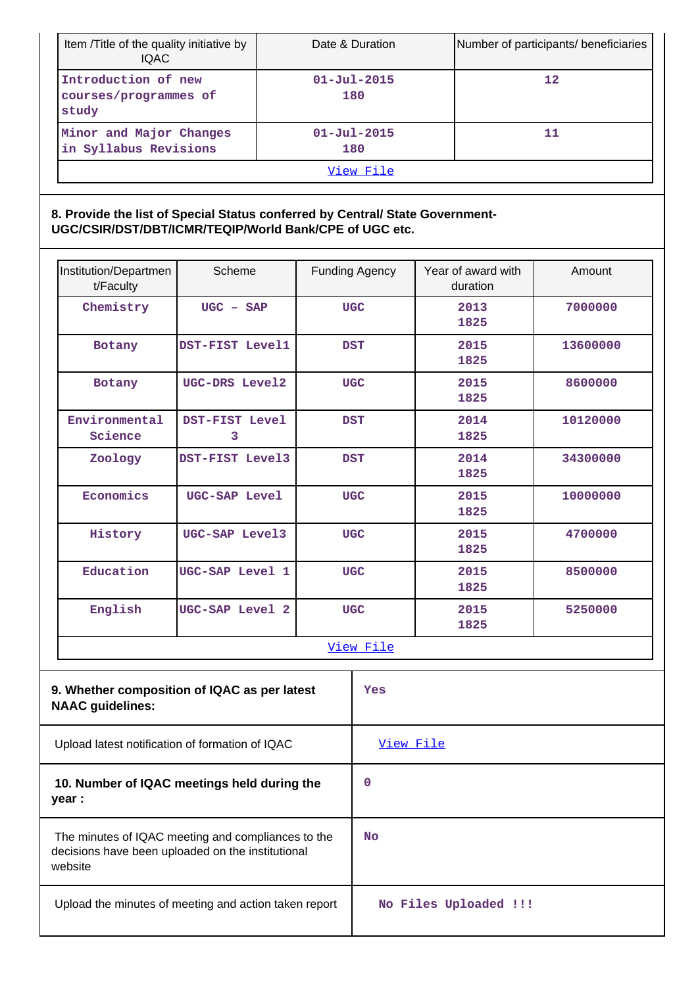| Item /Title of the quality initiative by<br><b>IQAC</b> | Date & Duration          | Number of participants/ beneficiaries |  |  |
|---------------------------------------------------------|--------------------------|---------------------------------------|--|--|
| Introduction of new<br>courses/programmes of<br>study   | $01 - Ju1 - 2015$<br>180 | 12                                    |  |  |
| Minor and Major Changes<br>in Syllabus Revisions        | $01 - Ju1 - 2015$<br>180 | 11                                    |  |  |
| View File                                               |                          |                                       |  |  |

## **8. Provide the list of Special Status conferred by Central/ State Government-UGC/CSIR/DST/DBT/ICMR/TEQIP/World Bank/CPE of UGC etc.**

| Institution/Departmen<br>t/Faculty                                                                                 | Scheme                                          | <b>Funding Agency</b> |                       | Year of award with<br>duration | Amount   |
|--------------------------------------------------------------------------------------------------------------------|-------------------------------------------------|-----------------------|-----------------------|--------------------------------|----------|
| Chemistry                                                                                                          | $UGC - SAP$                                     | <b>UGC</b>            |                       | 2013<br>1825                   | 7000000  |
| Botany                                                                                                             | DST-FIST Level1                                 | <b>DST</b>            |                       | 2015<br>1825                   | 13600000 |
| Botany                                                                                                             | UGC-DRS Level2                                  |                       | <b>UGC</b>            | 2015<br>1825                   | 8600000  |
| Environmental<br>Science                                                                                           | DST-FIST Level<br>3                             |                       | <b>DST</b>            | 2014<br>1825                   | 10120000 |
| Zoology                                                                                                            | DST-FIST Level3                                 |                       | <b>DST</b>            | 2014<br>1825                   | 34300000 |
| Economics                                                                                                          | UGC-SAP Level                                   |                       | <b>UGC</b>            | 2015<br>1825                   | 10000000 |
| History                                                                                                            | UGC-SAP Level3                                  | <b>UGC</b>            |                       | 2015<br>1825                   | 4700000  |
| Education                                                                                                          | UGC-SAP Level 1                                 |                       | <b>UGC</b>            | 2015<br>1825                   | 8500000  |
| English                                                                                                            | UGC-SAP Level 2                                 |                       | <b>UGC</b>            | 2015<br>1825                   | 5250000  |
|                                                                                                                    |                                                 | View File             |                       |                                |          |
| 9. Whether composition of IQAC as per latest<br><b>NAAC</b> guidelines:                                            |                                                 | Yes                   |                       |                                |          |
|                                                                                                                    | Upload latest notification of formation of IQAC |                       | View File             |                                |          |
| 10. Number of IQAC meetings held during the<br>year :                                                              |                                                 | 0                     |                       |                                |          |
| The minutes of IQAC meeting and compliances to the<br>decisions have been uploaded on the institutional<br>website |                                                 | <b>No</b>             |                       |                                |          |
| Upload the minutes of meeting and action taken report                                                              |                                                 |                       | No Files Uploaded !!! |                                |          |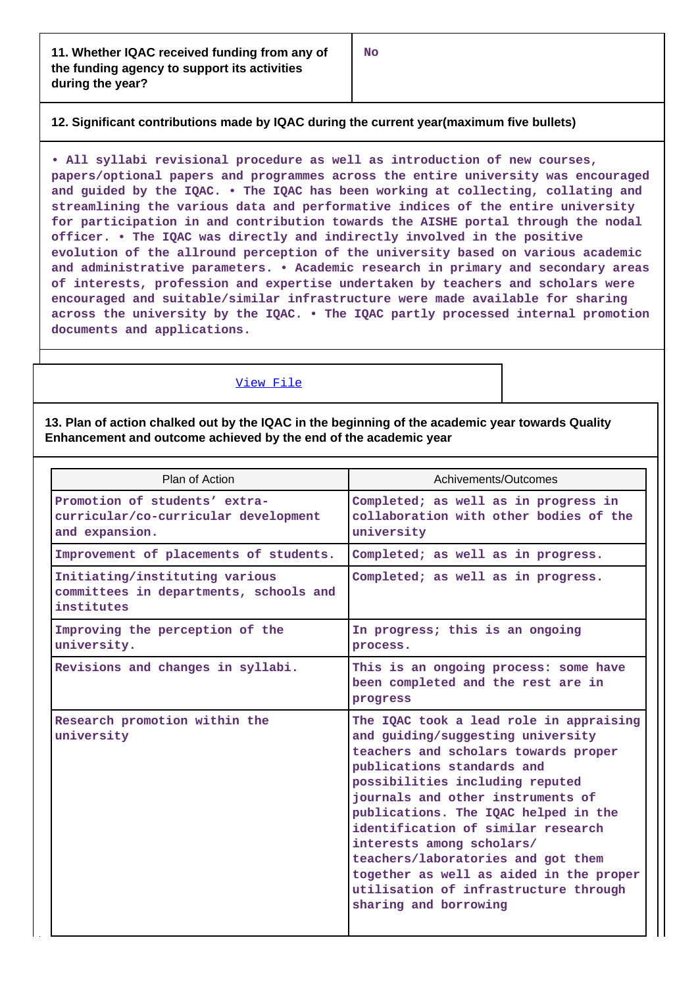## **12. Significant contributions made by IQAC during the current year(maximum five bullets)**

**• All syllabi revisional procedure as well as introduction of new courses, papers/optional papers and programmes across the entire university was encouraged and guided by the IQAC. • The IQAC has been working at collecting, collating and streamlining the various data and performative indices of the entire university for participation in and contribution towards the AISHE portal through the nodal officer. • The IQAC was directly and indirectly involved in the positive evolution of the allround perception of the university based on various academic and administrative parameters. • Academic research in primary and secondary areas of interests, profession and expertise undertaken by teachers and scholars were encouraged and suitable/similar infrastructure were made available for sharing across the university by the IQAC. • The IQAC partly processed internal promotion documents and applications.**

#### [View File](https://assessmentonline.naac.gov.in/public/Postacc/Contribution/7496_Contribution.xlsx)

**13. Plan of action chalked out by the IQAC in the beginning of the academic year towards Quality Enhancement and outcome achieved by the end of the academic year**

| Plan of Action                                                                          | Achivements/Outcomes                                                                                                                                                                                                                                                                                                                                                                                                                                                                     |
|-----------------------------------------------------------------------------------------|------------------------------------------------------------------------------------------------------------------------------------------------------------------------------------------------------------------------------------------------------------------------------------------------------------------------------------------------------------------------------------------------------------------------------------------------------------------------------------------|
| Promotion of students' extra-<br>curricular/co-curricular development<br>and expansion. | Completed; as well as in progress in<br>collaboration with other bodies of the<br>university                                                                                                                                                                                                                                                                                                                                                                                             |
| Improvement of placements of students.                                                  | Completed; as well as in progress.                                                                                                                                                                                                                                                                                                                                                                                                                                                       |
| Initiating/instituting various<br>committees in departments, schools and<br>institutes  | Completed; as well as in progress.                                                                                                                                                                                                                                                                                                                                                                                                                                                       |
| Improving the perception of the<br>university.                                          | In progress; this is an ongoing<br>process.                                                                                                                                                                                                                                                                                                                                                                                                                                              |
| Revisions and changes in syllabi.                                                       | This is an ongoing process: some have<br>been completed and the rest are in<br>progress                                                                                                                                                                                                                                                                                                                                                                                                  |
| Research promotion within the<br>university                                             | The IQAC took a lead role in appraising<br>and guiding/suggesting university<br>teachers and scholars towards proper<br>publications standards and<br>possibilities including reputed<br>journals and other instruments of<br>publications. The IQAC helped in the<br>identification of similar research<br>interests among scholars/<br>teachers/laboratories and got them<br>together as well as aided in the proper<br>utilisation of infrastructure through<br>sharing and borrowing |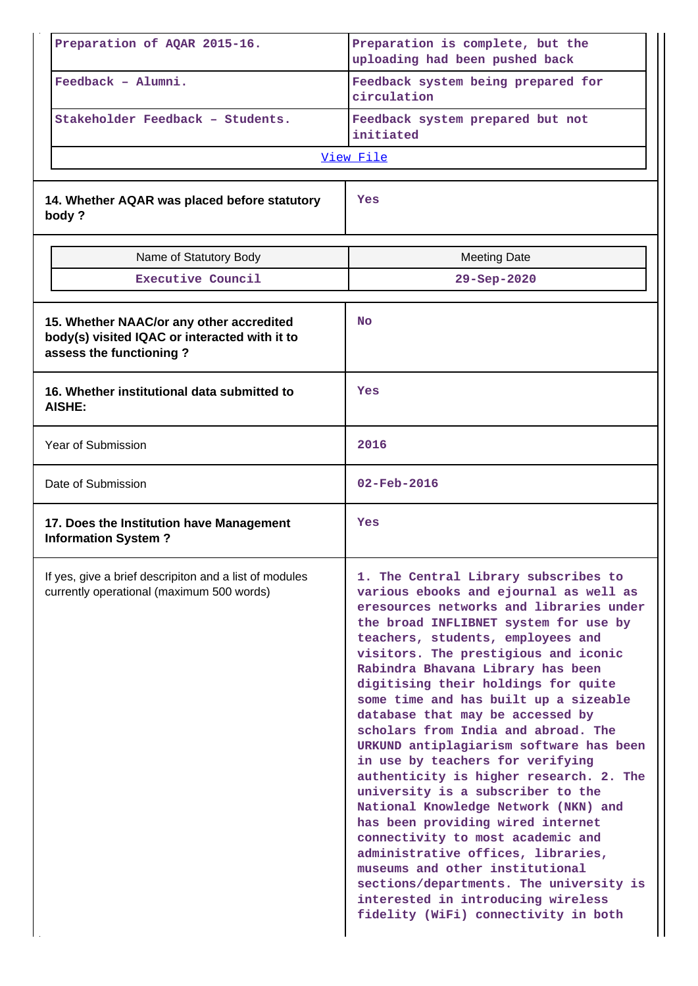| Preparation of AQAR 2015-16.                                                                                         | Preparation is complete, but the<br>uploading had been pushed back                                                                                                                                                                                                                                                                                                                                                                                                                                                                                                                                                                                                                                                                                                                                                                                                                                                                 |  |  |
|----------------------------------------------------------------------------------------------------------------------|------------------------------------------------------------------------------------------------------------------------------------------------------------------------------------------------------------------------------------------------------------------------------------------------------------------------------------------------------------------------------------------------------------------------------------------------------------------------------------------------------------------------------------------------------------------------------------------------------------------------------------------------------------------------------------------------------------------------------------------------------------------------------------------------------------------------------------------------------------------------------------------------------------------------------------|--|--|
| Feedback - Alumni.                                                                                                   | Feedback system being prepared for<br>circulation                                                                                                                                                                                                                                                                                                                                                                                                                                                                                                                                                                                                                                                                                                                                                                                                                                                                                  |  |  |
| Stakeholder Feedback - Students.                                                                                     | Feedback system prepared but not<br>initiated                                                                                                                                                                                                                                                                                                                                                                                                                                                                                                                                                                                                                                                                                                                                                                                                                                                                                      |  |  |
|                                                                                                                      | View File                                                                                                                                                                                                                                                                                                                                                                                                                                                                                                                                                                                                                                                                                                                                                                                                                                                                                                                          |  |  |
|                                                                                                                      |                                                                                                                                                                                                                                                                                                                                                                                                                                                                                                                                                                                                                                                                                                                                                                                                                                                                                                                                    |  |  |
| 14. Whether AQAR was placed before statutory<br>body?                                                                | Yes                                                                                                                                                                                                                                                                                                                                                                                                                                                                                                                                                                                                                                                                                                                                                                                                                                                                                                                                |  |  |
| Name of Statutory Body                                                                                               | <b>Meeting Date</b>                                                                                                                                                                                                                                                                                                                                                                                                                                                                                                                                                                                                                                                                                                                                                                                                                                                                                                                |  |  |
| Executive Council                                                                                                    | 29-Sep-2020                                                                                                                                                                                                                                                                                                                                                                                                                                                                                                                                                                                                                                                                                                                                                                                                                                                                                                                        |  |  |
| 15. Whether NAAC/or any other accredited<br>body(s) visited IQAC or interacted with it to<br>assess the functioning? | <b>No</b>                                                                                                                                                                                                                                                                                                                                                                                                                                                                                                                                                                                                                                                                                                                                                                                                                                                                                                                          |  |  |
| 16. Whether institutional data submitted to<br>AISHE:                                                                | Yes                                                                                                                                                                                                                                                                                                                                                                                                                                                                                                                                                                                                                                                                                                                                                                                                                                                                                                                                |  |  |
| <b>Year of Submission</b>                                                                                            | 2016                                                                                                                                                                                                                                                                                                                                                                                                                                                                                                                                                                                                                                                                                                                                                                                                                                                                                                                               |  |  |
| Date of Submission                                                                                                   | $02 - \text{Feb} - 2016$                                                                                                                                                                                                                                                                                                                                                                                                                                                                                                                                                                                                                                                                                                                                                                                                                                                                                                           |  |  |
| 17. Does the Institution have Management<br><b>Information System?</b>                                               | Yes                                                                                                                                                                                                                                                                                                                                                                                                                                                                                                                                                                                                                                                                                                                                                                                                                                                                                                                                |  |  |
| If yes, give a brief descripiton and a list of modules<br>currently operational (maximum 500 words)                  | 1. The Central Library subscribes to<br>various ebooks and ejournal as well as<br>eresources networks and libraries under<br>the broad INFLIBNET system for use by<br>teachers, students, employees and<br>visitors. The prestigious and iconic<br>Rabindra Bhavana Library has been<br>digitising their holdings for quite<br>some time and has built up a sizeable<br>database that may be accessed by<br>scholars from India and abroad. The<br>URKUND antiplagiarism software has been<br>in use by teachers for verifying<br>authenticity is higher research. 2. The<br>university is a subscriber to the<br>National Knowledge Network (NKN) and<br>has been providing wired internet<br>connectivity to most academic and<br>administrative offices, libraries,<br>museums and other institutional<br>sections/departments. The university is<br>interested in introducing wireless<br>fidelity (WiFi) connectivity in both |  |  |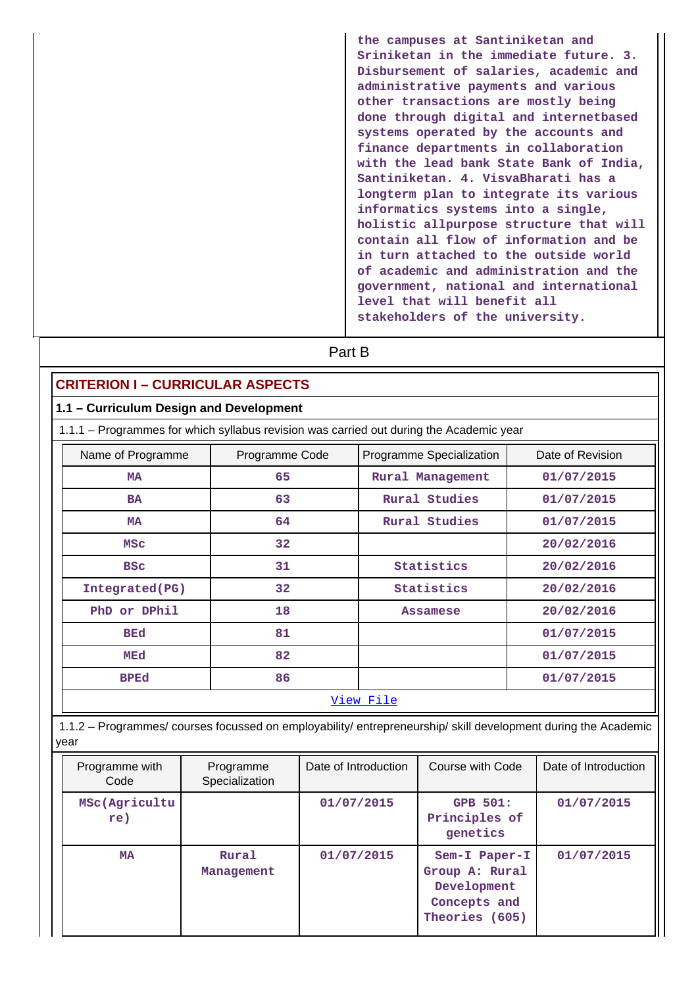| the campuses at Santiniketan and        |
|-----------------------------------------|
| Sriniketan in the immediate future. 3.  |
| Disbursement of salaries, academic and  |
| administrative payments and various     |
| other transactions are mostly being     |
| done through digital and internetbased  |
| systems operated by the accounts and    |
| finance departments in collaboration    |
| with the lead bank State Bank of India, |
| Santiniketan, 4. VisvaBharati has a     |
| longterm plan to integrate its various  |
| informatics systems into a single,      |
| holistic allpurpose structure that will |
| contain all flow of information and be  |
| in turn attached to the outside world   |
| of academic and administration and the  |
| government, national and international  |
| level that will benefit all             |
| stakeholders of the university.         |

| <b>CRITERION I - CURRICULAR ASPECTS</b><br>1.1 - Curriculum Design and Development |                |                                                                                         |                  |
|------------------------------------------------------------------------------------|----------------|-----------------------------------------------------------------------------------------|------------------|
|                                                                                    |                | 1.1.1 - Programmes for which syllabus revision was carried out during the Academic year |                  |
|                                                                                    |                |                                                                                         |                  |
| Name of Programme                                                                  | Programme Code | Programme Specialization                                                                | Date of Revision |
| <b>MA</b>                                                                          | 65             | Rural Management                                                                        | 01/07/2015       |
| <b>BA</b>                                                                          | 63             | Rural Studies                                                                           | 01/07/2015       |
| <b>MA</b>                                                                          | 64             | Rural Studies                                                                           | 01/07/2015       |
| <b>MSC</b>                                                                         | 32             |                                                                                         | 20/02/2016       |
| <b>BSC</b>                                                                         | 31             | Statistics                                                                              | 20/02/2016       |
| Integrated(PG)                                                                     | 32             | Statistics                                                                              | 20/02/2016       |
| PhD or DPhil                                                                       | 18             | <b>Assamese</b>                                                                         | 20/02/2016       |
| <b>BEd</b>                                                                         | 81             |                                                                                         | 01/07/2015       |
| MEd                                                                                | 82             |                                                                                         | 01/07/2015       |
| <b>BPEd</b>                                                                        | 86             |                                                                                         | 01/07/2015       |

year

| Programme with<br>Code | Programme<br>Specialization | Date of Introduction | Course with Code                                                                 | Date of Introduction |
|------------------------|-----------------------------|----------------------|----------------------------------------------------------------------------------|----------------------|
| MSc(Agricultu<br>re)   |                             | 01/07/2015           | <b>GPB 501:</b><br>Principles of<br>genetics                                     | 01/07/2015           |
| MA                     | Rural<br>Management         | 01/07/2015           | Sem-I Paper-I<br>Group A: Rural<br>Development<br>Concepts and<br>Theories (605) | 01/07/2015           |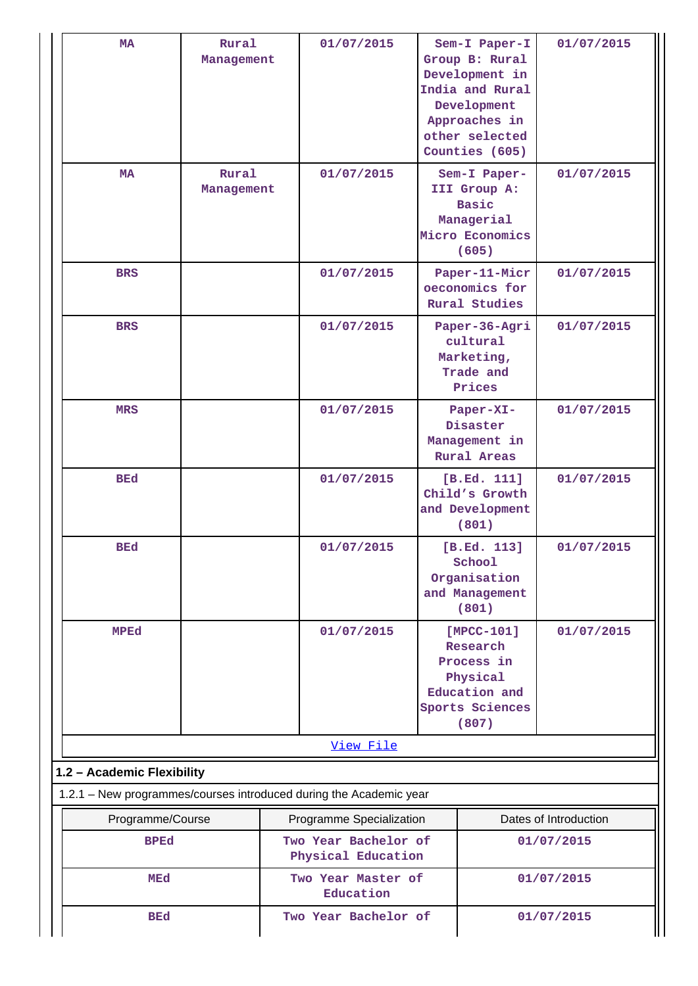| <b>MA</b>                                                          | Rural<br>Management |                                    | 01/07/2015                                 | Sem-I Paper-I<br>Group B: Rural<br>Development in<br>India and Rural<br>Development<br>Approaches in<br>other selected<br>Counties (605) | 01/07/2015            |
|--------------------------------------------------------------------|---------------------|------------------------------------|--------------------------------------------|------------------------------------------------------------------------------------------------------------------------------------------|-----------------------|
| MA                                                                 | Rural<br>Management |                                    | 01/07/2015                                 | Sem-I Paper-<br>III Group A:<br><b>Basic</b><br>Managerial<br>Micro Economics<br>(605)                                                   | 01/07/2015            |
| <b>BRS</b>                                                         |                     |                                    | 01/07/2015                                 | Paper-11-Micr<br>oeconomics for<br>Rural Studies                                                                                         | 01/07/2015            |
| <b>BRS</b>                                                         |                     |                                    | 01/07/2015                                 | Paper-36-Agri<br>cultural<br>Marketing,<br>Trade and<br>Prices                                                                           | 01/07/2015            |
| <b>MRS</b>                                                         |                     |                                    | 01/07/2015                                 | Paper-XI-<br>Disaster<br>Management in<br><b>Rural Areas</b>                                                                             | 01/07/2015            |
| <b>BEd</b>                                                         |                     |                                    | 01/07/2015                                 | [B.Ed. 111]<br>Child's Growth<br>and Development<br>(801)                                                                                | 01/07/2015            |
| <b>BEd</b>                                                         |                     |                                    | 01/07/2015                                 | [B.Ed. 113]<br>School<br>Organisation<br>and Management<br>(801)                                                                         | 01/07/2015            |
| <b>MPEd</b>                                                        |                     |                                    | 01/07/2015                                 | $[MPCC-101]$<br>Research<br>Process in<br>Physical<br>Education and<br>Sports Sciences<br>(807)                                          | 01/07/2015            |
|                                                                    |                     |                                    | View File                                  |                                                                                                                                          |                       |
| 1.2 - Academic Flexibility                                         |                     |                                    |                                            |                                                                                                                                          |                       |
| 1.2.1 - New programmes/courses introduced during the Academic year |                     |                                    |                                            |                                                                                                                                          |                       |
| Programme/Course                                                   |                     |                                    | Programme Specialization                   |                                                                                                                                          | Dates of Introduction |
| <b>BPEd</b>                                                        |                     |                                    | Two Year Bachelor of<br>Physical Education |                                                                                                                                          | 01/07/2015            |
| MEd                                                                |                     |                                    | Two Year Master of<br>Education            |                                                                                                                                          | 01/07/2015            |
| <b>BEd</b>                                                         |                     | Two Year Bachelor of<br>01/07/2015 |                                            |                                                                                                                                          |                       |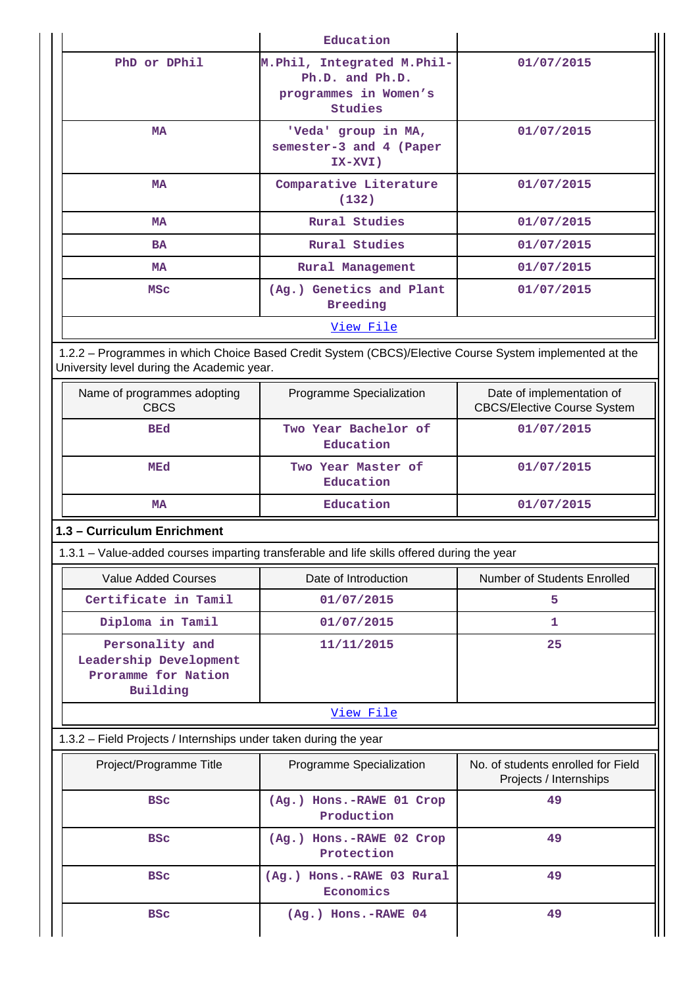|                                                                              | Education                                                                                               |                                                                 |  |  |  |
|------------------------------------------------------------------------------|---------------------------------------------------------------------------------------------------------|-----------------------------------------------------------------|--|--|--|
| PhD or DPhil                                                                 | M. Phil, Integrated M. Phil-<br>Ph.D. and Ph.D.<br>programmes in Women's<br>Studies                     | 01/07/2015                                                      |  |  |  |
| MA                                                                           | 'Veda' group in MA,<br>semester-3 and 4 (Paper<br>IX-XVI)                                               | 01/07/2015                                                      |  |  |  |
| MA                                                                           | Comparative Literature<br>(132)                                                                         | 01/07/2015                                                      |  |  |  |
| MA                                                                           | <b>Rural Studies</b>                                                                                    | 01/07/2015                                                      |  |  |  |
| <b>BA</b>                                                                    | <b>Rural Studies</b>                                                                                    | 01/07/2015                                                      |  |  |  |
| MA                                                                           | Rural Management                                                                                        | 01/07/2015                                                      |  |  |  |
| <b>MSC</b>                                                                   | (Ag.) Genetics and Plant<br><b>Breeding</b>                                                             | 01/07/2015                                                      |  |  |  |
|                                                                              | View File                                                                                               |                                                                 |  |  |  |
| University level during the Academic year.                                   | 1.2.2 - Programmes in which Choice Based Credit System (CBCS)/Elective Course System implemented at the |                                                                 |  |  |  |
| Name of programmes adopting<br><b>CBCS</b>                                   | Programme Specialization                                                                                | Date of implementation of<br><b>CBCS/Elective Course System</b> |  |  |  |
| <b>BEd</b>                                                                   | Two Year Bachelor of<br>Education                                                                       | 01/07/2015                                                      |  |  |  |
| MEd                                                                          | Two Year Master of<br>Education                                                                         | 01/07/2015                                                      |  |  |  |
| MA                                                                           | Education                                                                                               | 01/07/2015                                                      |  |  |  |
| 1.3 - Curriculum Enrichment                                                  |                                                                                                         |                                                                 |  |  |  |
|                                                                              | 1.3.1 - Value-added courses imparting transferable and life skills offered during the year              |                                                                 |  |  |  |
| <b>Value Added Courses</b>                                                   | Date of Introduction                                                                                    | Number of Students Enrolled                                     |  |  |  |
| Certificate in Tamil                                                         | 01/07/2015                                                                                              | 5                                                               |  |  |  |
| Diploma in Tamil                                                             | 01/07/2015                                                                                              | 1                                                               |  |  |  |
| Personality and<br>Leadership Development<br>Proramme for Nation<br>Building | 11/11/2015                                                                                              | 25                                                              |  |  |  |
|                                                                              | View File                                                                                               |                                                                 |  |  |  |
| 1.3.2 - Field Projects / Internships under taken during the year             |                                                                                                         |                                                                 |  |  |  |
| Project/Programme Title                                                      | Programme Specialization                                                                                | No. of students enrolled for Field<br>Projects / Internships    |  |  |  |
| <b>BSC</b>                                                                   | (Ag.) Hons.-RAWE 01 Crop<br>Production                                                                  | 49                                                              |  |  |  |
| <b>BSC</b>                                                                   | (Ag.) Hons.-RAWE 02 Crop<br>Protection                                                                  | 49                                                              |  |  |  |
| <b>BSC</b>                                                                   | (Ag.) Hons.-RAWE 03 Rural<br>Economics                                                                  | 49                                                              |  |  |  |
| <b>BSC</b><br>(Ag.) Hons.-RAWE 04                                            |                                                                                                         | 49                                                              |  |  |  |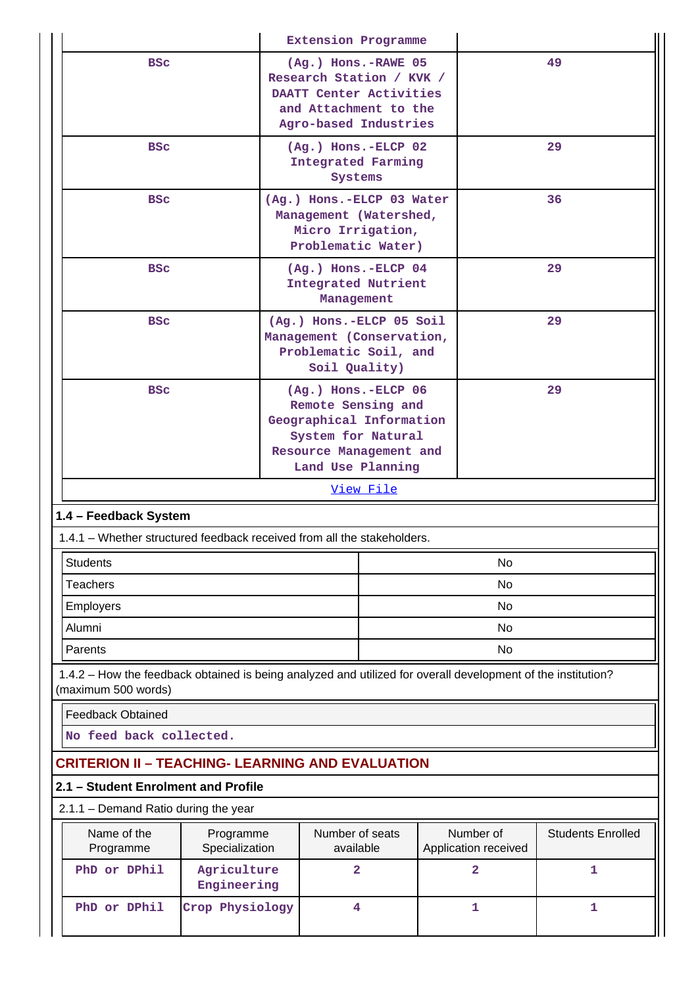|                                                                         |                                                                                                              | Extension Programme                                                                                                                           |           |  |                                   |                          |  |
|-------------------------------------------------------------------------|--------------------------------------------------------------------------------------------------------------|-----------------------------------------------------------------------------------------------------------------------------------------------|-----------|--|-----------------------------------|--------------------------|--|
| <b>BSC</b>                                                              |                                                                                                              | (Ag.) Hons.-RAWE 05<br>Research Station / KVK /<br>DAATT Center Activities<br>and Attachment to the<br>Agro-based Industries                  |           |  |                                   | 49                       |  |
| <b>BSC</b>                                                              |                                                                                                              | $(Ag.)$ Hons.-ELCP 02<br><b>Integrated Farming</b><br>Systems                                                                                 |           |  |                                   | 29                       |  |
| <b>BSC</b>                                                              |                                                                                                              | (Ag.) Hons.-ELCP 03 Water<br>Management (Watershed,<br>Micro Irrigation,<br>Problematic Water)                                                |           |  | 36                                |                          |  |
| <b>BSC</b>                                                              |                                                                                                              | (Ag.) Hons.-ELCP 04<br><b>Integrated Nutrient</b><br>Management                                                                               |           |  |                                   | 29                       |  |
| <b>BSC</b>                                                              |                                                                                                              | (Ag.) Hons.-ELCP 05 Soil<br>Management (Conservation,<br>Problematic Soil, and<br>Soil Quality)                                               |           |  | 29                                |                          |  |
| <b>BSC</b>                                                              |                                                                                                              | $(Ag.)$ Hons.-ELCP 06<br>Remote Sensing and<br>Geographical Information<br>System for Natural<br>Resource Management and<br>Land Use Planning |           |  |                                   | 29                       |  |
|                                                                         |                                                                                                              |                                                                                                                                               | View File |  |                                   |                          |  |
| 1.4 - Feedback System                                                   |                                                                                                              |                                                                                                                                               |           |  |                                   |                          |  |
| 1.4.1 – Whether structured feedback received from all the stakeholders. |                                                                                                              |                                                                                                                                               |           |  |                                   |                          |  |
| <b>Students</b>                                                         |                                                                                                              |                                                                                                                                               |           |  | No                                |                          |  |
| <b>Teachers</b>                                                         |                                                                                                              |                                                                                                                                               |           |  | <b>No</b>                         |                          |  |
| <b>Employers</b>                                                        |                                                                                                              |                                                                                                                                               |           |  | No                                |                          |  |
| Alumni                                                                  |                                                                                                              |                                                                                                                                               |           |  | <b>No</b>                         |                          |  |
| Parents                                                                 |                                                                                                              |                                                                                                                                               |           |  | <b>No</b>                         |                          |  |
| (maximum 500 words)                                                     | 1.4.2 – How the feedback obtained is being analyzed and utilized for overall development of the institution? |                                                                                                                                               |           |  |                                   |                          |  |
| <b>Feedback Obtained</b>                                                |                                                                                                              |                                                                                                                                               |           |  |                                   |                          |  |
| No feed back collected.                                                 |                                                                                                              |                                                                                                                                               |           |  |                                   |                          |  |
| <b>CRITERION II - TEACHING- LEARNING AND EVALUATION</b>                 |                                                                                                              |                                                                                                                                               |           |  |                                   |                          |  |
| 2.1 - Student Enrolment and Profile                                     |                                                                                                              |                                                                                                                                               |           |  |                                   |                          |  |
| 2.1.1 - Demand Ratio during the year                                    |                                                                                                              |                                                                                                                                               |           |  |                                   |                          |  |
| Name of the<br>Programme                                                | Programme<br>Specialization                                                                                  | Number of seats<br>available                                                                                                                  |           |  | Number of<br>Application received | <b>Students Enrolled</b> |  |
| PhD or DPhil                                                            | Agriculture<br>Engineering                                                                                   | $\overline{a}$                                                                                                                                |           |  | 2                                 | 1                        |  |
| PhD or DPhil                                                            | Crop Physiology                                                                                              | 4                                                                                                                                             |           |  | 1                                 | $\mathbf 1$              |  |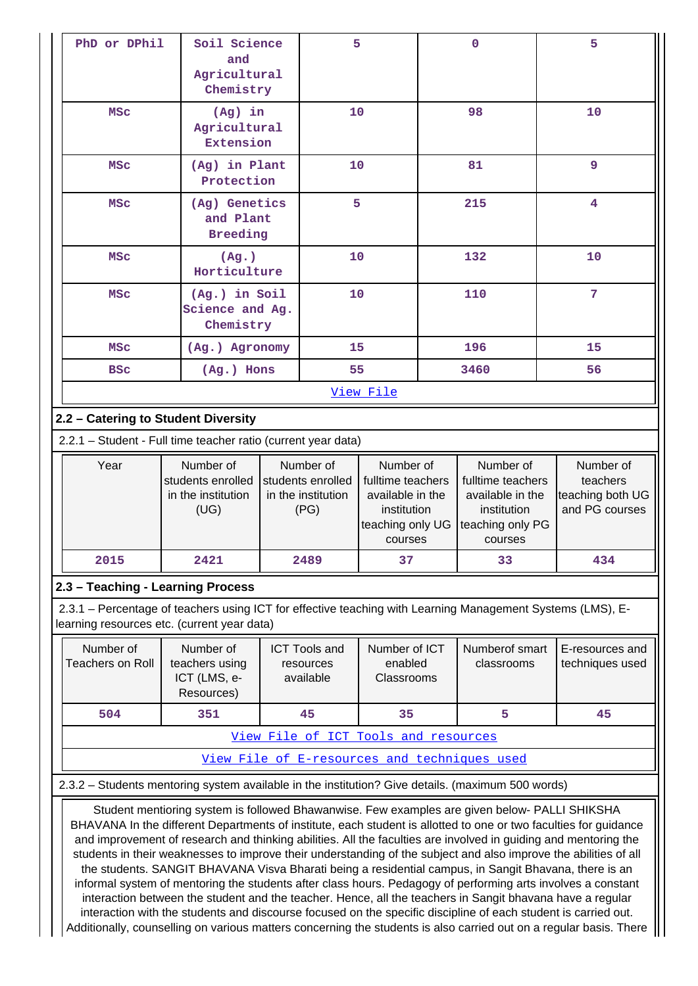| PhD or DPhil                                                                                                                                              | Soil Science                                                                                                                                                                                                                                                                                                                         |                           | 5                                    |                                 |  | $\mathbf 0$                                  | 5                                  |
|-----------------------------------------------------------------------------------------------------------------------------------------------------------|--------------------------------------------------------------------------------------------------------------------------------------------------------------------------------------------------------------------------------------------------------------------------------------------------------------------------------------|---------------------------|--------------------------------------|---------------------------------|--|----------------------------------------------|------------------------------------|
|                                                                                                                                                           | and                                                                                                                                                                                                                                                                                                                                  |                           |                                      |                                 |  |                                              |                                    |
|                                                                                                                                                           | Agricultural                                                                                                                                                                                                                                                                                                                         |                           |                                      |                                 |  |                                              |                                    |
|                                                                                                                                                           |                                                                                                                                                                                                                                                                                                                                      | Chemistry                 |                                      |                                 |  |                                              |                                    |
| <b>MSC</b>                                                                                                                                                |                                                                                                                                                                                                                                                                                                                                      | $(Ag)$ in<br>Agricultural |                                      | 10                              |  | 98                                           | 10                                 |
|                                                                                                                                                           | Extension                                                                                                                                                                                                                                                                                                                            |                           |                                      |                                 |  |                                              |                                    |
| <b>MSC</b>                                                                                                                                                | (Ag) in Plant                                                                                                                                                                                                                                                                                                                        |                           | 10                                   |                                 |  | 81                                           | 9                                  |
|                                                                                                                                                           | Protection                                                                                                                                                                                                                                                                                                                           |                           |                                      |                                 |  |                                              |                                    |
| MSC                                                                                                                                                       | (Ag) Genetics                                                                                                                                                                                                                                                                                                                        |                           | 5                                    |                                 |  | 215                                          | 4                                  |
|                                                                                                                                                           | and Plant<br><b>Breeding</b>                                                                                                                                                                                                                                                                                                         |                           |                                      |                                 |  |                                              |                                    |
| <b>MSC</b>                                                                                                                                                | (Ag.)                                                                                                                                                                                                                                                                                                                                |                           | 10                                   |                                 |  | 132                                          | 10                                 |
|                                                                                                                                                           | Horticulture                                                                                                                                                                                                                                                                                                                         |                           |                                      |                                 |  |                                              |                                    |
| MSC                                                                                                                                                       | (Ag.) in Soil                                                                                                                                                                                                                                                                                                                        |                           | 10                                   |                                 |  | 110                                          | 7                                  |
|                                                                                                                                                           | Science and Ag.<br>Chemistry                                                                                                                                                                                                                                                                                                         |                           |                                      |                                 |  |                                              |                                    |
|                                                                                                                                                           |                                                                                                                                                                                                                                                                                                                                      |                           |                                      |                                 |  |                                              |                                    |
| <b>MSC</b>                                                                                                                                                | (Ag.) Agronomy                                                                                                                                                                                                                                                                                                                       |                           | 15                                   |                                 |  | 196                                          | 15                                 |
| <b>BSC</b>                                                                                                                                                | $(Ag.)$ Hons                                                                                                                                                                                                                                                                                                                         |                           | 55                                   |                                 |  | 3460                                         | 56                                 |
|                                                                                                                                                           |                                                                                                                                                                                                                                                                                                                                      |                           |                                      | View File                       |  |                                              |                                    |
| 2.2 - Catering to Student Diversity                                                                                                                       |                                                                                                                                                                                                                                                                                                                                      |                           |                                      |                                 |  |                                              |                                    |
| 2.2.1 - Student - Full time teacher ratio (current year data)                                                                                             |                                                                                                                                                                                                                                                                                                                                      |                           |                                      |                                 |  |                                              |                                    |
|                                                                                                                                                           |                                                                                                                                                                                                                                                                                                                                      |                           |                                      |                                 |  |                                              |                                    |
| Year                                                                                                                                                      | Number of                                                                                                                                                                                                                                                                                                                            |                           | Number of                            | Number of                       |  | Number of                                    | Number of                          |
|                                                                                                                                                           | students enrolled                                                                                                                                                                                                                                                                                                                    |                           | students enrolled                    | fulltime teachers               |  | fulltime teachers                            | teachers                           |
|                                                                                                                                                           | in the institution<br>(UG)                                                                                                                                                                                                                                                                                                           |                           | in the institution<br>(PG)           | available in the<br>institution |  | available in the<br>institution              | teaching both UG<br>and PG courses |
|                                                                                                                                                           |                                                                                                                                                                                                                                                                                                                                      |                           |                                      | teaching only UG                |  | teaching only PG                             |                                    |
| 2015                                                                                                                                                      | 2421                                                                                                                                                                                                                                                                                                                                 |                           |                                      | courses                         |  | courses                                      |                                    |
|                                                                                                                                                           |                                                                                                                                                                                                                                                                                                                                      |                           | 2489                                 | 37                              |  | 33                                           | 434                                |
| 2.3 - Teaching - Learning Process                                                                                                                         |                                                                                                                                                                                                                                                                                                                                      |                           |                                      |                                 |  |                                              |                                    |
| 2.3.1 – Percentage of teachers using ICT for effective teaching with Learning Management Systems (LMS), E-<br>learning resources etc. (current year data) |                                                                                                                                                                                                                                                                                                                                      |                           |                                      |                                 |  |                                              |                                    |
| Number of                                                                                                                                                 | Number of                                                                                                                                                                                                                                                                                                                            |                           | <b>ICT Tools and</b>                 | Number of ICT                   |  | Numberof smart                               | E-resources and                    |
| <b>Teachers on Roll</b>                                                                                                                                   | teachers using                                                                                                                                                                                                                                                                                                                       |                           | resources                            | enabled                         |  | classrooms                                   | techniques used                    |
|                                                                                                                                                           | ICT (LMS, e-<br>Resources)                                                                                                                                                                                                                                                                                                           |                           | available                            | Classrooms                      |  |                                              |                                    |
| 504                                                                                                                                                       | 351                                                                                                                                                                                                                                                                                                                                  |                           | 45                                   | 35                              |  | 5                                            | 45                                 |
|                                                                                                                                                           |                                                                                                                                                                                                                                                                                                                                      |                           | View File of ICT Tools and resources |                                 |  |                                              |                                    |
|                                                                                                                                                           |                                                                                                                                                                                                                                                                                                                                      |                           |                                      |                                 |  | View File of E-resources and techniques used |                                    |
|                                                                                                                                                           |                                                                                                                                                                                                                                                                                                                                      |                           |                                      |                                 |  |                                              |                                    |
| 2.3.2 – Students mentoring system available in the institution? Give details. (maximum 500 words)                                                         |                                                                                                                                                                                                                                                                                                                                      |                           |                                      |                                 |  |                                              |                                    |
|                                                                                                                                                           | Student mentioring system is followed Bhawanwise. Few examples are given below- PALLI SHIKSHA<br>BHAVANA In the different Departments of institute, each student is allotted to one or two faculties for guidance<br>and improvement of research and thinking abilities. All the faculties are involved in guiding and mentoring the |                           |                                      |                                 |  |                                              |                                    |

students in their weaknesses to improve their understanding of the subject and also improve the abilities of all the students. SANGIT BHAVANA Visva Bharati being a residential campus, in Sangit Bhavana, there is an informal system of mentoring the students after class hours. Pedagogy of performing arts involves a constant interaction between the student and the teacher. Hence, all the teachers in Sangit bhavana have a regular interaction with the students and discourse focused on the specific discipline of each student is carried out. Additionally, counselling on various matters concerning the students is also carried out on a regular basis. There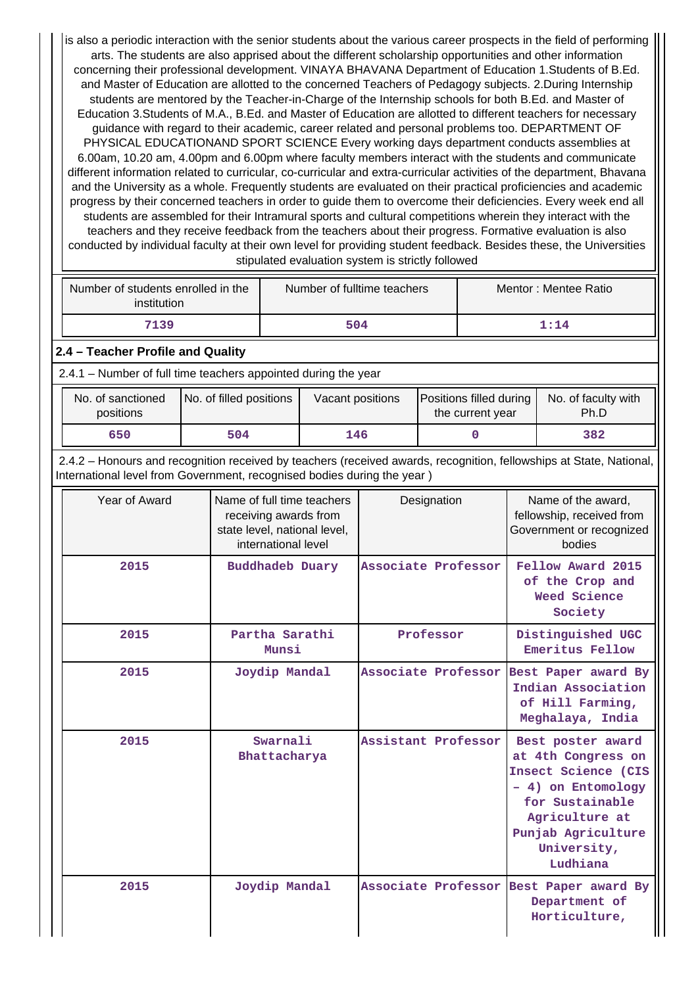is also a periodic interaction with the senior students about the various career prospects in the field of performing arts. The students are also apprised about the different scholarship opportunities and other information concerning their professional development. VINAYA BHAVANA Department of Education 1.Students of B.Ed. and Master of Education are allotted to the concerned Teachers of Pedagogy subjects. 2.During Internship students are mentored by the Teacher-in-Charge of the Internship schools for both B.Ed. and Master of Education 3.Students of M.A., B.Ed. and Master of Education are allotted to different teachers for necessary guidance with regard to their academic, career related and personal problems too. DEPARTMENT OF PHYSICAL EDUCATIONAND SPORT SCIENCE Every working days department conducts assemblies at 6.00am, 10.20 am, 4.00pm and 6.00pm where faculty members interact with the students and communicate different information related to curricular, co-curricular and extra-curricular activities of the department, Bhavana and the University as a whole. Frequently students are evaluated on their practical proficiencies and academic progress by their concerned teachers in order to guide them to overcome their deficiencies. Every week end all students are assembled for their Intramural sports and cultural competitions wherein they interact with the teachers and they receive feedback from the teachers about their progress. Formative evaluation is also conducted by individual faculty at their own level for providing student feedback. Besides these, the Universities stipulated evaluation system is strictly followed

| Number of students enrolled in the<br>institution | Number of fulltime teachers | Mentor: Mentee Ratio |
|---------------------------------------------------|-----------------------------|----------------------|
| 7139                                              | 504                         | 1:14                 |

## **2.4 – Teacher Profile and Quality**

2.4.1 – Number of full time teachers appointed during the year

| No. of sanctioned<br>positions | No. of filled positions | Vacant positions | <b>Positions filled during</b><br>the current year | No. of faculty with<br>Ph.D |
|--------------------------------|-------------------------|------------------|----------------------------------------------------|-----------------------------|
| 650                            | 504                     | 146              |                                                    | 382                         |

 2.4.2 – Honours and recognition received by teachers (received awards, recognition, fellowships at State, National, International level from Government, recognised bodies during the year )

| Year of Award | Name of full time teachers<br>receiving awards from<br>state level, national level,<br>international level | Designation                             | Name of the award.<br>fellowship, received from<br>Government or recognized<br>bodies                                                                                      |
|---------------|------------------------------------------------------------------------------------------------------------|-----------------------------------------|----------------------------------------------------------------------------------------------------------------------------------------------------------------------------|
| 2015          | <b>Buddhadeb Duary</b>                                                                                     | Associate Professor                     | Fellow Award 2015<br>of the Crop and<br>Weed Science<br>Society                                                                                                            |
| 2015          | Partha Sarathi<br>Munsi                                                                                    | Professor                               | Distinguished UGC<br>Emeritus Fellow                                                                                                                                       |
| 2015          | Joydip Mandal                                                                                              | Associate Professor                     | Best Paper award By<br>Indian Association<br>of Hill Farming,<br>Meghalaya, India                                                                                          |
| 2015          | Swarnali<br>Bhattacharya                                                                                   | Assistant Professor                     | Best poster award<br>at 4th Congress on<br>Insect Science (CIS<br>- 4) on Entomology<br>for Sustainable<br>Agriculture at<br>Punjab Agriculture<br>University,<br>Ludhiana |
| 2015          | Joydip Mandal                                                                                              | Associate Professor Best Paper award By | Department of<br>Horticulture,                                                                                                                                             |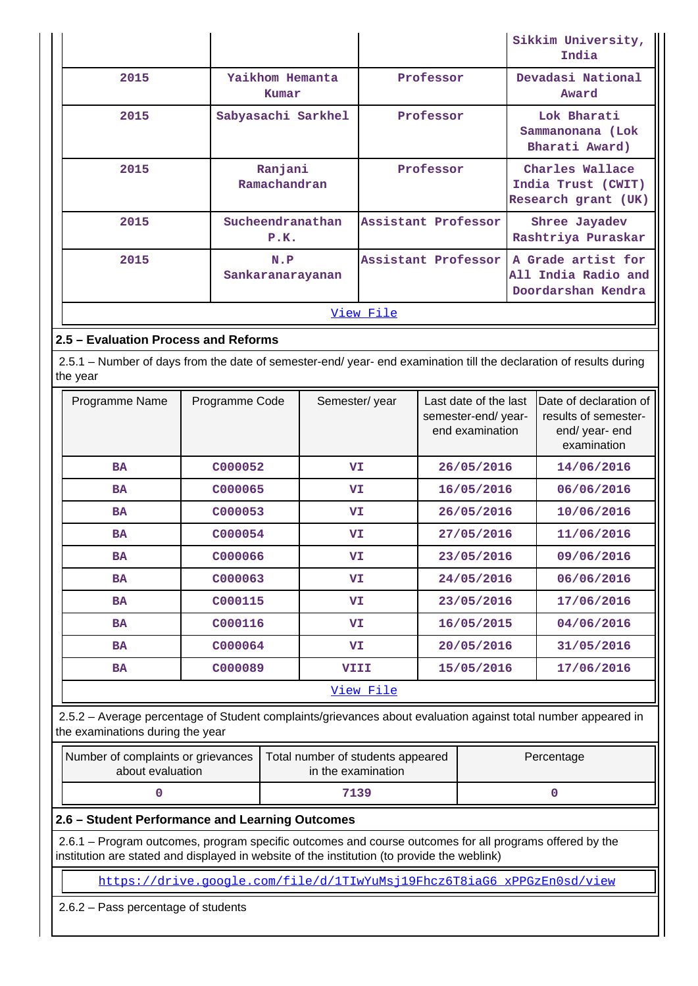|           |                          |                     | Sikkim University,<br>India                                     |  |  |  |  |
|-----------|--------------------------|---------------------|-----------------------------------------------------------------|--|--|--|--|
| 2015      | Yaikhom Hemanta<br>Kumar | Professor           | Devadasi National<br>Award                                      |  |  |  |  |
| 2015      | Sabyasachi Sarkhel       | Professor           | Lok Bharati<br>Sammanonana (Lok<br>Bharati Award)               |  |  |  |  |
| 2015      | Ranjani<br>Ramachandran  | Professor           | Charles Wallace<br>India Trust (CWIT)<br>Research grant (UK)    |  |  |  |  |
| 2015      | Sucheendranathan<br>P.K. | Assistant Professor | Shree Jayadev<br>Rashtriya Puraskar                             |  |  |  |  |
| 2015      | N.P<br>Sankaranarayanan  | Assistant Professor | A Grade artist for<br>All India Radio and<br>Doordarshan Kendra |  |  |  |  |
| View File |                          |                     |                                                                 |  |  |  |  |

## **2.5 – Evaluation Process and Reforms**

 2.5.1 – Number of days from the date of semester-end/ year- end examination till the declaration of results during the year

| Programme Name | Programme Code | Semester/year | Last date of the last<br>semester-end/ year-<br>end examination | Date of declaration of<br>results of semester-<br>end/ year- end<br>examination |
|----------------|----------------|---------------|-----------------------------------------------------------------|---------------------------------------------------------------------------------|
| <b>BA</b>      | C000052        | VI            | 26/05/2016                                                      | 14/06/2016                                                                      |
| <b>BA</b>      | C000065        | VI            | 16/05/2016                                                      | 06/06/2016                                                                      |
| <b>BA</b>      | C000053        | <b>VI</b>     | 26/05/2016                                                      | 10/06/2016                                                                      |
| <b>BA</b>      | C000054        | VI.           | 27/05/2016                                                      | 11/06/2016                                                                      |
| <b>BA</b>      | C000066        | VI            | 23/05/2016                                                      | 09/06/2016                                                                      |
| <b>BA</b>      | C000063        | <b>VI</b>     | 24/05/2016                                                      | 06/06/2016                                                                      |
| <b>BA</b>      | C000115        | VI            | 23/05/2016                                                      | 17/06/2016                                                                      |
| <b>BA</b>      | C000116        | VI            | 16/05/2015                                                      | 04/06/2016                                                                      |
| <b>BA</b>      | C000064        | VI.           | 20/05/2016                                                      | 31/05/2016                                                                      |
| <b>BA</b>      | C000089        | <b>VIII</b>   | 15/05/2016                                                      | 17/06/2016                                                                      |
|                |                | View File     |                                                                 |                                                                                 |

 2.5.2 – Average percentage of Student complaints/grievances about evaluation against total number appeared in the examinations during the year

| Number of complaints or grievances  <br>about evaluation | Total number of students appeared<br>in the examination | Percentage |
|----------------------------------------------------------|---------------------------------------------------------|------------|
|                                                          | 7139                                                    |            |

## **2.6 – Student Performance and Learning Outcomes**

 2.6.1 – Program outcomes, program specific outcomes and course outcomes for all programs offered by the institution are stated and displayed in website of the institution (to provide the weblink)

[https://drive.google.com/file/d/1TIwYuMsj19Fhcz6T8iaG6\\_xPPGzEn0sd/view](https://drive.google.com/file/d/1TIwYuMsj19Fhcz6T8iaG6_xPPGzEn0sd/view)

2.6.2 – Pass percentage of students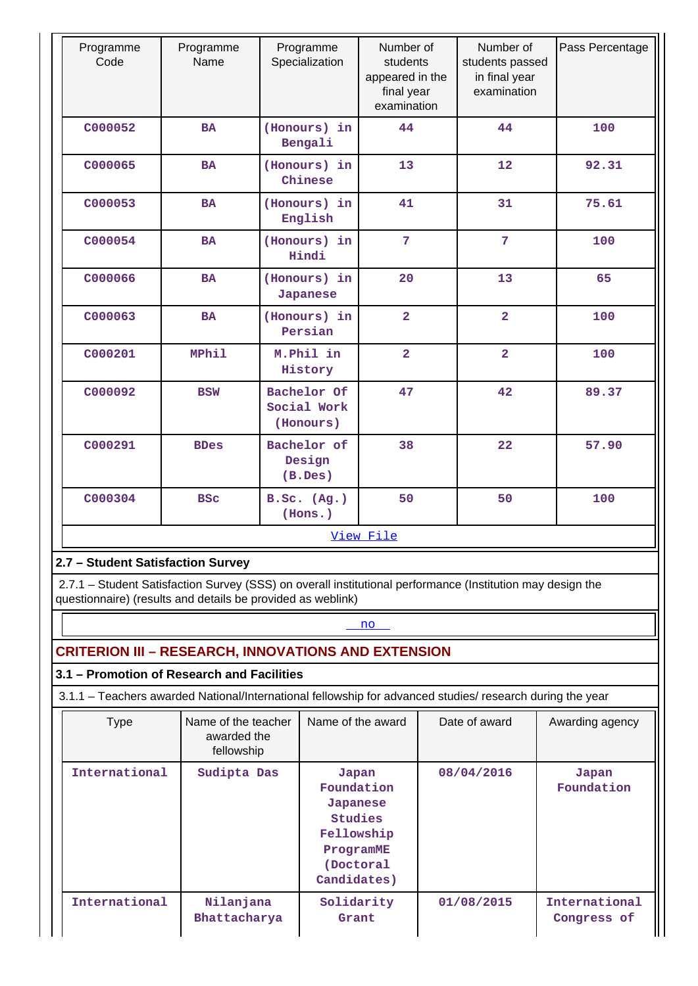| Programme<br>Code                                                                                          | Programme<br>Name                 | Programme<br>Specialization             | Number of<br>students<br>appeared in the<br>final year<br>examination | Number of<br>students passed<br>in final year<br>examination | Pass Percentage |  |  |  |
|------------------------------------------------------------------------------------------------------------|-----------------------------------|-----------------------------------------|-----------------------------------------------------------------------|--------------------------------------------------------------|-----------------|--|--|--|
| C000052                                                                                                    | <b>BA</b>                         | 44<br>(Honours) in<br>Bengali           |                                                                       | 44                                                           | 100             |  |  |  |
| C000065                                                                                                    | <b>BA</b>                         | (Honours) in<br>Chinese                 | 13                                                                    | 12                                                           | 92.31           |  |  |  |
| C000053                                                                                                    | <b>BA</b>                         | (Honours) in<br>English                 | 41                                                                    | 31                                                           | 75.61           |  |  |  |
| C000054                                                                                                    | <b>BA</b>                         | (Honours) in<br>Hindi                   | $\overline{7}$                                                        | $\overline{7}$                                               | 100             |  |  |  |
| C000066                                                                                                    | <b>BA</b>                         | (Honours) in<br>Japanese                | 20                                                                    | 13                                                           | 65              |  |  |  |
| C000063                                                                                                    | <b>BA</b>                         | (Honours) in<br>Persian                 | $\overline{2}$                                                        | $\overline{2}$                                               | 100             |  |  |  |
| C000201                                                                                                    | MPhil                             | M.Phil in<br>History                    | $\overline{2}$                                                        | $\overline{2}$                                               | 100             |  |  |  |
| C000092                                                                                                    | <b>BSW</b>                        | Bachelor Of<br>Social Work<br>(Honours) | 47                                                                    | 42                                                           | 89.37           |  |  |  |
| C000291                                                                                                    | <b>BDes</b>                       | Bachelor of<br>Design<br>(B. Des)       | 38                                                                    | 22                                                           | 57.90           |  |  |  |
| C000304                                                                                                    | <b>BSC</b>                        | B.Sc. (Ag.)<br>(Hons.)                  | 50                                                                    | 50                                                           | 100             |  |  |  |
|                                                                                                            | View File                         |                                         |                                                                       |                                                              |                 |  |  |  |
|                                                                                                            | 2.7 - Student Satisfaction Survey |                                         |                                                                       |                                                              |                 |  |  |  |
| 2.7.1 - Student Satisfaction Survey (SSS) on overall institutional performance (Institution may design the |                                   |                                         |                                                                       |                                                              |                 |  |  |  |

questionnaire) (results and details be provided as weblink)

## <u><no>mode</u>

# **CRITERION III – RESEARCH, INNOVATIONS AND EXTENSION**

**3.1 – Promotion of Research and Facilities**

3.1.1 – Teachers awarded National/International fellowship for advanced studies/ research during the year

| <b>Type</b>   | Name of the teacher<br>awarded the<br>fellowship | Name of the award                                                                                 | Date of award | Awarding agency              |
|---------------|--------------------------------------------------|---------------------------------------------------------------------------------------------------|---------------|------------------------------|
| International | Sudipta Das                                      | Japan<br>Foundation<br>Japanese<br>Studies<br>Fellowship<br>ProgramME<br>(Doctoral<br>Candidates) | 08/04/2016    | Japan<br>Foundation          |
| International | Nilanjana<br>Bhattacharya                        | Solidarity<br>Grant                                                                               | 01/08/2015    | International<br>Congress of |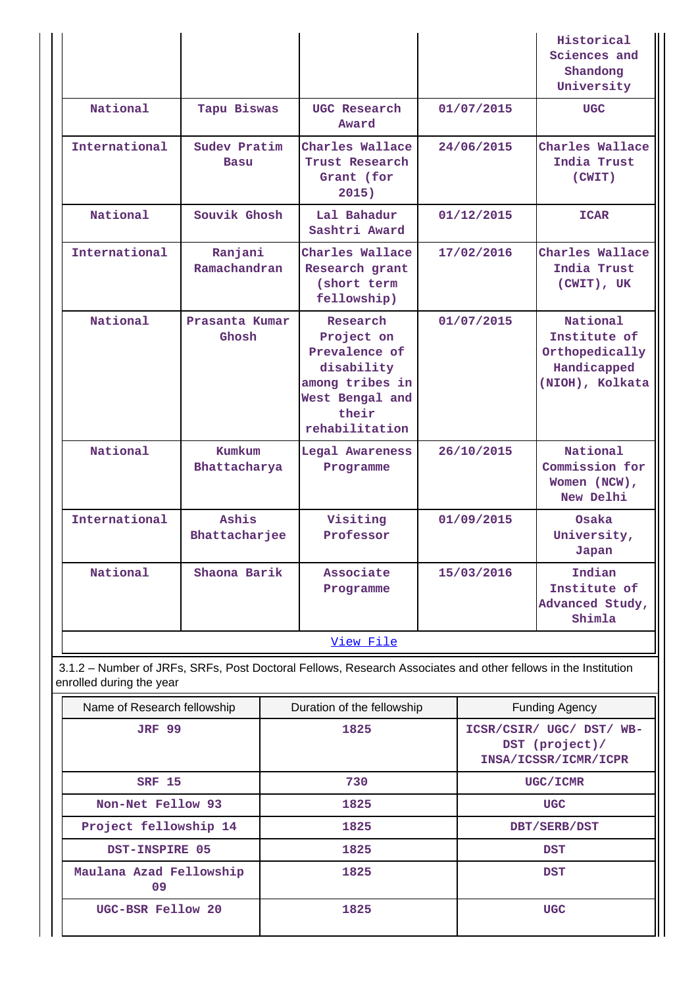| Name of Research fellowship<br><b>JRF 99</b>                                                                                              |                             |  | Duration of the fellowship<br>1825                                                                                     |            |            | <b>Funding Agency</b><br>ICSR/CSIR/ UGC/ DST/ WB-                            |
|-------------------------------------------------------------------------------------------------------------------------------------------|-----------------------------|--|------------------------------------------------------------------------------------------------------------------------|------------|------------|------------------------------------------------------------------------------|
| 3.1.2 - Number of JRFs, SRFs, Post Doctoral Fellows, Research Associates and other fellows in the Institution<br>enrolled during the year |                             |  |                                                                                                                        |            |            |                                                                              |
|                                                                                                                                           |                             |  | View File                                                                                                              |            |            |                                                                              |
| National                                                                                                                                  | Shaona Barik                |  | Associate<br>Programme                                                                                                 | 15/03/2016 |            | Indian<br>Institute of<br>Advanced Study,<br>Shimla                          |
| International                                                                                                                             | Ashis<br>Bhattacharjee      |  | Visiting<br>Professor                                                                                                  |            | 01/09/2015 | Osaka<br>University,<br>Japan                                                |
| National                                                                                                                                  | Kumkum<br>Bhattacharya      |  | Legal Awareness<br>Programme                                                                                           |            | 26/10/2015 | National<br>Commission for<br>Women (NCW),<br>New Delhi                      |
| National                                                                                                                                  | Prasanta Kumar<br>Ghosh     |  | Research<br>Project on<br>Prevalence of<br>disability<br>among tribes in<br>West Bengal and<br>their<br>rehabilitation |            | 01/07/2015 | National<br>Institute of<br>Orthopedically<br>Handicapped<br>(NIOH), Kolkata |
| International                                                                                                                             | Ranjani<br>Ramachandran     |  | Charles Wallace<br>Research grant<br>(short term<br>fellowship)                                                        |            | 17/02/2016 | Charles Wallace<br>India Trust<br>(CWIT), UK                                 |
| National                                                                                                                                  | Souvik Ghosh                |  | Lal Bahadur<br>Sashtri Award                                                                                           |            | 01/12/2015 | <b>ICAR</b>                                                                  |
| International                                                                                                                             | Sudev Pratim<br><b>Basu</b> |  | Charles Wallace<br>Trust Research<br>Grant (for<br>2015)                                                               |            | 24/06/2015 | Charles Wallace<br>India Trust<br>(CWIT)                                     |
| National                                                                                                                                  | Tapu Biswas                 |  | UGC Research<br>Award                                                                                                  | 01/07/2015 |            | <b>UGC</b>                                                                   |
|                                                                                                                                           |                             |  |                                                                                                                        |            |            | Historical<br>Sciences and<br>Shandong<br>University                         |

|                               |      | DST (project)/<br>INSA/ICSSR/ICMR/ICPR |
|-------------------------------|------|----------------------------------------|
| <b>SRF 15</b>                 | 730  | UGC/ICMR                               |
| Non-Net Fellow 93             | 1825 | <b>UGC</b>                             |
| Project fellowship 14         | 1825 | DBT/SERB/DST                           |
| DST-INSPIRE 05                | 1825 | <b>DST</b>                             |
| Maulana Azad Fellowship<br>09 | 1825 | <b>DST</b>                             |
| UGC-BSR Fellow 20             | 1825 | <b>UGC</b>                             |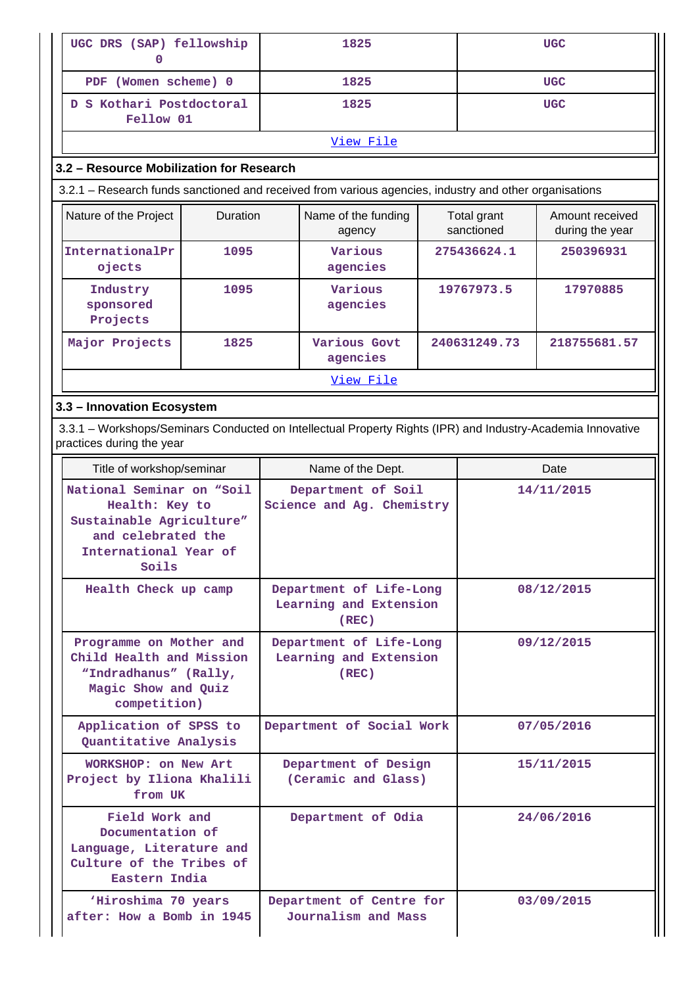| UGC DRS (SAP) fellowship<br>0                                                                                                            |                 | 1825                                                       |                                             | <b>UGC</b> |                           |                                    |  |  |
|------------------------------------------------------------------------------------------------------------------------------------------|-----------------|------------------------------------------------------------|---------------------------------------------|------------|---------------------------|------------------------------------|--|--|
| PDF (Women scheme) 0                                                                                                                     |                 |                                                            | 1825                                        |            |                           | <b>UGC</b>                         |  |  |
| D S Kothari Postdoctoral                                                                                                                 |                 |                                                            | 1825                                        |            |                           | <b>UGC</b>                         |  |  |
|                                                                                                                                          | Fellow 01       |                                                            |                                             |            |                           |                                    |  |  |
| View File                                                                                                                                |                 |                                                            |                                             |            |                           |                                    |  |  |
| 3.2 - Resource Mobilization for Research                                                                                                 |                 |                                                            |                                             |            |                           |                                    |  |  |
| 3.2.1 - Research funds sanctioned and received from various agencies, industry and other organisations                                   |                 |                                                            |                                             |            |                           |                                    |  |  |
| Nature of the Project                                                                                                                    | <b>Duration</b> |                                                            | Name of the funding<br>agency               |            | Total grant<br>sanctioned | Amount received<br>during the year |  |  |
| InternationalPr<br>ojects                                                                                                                | 1095            |                                                            | Various<br>agencies                         |            | 275436624.1               | 250396931                          |  |  |
| Industry<br>sponsored<br>Projects                                                                                                        | 1095            |                                                            | Various<br>agencies                         |            | 19767973.5                | 17970885                           |  |  |
| Major Projects                                                                                                                           | 1825            |                                                            | Various Govt<br>agencies                    |            | 240631249.73              | 218755681.57                       |  |  |
|                                                                                                                                          |                 |                                                            | View File                                   |            |                           |                                    |  |  |
| 3.3 - Innovation Ecosystem                                                                                                               |                 |                                                            |                                             |            |                           |                                    |  |  |
| 3.3.1 - Workshops/Seminars Conducted on Intellectual Property Rights (IPR) and Industry-Academia Innovative<br>practices during the year |                 |                                                            |                                             |            |                           |                                    |  |  |
| Title of workshop/seminar                                                                                                                |                 | Name of the Dept.                                          |                                             |            |                           | Date                               |  |  |
| National Seminar on "Soil<br>Health: Key to<br>Sustainable Agriculture"<br>and celebrated the<br>International Year of<br>Soils          |                 | Department of Soil<br>Science and Ag. Chemistry            |                                             |            | 14/11/2015                |                                    |  |  |
| Health Check up camp                                                                                                                     |                 | Department of Life-Long<br>Learning and Extension<br>(REC) |                                             |            | 08/12/2015                |                                    |  |  |
| Programme on Mother and<br>Child Health and Mission<br>"Indradhanus" (Rally,<br>Magic Show and Quiz<br>competition)                      |                 | Department of Life-Long<br>Learning and Extension<br>(REC) |                                             | 09/12/2015 |                           |                                    |  |  |
| Application of SPSS to<br>Quantitative Analysis                                                                                          |                 |                                                            | Department of Social Work                   |            | 07/05/2016                |                                    |  |  |
| WORKSHOP: on New Art<br>Project by Iliona Khalili<br>from UK                                                                             |                 |                                                            | Department of Design<br>(Ceramic and Glass) |            |                           | 15/11/2015                         |  |  |
| Field Work and<br>Documentation of<br>Language, Literature and<br>Culture of the Tribes of<br>Eastern India                              |                 |                                                            | Department of Odia                          |            |                           | 24/06/2016                         |  |  |
| 'Hiroshima 70 years<br>after: How a Bomb in 1945                                                                                         |                 | Department of Centre for<br>Journalism and Mass            |                                             | 03/09/2015 |                           |                                    |  |  |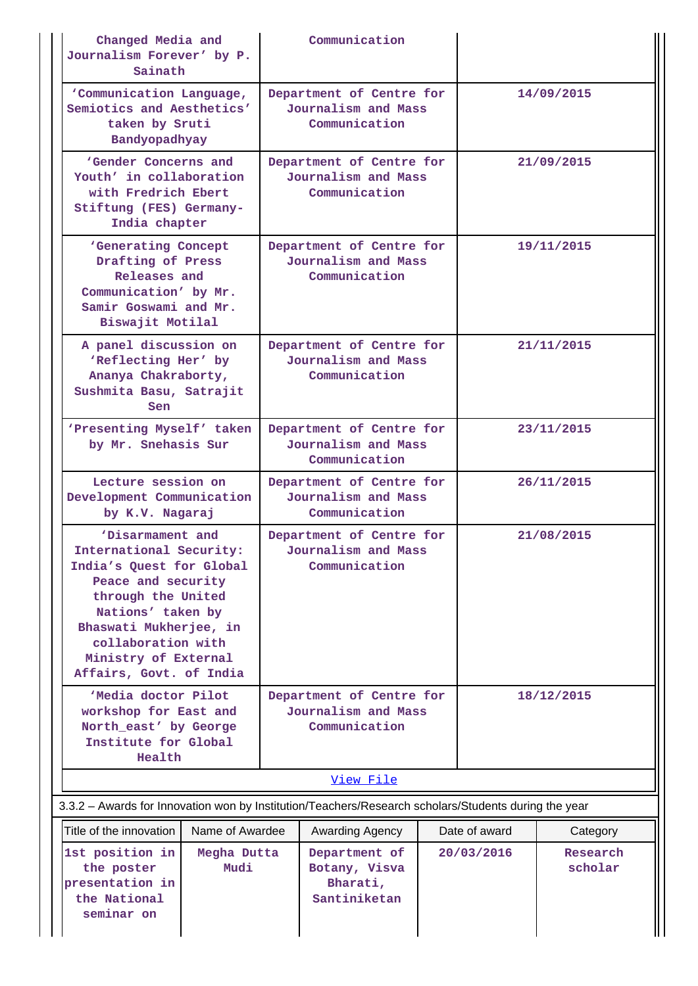| Changed Media and<br>Journalism Forever' by P.<br>Sainath                                                                                                                                                                                   |                     |                                                                  | Communication                                                    |            |                           |                     |
|---------------------------------------------------------------------------------------------------------------------------------------------------------------------------------------------------------------------------------------------|---------------------|------------------------------------------------------------------|------------------------------------------------------------------|------------|---------------------------|---------------------|
| 'Communication Language,<br>Semiotics and Aesthetics'<br>taken by Sruti<br>Bandyopadhyay                                                                                                                                                    |                     |                                                                  | Department of Centre for<br>Journalism and Mass<br>Communication |            |                           | 14/09/2015          |
| 'Gender Concerns and<br>Youth' in collaboration<br>with Fredrich Ebert<br>Stiftung (FES) Germany-<br>India chapter                                                                                                                          |                     |                                                                  | Department of Centre for<br>Journalism and Mass<br>Communication |            |                           | 21/09/2015          |
| 'Generating Concept<br>Drafting of Press<br>Releases and<br>Communication' by Mr.<br>Samir Goswami and Mr.<br>Biswajit Motilal                                                                                                              |                     | Department of Centre for<br>Journalism and Mass<br>Communication |                                                                  |            | 19/11/2015                |                     |
| A panel discussion on<br>'Reflecting Her' by<br>Ananya Chakraborty,<br>Sushmita Basu, Satrajit<br>Sen                                                                                                                                       |                     | Department of Centre for<br>Journalism and Mass<br>Communication |                                                                  |            | 21/11/2015                |                     |
| 'Presenting Myself' taken<br>by Mr. Snehasis Sur                                                                                                                                                                                            |                     | Department of Centre for<br>Journalism and Mass<br>Communication |                                                                  | 23/11/2015 |                           |                     |
| Lecture session on<br>Development Communication<br>by K.V. Nagaraj                                                                                                                                                                          |                     | Department of Centre for<br>Journalism and Mass<br>Communication |                                                                  |            | 26/11/2015                |                     |
| 'Disarmament and<br>International Security:<br>India's Quest for Global<br>Peace and security<br>through the United<br>Nations' taken by<br>Bhaswati Mukherjee, in<br>collaboration with<br>Ministry of External<br>Affairs, Govt. of India |                     | Department of Centre for<br>Journalism and Mass<br>Communication |                                                                  |            | 21/08/2015                |                     |
| 'Media doctor Pilot<br>workshop for East and<br>North_east' by George<br>Institute for Global<br>Health                                                                                                                                     |                     | Department of Centre for<br>Journalism and Mass<br>Communication |                                                                  |            | 18/12/2015                |                     |
|                                                                                                                                                                                                                                             |                     |                                                                  | View File                                                        |            |                           |                     |
| 3.3.2 - Awards for Innovation won by Institution/Teachers/Research scholars/Students during the year                                                                                                                                        |                     |                                                                  |                                                                  |            |                           |                     |
| Title of the innovation                                                                                                                                                                                                                     | Name of Awardee     |                                                                  | Awarding Agency                                                  |            | Date of award<br>Category |                     |
| 1st position in<br>the poster<br>presentation in<br>the National<br>seminar on                                                                                                                                                              | Megha Dutta<br>Mudi |                                                                  | Department of<br>Botany, Visva<br>Bharati,<br>Santiniketan       |            | 20/03/2016                | Research<br>scholar |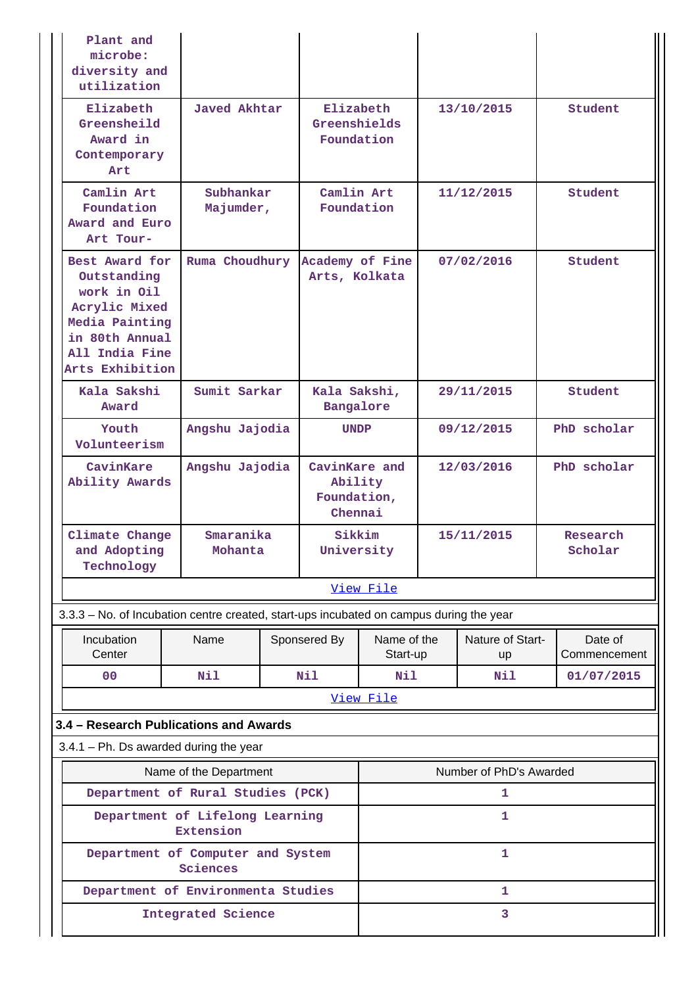| Plant and<br>microbe:<br>diversity and<br>utilization                                                                                  |                        |  |                                                    |                         |                        |                         |                         |
|----------------------------------------------------------------------------------------------------------------------------------------|------------------------|--|----------------------------------------------------|-------------------------|------------------------|-------------------------|-------------------------|
| Elizabeth<br>Greensheild<br>Award in<br>Contemporary<br>Art                                                                            | Javed Akhtar           |  | Elizabeth<br>Greenshields<br>Foundation            |                         | 13/10/2015             |                         | Student                 |
| Camlin Art<br>Foundation<br>Award and Euro<br>Art Tour-                                                                                | Subhankar<br>Majumder, |  | Camlin Art<br>Foundation                           |                         |                        | 11/12/2015              | Student                 |
| Best Award for<br>Outstanding<br>work in Oil<br>Acrylic Mixed<br>Media Painting<br>in 80th Annual<br>All India Fine<br>Arts Exhibition | Ruma Choudhury         |  | Academy of Fine<br>Arts, Kolkata                   |                         |                        | 07/02/2016              | Student                 |
| Kala Sakshi<br>Award                                                                                                                   | Sumit Sarkar           |  | Kala Sakshi,<br>Bangalore                          |                         |                        | 29/11/2015              | Student                 |
| Youth<br>Volunteerism                                                                                                                  | Angshu Jajodia         |  | <b>UNDP</b>                                        |                         | 09/12/2015             |                         | PhD scholar             |
| CavinKare<br>Ability Awards                                                                                                            | Angshu Jajodia         |  | CavinKare and<br>Ability<br>Foundation,<br>Chennai |                         | 12/03/2016             |                         | PhD scholar             |
| Climate Change<br>and Adopting<br>Technology                                                                                           | Smaranika<br>Mohanta   |  | Sikkim<br>University                               |                         |                        | 15/11/2015              | Research<br>Scholar     |
|                                                                                                                                        |                        |  |                                                    | View File               |                        |                         |                         |
| 3.3.3 - No. of Incubation centre created, start-ups incubated on campus during the year                                                |                        |  |                                                    |                         |                        |                         |                         |
| Incubation<br>Center                                                                                                                   | Name                   |  | Sponsered By                                       | Name of the<br>Start-up | Nature of Start-<br>up |                         | Date of<br>Commencement |
| 0 <sup>0</sup>                                                                                                                         | Nil                    |  | Nil                                                | Nil                     |                        | Nil                     | 01/07/2015              |
|                                                                                                                                        |                        |  |                                                    | View File               |                        |                         |                         |
| 3.4 - Research Publications and Awards                                                                                                 |                        |  |                                                    |                         |                        |                         |                         |
| $3.4.1$ – Ph. Ds awarded during the year                                                                                               |                        |  |                                                    |                         |                        |                         |                         |
|                                                                                                                                        | Name of the Department |  |                                                    |                         |                        | Number of PhD's Awarded |                         |
| Department of Rural Studies (PCK)                                                                                                      |                        |  |                                                    |                         |                        | 1                       |                         |
| Department of Lifelong Learning                                                                                                        | <b>Extension</b>       |  |                                                    |                         |                        | 1                       |                         |
| Department of Computer and System                                                                                                      | Sciences               |  |                                                    |                         |                        | 1                       |                         |
| Department of Environmenta Studies                                                                                                     |                        |  |                                                    | 1                       |                        |                         |                         |
|                                                                                                                                        | Integrated Science     |  |                                                    |                         |                        | 3                       |                         |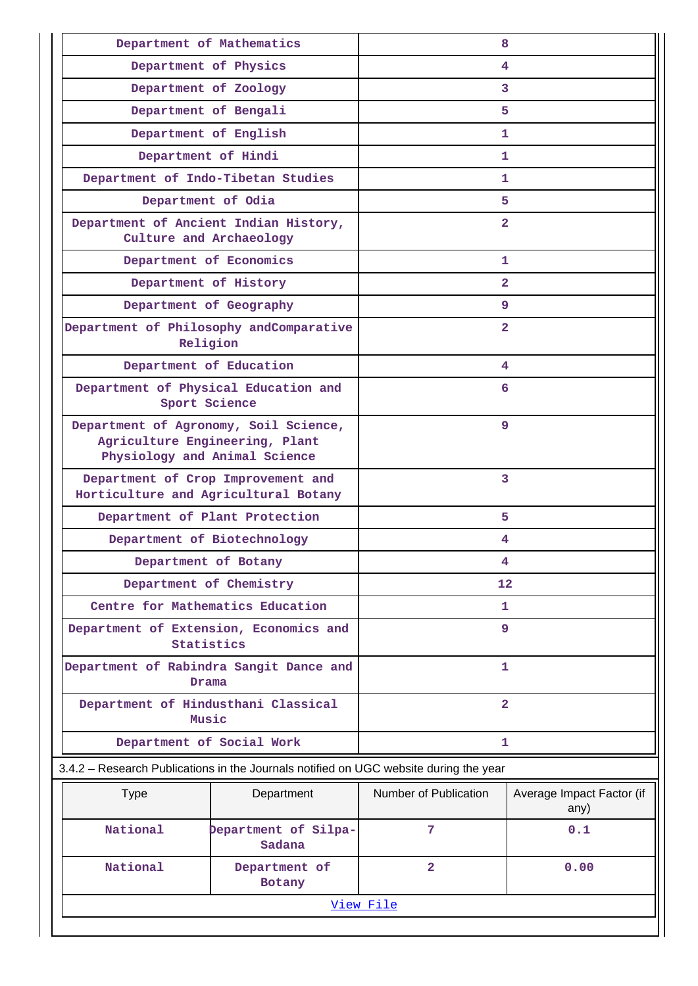| Department of Mathematics                                                                                |                                | 8                     |                                   |  |  |  |
|----------------------------------------------------------------------------------------------------------|--------------------------------|-----------------------|-----------------------------------|--|--|--|
| Department of Physics                                                                                    |                                | 4                     |                                   |  |  |  |
| Department of Zoology                                                                                    |                                |                       | 3                                 |  |  |  |
| Department of Bengali                                                                                    |                                | 5                     |                                   |  |  |  |
| Department of English                                                                                    |                                | 1.                    |                                   |  |  |  |
| Department of Hindi                                                                                      |                                | 1                     |                                   |  |  |  |
| Department of Indo-Tibetan Studies                                                                       |                                | 1.                    |                                   |  |  |  |
| Department of Odia                                                                                       |                                | 5                     |                                   |  |  |  |
| Department of Ancient Indian History,<br>Culture and Archaeology                                         |                                | $\overline{2}$        |                                   |  |  |  |
| Department of Economics                                                                                  |                                | 1                     |                                   |  |  |  |
| Department of History                                                                                    |                                | $\overline{2}$        |                                   |  |  |  |
| Department of Geography                                                                                  |                                | 9                     |                                   |  |  |  |
| Department of Philosophy andComparative<br>Religion                                                      |                                | $\overline{2}$        |                                   |  |  |  |
| Department of Education                                                                                  |                                | 4                     |                                   |  |  |  |
| Department of Physical Education and<br>Sport Science                                                    |                                | 6                     |                                   |  |  |  |
| Department of Agronomy, Soil Science,<br>Agriculture Engineering, Plant<br>Physiology and Animal Science |                                | 9                     |                                   |  |  |  |
| Department of Crop Improvement and<br>Horticulture and Agricultural Botany                               |                                | 3                     |                                   |  |  |  |
| Department of Plant Protection                                                                           |                                | 5                     |                                   |  |  |  |
| Department of Biotechnology                                                                              |                                | 4                     |                                   |  |  |  |
| Department of Botany                                                                                     |                                | 4                     |                                   |  |  |  |
| Department of Chemistry                                                                                  |                                | 12                    |                                   |  |  |  |
| Centre for Mathematics Education                                                                         |                                | 1                     |                                   |  |  |  |
| Department of Extension, Economics and<br>Statistics                                                     |                                | 9                     |                                   |  |  |  |
| Department of Rabindra Sangit Dance and<br>Drama                                                         |                                | 1                     |                                   |  |  |  |
| Department of Hindusthani Classical<br>Music                                                             |                                | $\overline{a}$        |                                   |  |  |  |
| Department of Social Work                                                                                |                                | 1                     |                                   |  |  |  |
| 3.4.2 - Research Publications in the Journals notified on UGC website during the year                    |                                |                       |                                   |  |  |  |
| <b>Type</b>                                                                                              | Department                     | Number of Publication | Average Impact Factor (if<br>any) |  |  |  |
| National                                                                                                 | Department of Silpa-<br>Sadana | $7\phantom{.0}$       | 0.1                               |  |  |  |
| National                                                                                                 | Department of<br>Botany        | $\overline{2}$        | 0.00                              |  |  |  |
|                                                                                                          |                                | View File             |                                   |  |  |  |
|                                                                                                          |                                |                       |                                   |  |  |  |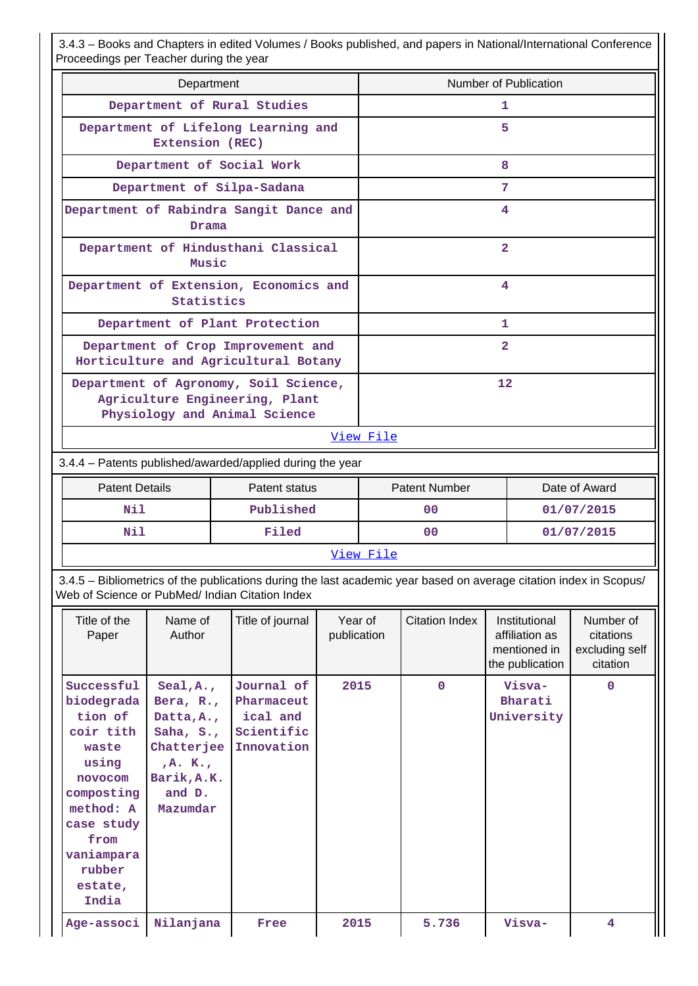3.4.3 – Books and Chapters in edited Volumes / Books published, and papers in National/International Conference Proceedings per Teacher during the year

| Department                                                                                               | Number of Publication |  |  |  |  |
|----------------------------------------------------------------------------------------------------------|-----------------------|--|--|--|--|
| Department of Rural Studies                                                                              | 1                     |  |  |  |  |
| Department of Lifelong Learning and<br>Extension (REC)                                                   | 5                     |  |  |  |  |
| Department of Social Work                                                                                | 8                     |  |  |  |  |
| Department of Silpa-Sadana                                                                               | 7                     |  |  |  |  |
| Department of Rabindra Sangit Dance and<br>Drama                                                         | 4                     |  |  |  |  |
| Department of Hindusthani Classical<br>Music                                                             | $\overline{2}$        |  |  |  |  |
| Department of Extension, Economics and<br>Statistics                                                     | 4                     |  |  |  |  |
| Department of Plant Protection                                                                           | 1                     |  |  |  |  |
| Department of Crop Improvement and<br>Horticulture and Agricultural Botany                               | $\overline{2}$        |  |  |  |  |
| Department of Agronomy, Soil Science,<br>Agriculture Engineering, Plant<br>Physiology and Animal Science | 12                    |  |  |  |  |
| View File                                                                                                |                       |  |  |  |  |

3.4.4 – Patents published/awarded/applied during the year

| <b>Patent Details</b> | Patent status | <b>Patent Number</b> | Date of Award |  |  |  |
|-----------------------|---------------|----------------------|---------------|--|--|--|
| Nil                   | Published     | 00                   | 01/07/2015    |  |  |  |
| Nil                   | Filed         | 00                   | 01/07/2015    |  |  |  |
| View File             |               |                      |               |  |  |  |

 3.4.5 – Bibliometrics of the publications during the last academic year based on average citation index in Scopus/ Web of Science or PubMed/ Indian Citation Index

| Title of the<br>Paper                                                                                                                                                      | Name of<br>Author                                                                                                                  | Title of journal                                                 | Year of<br>publication | Citation Index | Institutional<br>affiliation as<br>mentioned in<br>the publication | Number of<br>citations<br>excluding self<br>citation |
|----------------------------------------------------------------------------------------------------------------------------------------------------------------------------|------------------------------------------------------------------------------------------------------------------------------------|------------------------------------------------------------------|------------------------|----------------|--------------------------------------------------------------------|------------------------------------------------------|
| Successful<br>biodegrada<br>tion of<br>coir tith<br>waste<br>using<br>novocom<br>composting<br>method: A<br>case study<br>from<br>vaniampara<br>rubber<br>estate,<br>India | Seal, A,<br>Bera, $R_{\star}$ ,<br>Datta, A.,<br>Saha, $S_{\cdot}$ ,<br>Chatterjee<br>, A. K.<br>Barik, A.K.<br>and D.<br>Mazumdar | Journal of<br>Pharmaceut<br>ical and<br>Scientific<br>Innovation | 2015                   | $\mathbf{0}$   | Visva-<br>Bharati<br>University                                    | $\mathbf 0$                                          |
| Age-associ                                                                                                                                                                 | Nilanjana                                                                                                                          | Free                                                             | 2015                   | 5.736          | Visva-                                                             | 4                                                    |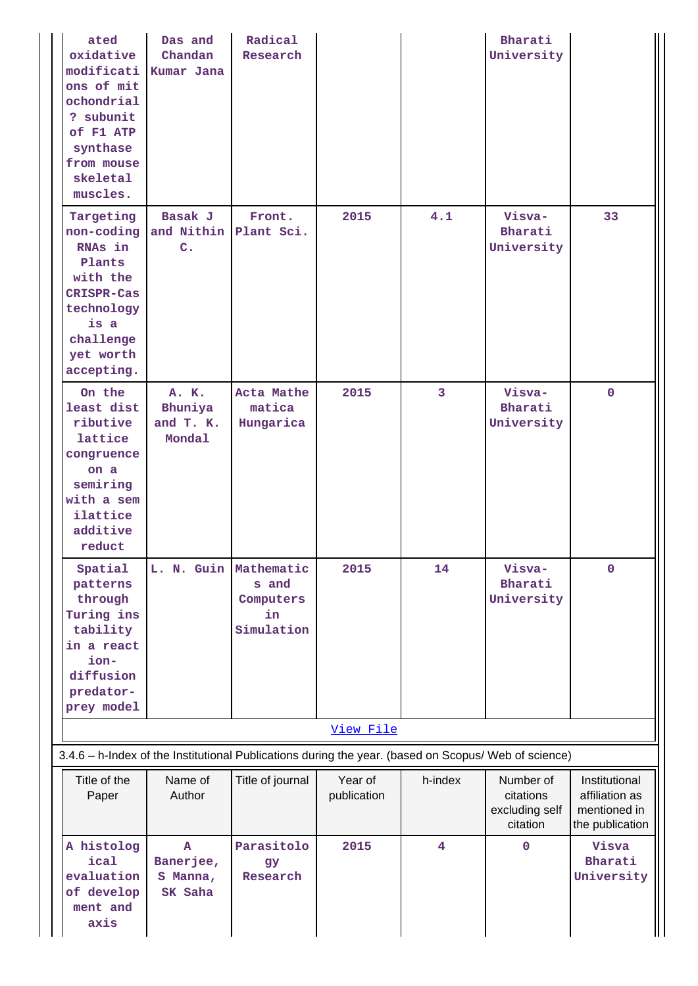| ated<br>oxidative<br>modificati<br>ons of mit<br>ochondrial<br>? subunit<br>of F1 ATP<br>synthase<br>from mouse<br>skeletal<br>muscles.     | Das and<br>Chandan<br>Kumar Jana                 | Radical<br>Research                                  |                        |                         | Bharati<br>University                                |                                                                    |
|---------------------------------------------------------------------------------------------------------------------------------------------|--------------------------------------------------|------------------------------------------------------|------------------------|-------------------------|------------------------------------------------------|--------------------------------------------------------------------|
| Targeting<br>non-coding<br>RNAs in<br>Plants<br>with the<br><b>CRISPR-Cas</b><br>technology<br>is a<br>challenge<br>yet worth<br>accepting. | Basak J<br>and Nithin<br>$\mathbf{C}$ .          | Front.<br>Plant Sci.                                 | 2015                   | 4.1                     | Visva-<br>Bharati<br>University                      | 33                                                                 |
| On the<br>least dist<br>ributive<br>lattice<br>congruence<br>on a<br>semiring<br>with a sem<br>ilattice<br>additive<br>reduct               | A. K.<br>Bhuniya<br>and T. K.<br>Mondal          | Acta Mathe<br>matica<br>Hungarica                    | 2015                   | 3                       | Visva-<br>Bharati<br>University                      | $\mathbf{0}$                                                       |
| Spatial<br>patterns<br>through<br>Turing ins<br>tability<br>in a react<br>ion-<br>diffusion<br>predator-<br>prey model                      | L. N. Guin                                       | Mathematic<br>s and<br>Computers<br>in<br>Simulation | 2015                   | 14                      | Visva-<br>Bharati<br>University                      | $\mathbf 0$                                                        |
| 3.4.6 - h-Index of the Institutional Publications during the year. (based on Scopus/ Web of science)                                        |                                                  |                                                      | View File              |                         |                                                      |                                                                    |
| Title of the<br>Paper                                                                                                                       | Name of<br>Author                                | Title of journal                                     | Year of<br>publication | h-index                 | Number of<br>citations<br>excluding self<br>citation | Institutional<br>affiliation as<br>mentioned in<br>the publication |
| A histolog<br>ical<br>evaluation<br>of develop<br>ment and<br>axis                                                                          | $\mathbf{A}$<br>Banerjee,<br>S Manna,<br>SK Saha | Parasitolo<br><b>gy</b><br>Research                  | 2015                   | $\overline{\mathbf{4}}$ | $\mathbf 0$                                          | Visva<br>Bharati<br>University                                     |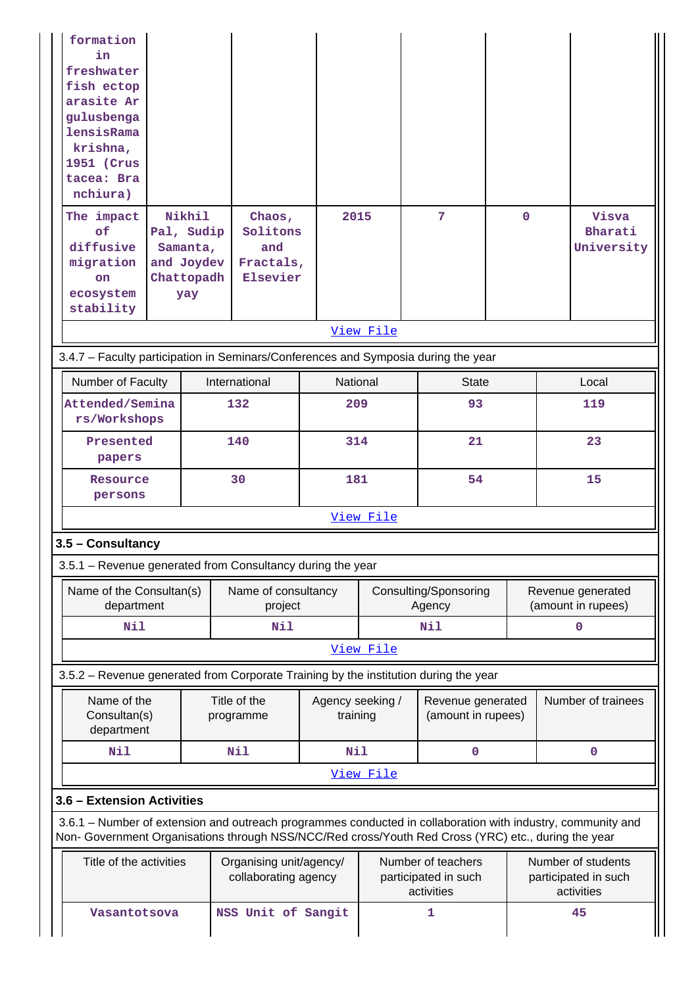| formation<br>in<br>freshwater<br>fish ectop<br>arasite Ar<br>gulusbenga<br>lensisRama<br>krishna,<br>1951 (Crus<br>tacea: Bra<br>nchiura)<br>The impact<br>of<br>diffusive<br>migration | Nikhil<br>Pal, Sudip<br>Samanta,<br>and Joydev | Chaos,<br>Solitons<br>and<br>Fractals,                                                                                                                                                                             | 2015                         |           | 7                                                        | $\mathbf 0$ |             | Visva<br>Bharati<br>University                           |
|-----------------------------------------------------------------------------------------------------------------------------------------------------------------------------------------|------------------------------------------------|--------------------------------------------------------------------------------------------------------------------------------------------------------------------------------------------------------------------|------------------------------|-----------|----------------------------------------------------------|-------------|-------------|----------------------------------------------------------|
| <b>on</b><br>ecosystem                                                                                                                                                                  | Chattopadh<br>yay                              | Elsevier                                                                                                                                                                                                           |                              |           |                                                          |             |             |                                                          |
| stability                                                                                                                                                                               |                                                |                                                                                                                                                                                                                    |                              |           |                                                          |             |             |                                                          |
|                                                                                                                                                                                         |                                                |                                                                                                                                                                                                                    |                              | View File |                                                          |             |             |                                                          |
|                                                                                                                                                                                         |                                                | 3.4.7 - Faculty participation in Seminars/Conferences and Symposia during the year                                                                                                                                 |                              |           |                                                          |             |             |                                                          |
| Number of Faculty                                                                                                                                                                       |                                                | International                                                                                                                                                                                                      | National                     |           | <b>State</b>                                             |             |             | Local                                                    |
| Attended/Semina<br>rs/Workshops                                                                                                                                                         |                                                | 132                                                                                                                                                                                                                | 209                          |           | 93                                                       |             |             | 119                                                      |
| Presented<br>papers                                                                                                                                                                     |                                                | 140                                                                                                                                                                                                                | 314                          |           | 21                                                       |             |             | 23                                                       |
| Resource<br>persons                                                                                                                                                                     |                                                | 30                                                                                                                                                                                                                 | 181                          |           | 54                                                       |             |             | 15                                                       |
|                                                                                                                                                                                         |                                                |                                                                                                                                                                                                                    |                              | View File |                                                          |             |             |                                                          |
| 3.5 - Consultancy                                                                                                                                                                       |                                                |                                                                                                                                                                                                                    |                              |           |                                                          |             |             |                                                          |
|                                                                                                                                                                                         |                                                | 3.5.1 - Revenue generated from Consultancy during the year                                                                                                                                                         |                              |           |                                                          |             |             |                                                          |
| Name of the Consultan(s)<br>department                                                                                                                                                  |                                                | Name of consultancy<br>project                                                                                                                                                                                     |                              |           | Consulting/Sponsoring<br>Agency                          |             |             | Revenue generated<br>(amount in rupees)                  |
| <b>Nil</b>                                                                                                                                                                              |                                                | Nil                                                                                                                                                                                                                |                              |           | Nil                                                      |             | $\mathbf 0$ |                                                          |
|                                                                                                                                                                                         |                                                |                                                                                                                                                                                                                    |                              | View File |                                                          |             |             |                                                          |
|                                                                                                                                                                                         |                                                | 3.5.2 - Revenue generated from Corporate Training by the institution during the year                                                                                                                               |                              |           |                                                          |             |             |                                                          |
| Name of the<br>Consultan(s)<br>department                                                                                                                                               |                                                | Title of the<br>programme                                                                                                                                                                                          | Agency seeking /<br>training |           | Revenue generated<br>(amount in rupees)                  |             |             | Number of trainees                                       |
| Nil                                                                                                                                                                                     |                                                | Nil                                                                                                                                                                                                                | Nil                          |           | 0                                                        |             |             | 0                                                        |
|                                                                                                                                                                                         |                                                |                                                                                                                                                                                                                    |                              | View File |                                                          |             |             |                                                          |
| 3.6 - Extension Activities                                                                                                                                                              |                                                |                                                                                                                                                                                                                    |                              |           |                                                          |             |             |                                                          |
|                                                                                                                                                                                         |                                                | 3.6.1 - Number of extension and outreach programmes conducted in collaboration with industry, community and<br>Non- Government Organisations through NSS/NCC/Red cross/Youth Red Cross (YRC) etc., during the year |                              |           |                                                          |             |             |                                                          |
| Title of the activities                                                                                                                                                                 |                                                | Organising unit/agency/<br>collaborating agency                                                                                                                                                                    |                              |           | Number of teachers<br>participated in such<br>activities |             |             | Number of students<br>participated in such<br>activities |
| Vasantotsova                                                                                                                                                                            |                                                | NSS Unit of Sangit                                                                                                                                                                                                 |                              |           | 1                                                        |             |             | 45                                                       |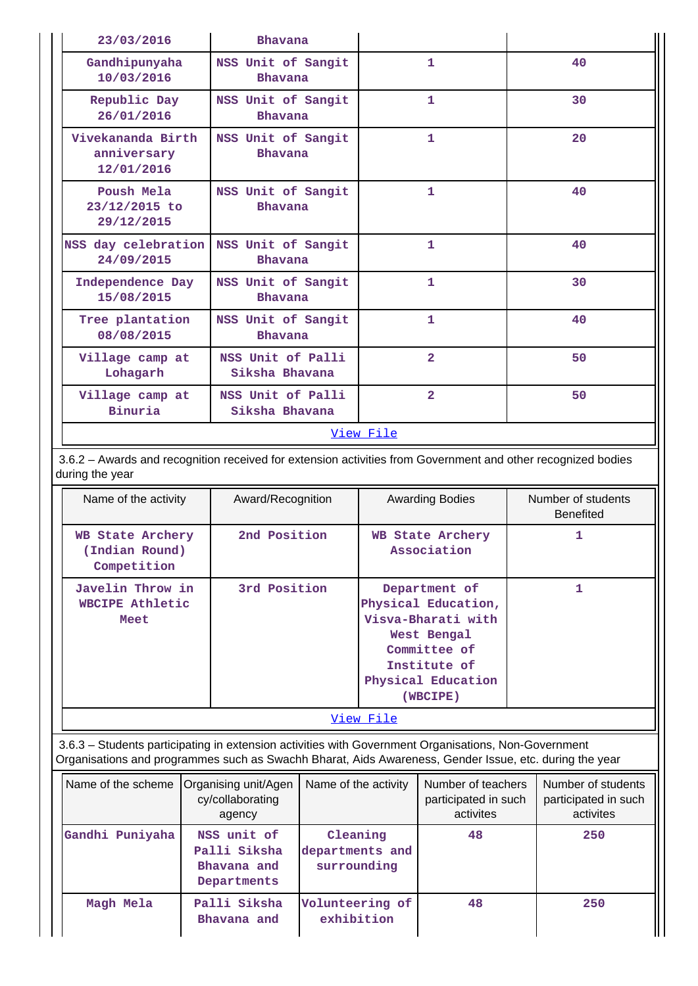| 23/03/2016                                     | Bhavana                              |                |    |  |  |  |
|------------------------------------------------|--------------------------------------|----------------|----|--|--|--|
| Gandhipunyaha<br>10/03/2016                    | NSS Unit of Sangit<br><b>Bhavana</b> | 1              | 40 |  |  |  |
| Republic Day<br>26/01/2016                     | NSS Unit of Sangit<br>Bhavana        | $\mathbf{1}$   | 30 |  |  |  |
| Vivekananda Birth<br>anniversary<br>12/01/2016 | NSS Unit of Sangit<br><b>Bhavana</b> | $\mathbf{1}$   | 20 |  |  |  |
| Poush Mela<br>23/12/2015 to<br>29/12/2015      | NSS Unit of Sangit<br><b>Bhavana</b> | 1              | 40 |  |  |  |
| NSS day celebration<br>24/09/2015              | NSS Unit of Sangit<br><b>Bhavana</b> | $\mathbf{1}$   | 40 |  |  |  |
| Independence Day<br>15/08/2015                 | NSS Unit of Sangit<br><b>Bhavana</b> | $\mathbf{1}$   | 30 |  |  |  |
| Tree plantation<br>08/08/2015                  | NSS Unit of Sangit<br><b>Bhavana</b> | $\mathbf{1}$   | 40 |  |  |  |
| Village camp at<br>Lohagarh                    | NSS Unit of Palli<br>Siksha Bhavana  | $\overline{2}$ | 50 |  |  |  |
| Village camp at<br>Binuria                     | NSS Unit of Palli<br>Siksha Bhavana  | $\overline{2}$ | 50 |  |  |  |
| View File                                      |                                      |                |    |  |  |  |

 3.6.2 – Awards and recognition received for extension activities from Government and other recognized bodies during the year

| Name of the activity                              | Award/Recognition | <b>Awarding Bodies</b>                                                                                                                      | Number of students<br><b>Benefited</b> |  |  |  |
|---------------------------------------------------|-------------------|---------------------------------------------------------------------------------------------------------------------------------------------|----------------------------------------|--|--|--|
| WB State Archery<br>(Indian Round)<br>Competition | 2nd Position      | WB State Archery<br>Association                                                                                                             |                                        |  |  |  |
| Javelin Throw in<br>WBCIPE Athletic<br>Meet       | 3rd Position      | Department of<br>Physical Education,<br>Visva-Bharati with<br>West Bengal<br>Committee of<br>Institute of<br>Physical Education<br>(WBCIPE) |                                        |  |  |  |
| View File                                         |                   |                                                                                                                                             |                                        |  |  |  |

 3.6.3 – Students participating in extension activities with Government Organisations, Non-Government Organisations and programmes such as Swachh Bharat, Aids Awareness, Gender Issue, etc. during the year

| Name of the scheme | Organising unit/Agen<br>cy/collaborating<br>agency        | Name of the activity                       | Number of teachers<br>participated in such<br>activites | Number of students<br>participated in such<br>activites |
|--------------------|-----------------------------------------------------------|--------------------------------------------|---------------------------------------------------------|---------------------------------------------------------|
| Gandhi Puniyaha    | NSS unit of<br>Palli Siksha<br>Bhavana and<br>Departments | Cleaning<br>departments and<br>surrounding | 48                                                      | 250                                                     |
| Magh Mela          | Palli Siksha<br>Bhavana and                               | Volunteering of<br>exhibition              | 48                                                      | 250                                                     |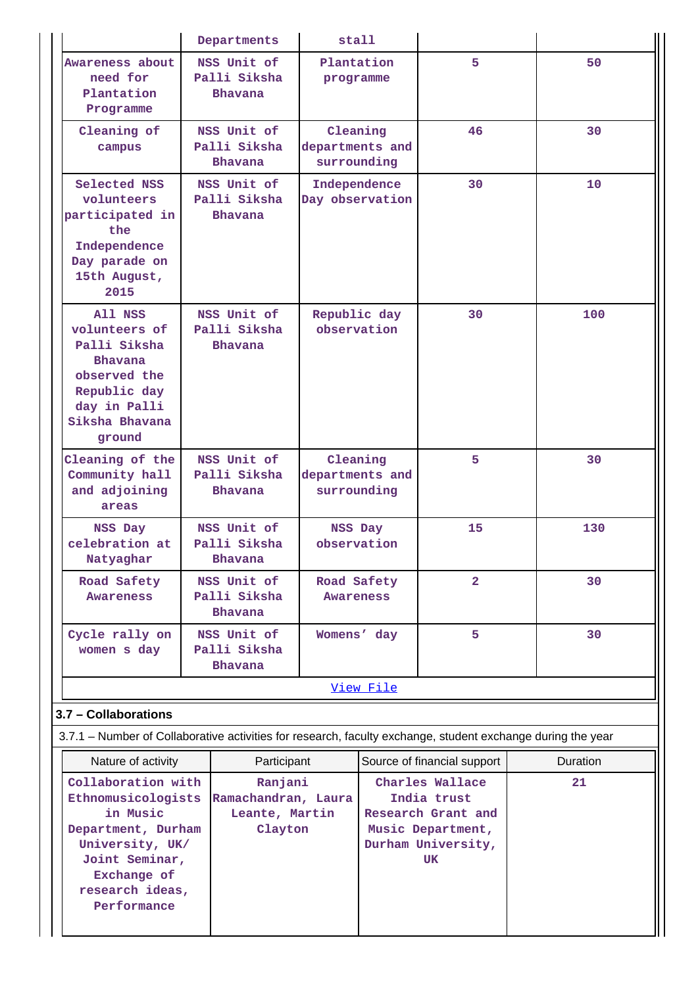|                                                                                                                                            |  | Departments                                      | stall                                      |                                                                                                              |                             |  |                |
|--------------------------------------------------------------------------------------------------------------------------------------------|--|--------------------------------------------------|--------------------------------------------|--------------------------------------------------------------------------------------------------------------|-----------------------------|--|----------------|
| Awareness about<br>need for<br>Plantation<br>Programme                                                                                     |  | NSS Unit of<br>Palli Siksha<br>Bhavana           | Plantation<br>programme                    |                                                                                                              | 5                           |  | 50             |
| Cleaning of<br>campus                                                                                                                      |  | NSS Unit of<br>Palli Siksha<br>Bhavana           | Cleaning<br>departments and<br>surrounding |                                                                                                              | 46                          |  | 30             |
| Selected NSS<br>volunteers<br>participated in<br>the<br>Independence<br>Day parade on<br>15th August,<br>2015                              |  | NSS Unit of<br>Palli Siksha<br>Bhavana           | Independence<br>Day observation            |                                                                                                              | 30                          |  | 10             |
| All NSS<br>volunteers of<br>Palli Siksha<br><b>Bhavana</b><br>observed the<br>Republic day<br>day in Palli<br>Siksha Bhavana<br>ground     |  | NSS Unit of<br>Palli Siksha<br>Bhavana           | Republic day<br>observation                |                                                                                                              | 30                          |  | 100            |
| Cleaning of the<br>Community hall<br>and adjoining<br>areas                                                                                |  | NSS Unit of<br>Palli Siksha<br>Bhavana           | Cleaning<br>departments and<br>surrounding |                                                                                                              | 5                           |  | 30             |
| NSS Day<br>celebration at<br>Natyaghar                                                                                                     |  | NSS Unit of<br>Palli Siksha<br>Bhavana           | NSS Day<br>observation                     |                                                                                                              | 15                          |  | 130            |
| Road Safety<br><b>Awareness</b>                                                                                                            |  | NSS Unit of<br>Palli Siksha<br>Bhavana           | Road Safety<br><b>Awareness</b>            |                                                                                                              | $\overline{a}$              |  | 30             |
| Cycle rally on<br>women s day                                                                                                              |  | NSS Unit of<br>Palli Siksha<br><b>Bhavana</b>    | Womens' day                                |                                                                                                              | 5                           |  | 30             |
|                                                                                                                                            |  |                                                  |                                            | <u>View File</u>                                                                                             |                             |  |                |
| 3.7 - Collaborations                                                                                                                       |  |                                                  |                                            |                                                                                                              |                             |  |                |
| 3.7.1 – Number of Collaborative activities for research, faculty exchange, student exchange during the year                                |  |                                                  |                                            |                                                                                                              |                             |  |                |
| Nature of activity<br>Collaboration with                                                                                                   |  | Participant<br>Ranjani                           |                                            |                                                                                                              | Source of financial support |  | Duration<br>21 |
| Ethnomusicologists<br>in Music<br>Department, Durham<br>University, UK/<br>Joint Seminar,<br>Exchange of<br>research ideas,<br>Performance |  | Ramachandran, Laura<br>Leante, Martin<br>Clayton |                                            | Charles Wallace<br>India trust<br>Research Grant and<br>Music Department,<br>Durham University,<br><b>UK</b> |                             |  |                |
|                                                                                                                                            |  |                                                  |                                            |                                                                                                              |                             |  |                |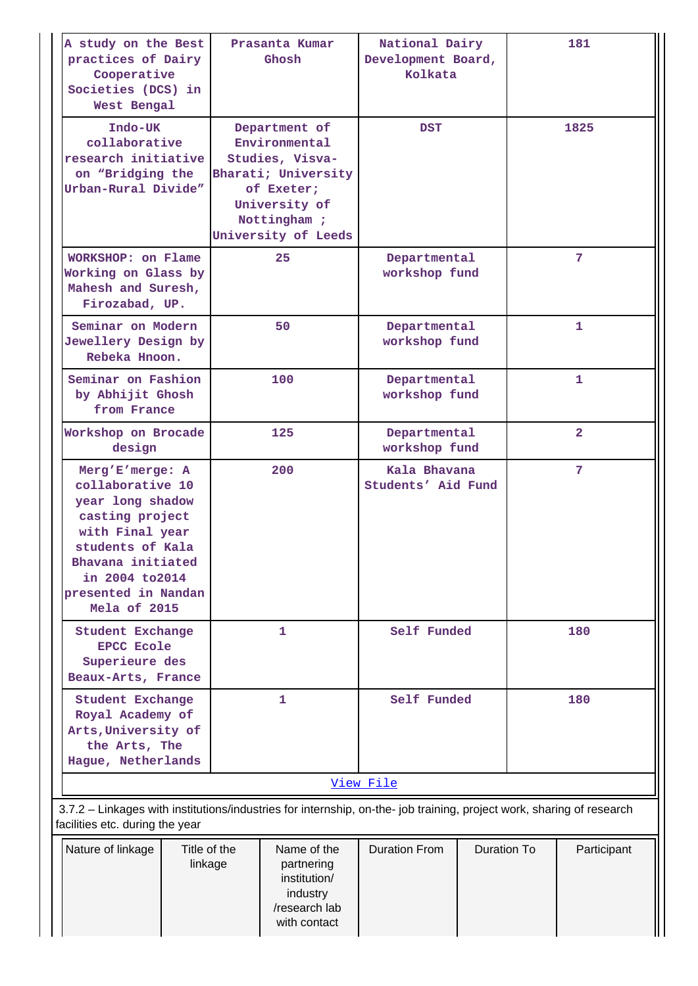| A study on the Best<br>practices of Dairy<br>Cooperative<br>Societies (DCS) in<br>West Bengal                                                                                                    |                         | Prasanta Kumar<br>Ghosh                                                                                                                       | National Dairy<br>Development Board,<br>Kolkata |             | 181            |              |
|--------------------------------------------------------------------------------------------------------------------------------------------------------------------------------------------------|-------------------------|-----------------------------------------------------------------------------------------------------------------------------------------------|-------------------------------------------------|-------------|----------------|--------------|
| Indo-UK<br>collaborative<br>research initiative<br>on "Bridging the<br>Urban-Rural Divide"                                                                                                       |                         | Department of<br>Environmental<br>Studies, Visva-<br>Bharati; University<br>of Exeter;<br>University of<br>Nottingham;<br>University of Leeds | <b>DST</b>                                      |             |                | 1825         |
| WORKSHOP: on Flame<br>Working on Glass by<br>Mahesh and Suresh,<br>Firozabad, UP.                                                                                                                |                         | 25                                                                                                                                            | Departmental<br>workshop fund                   |             |                | 7            |
| Seminar on Modern<br>Jewellery Design by<br>Rebeka Hnoon.                                                                                                                                        |                         | 50                                                                                                                                            | Departmental<br>workshop fund                   |             |                | $\mathbf{1}$ |
| Seminar on Fashion<br>by Abhijit Ghosh<br>from France                                                                                                                                            |                         | 100                                                                                                                                           | Departmental<br>workshop fund                   |             | 1              |              |
| Workshop on Brocade<br>design                                                                                                                                                                    |                         | 125                                                                                                                                           | Departmental<br>workshop fund                   |             | $\overline{2}$ |              |
| Merg'E'merge: A<br>collaborative 10<br>year long shadow<br>casting project<br>with Final year<br>students of Kala<br>Bhavana initiated<br>in 2004 to 2014<br>presented in Nandan<br>Mela of 2015 |                         | 200                                                                                                                                           | Kala Bhavana<br>Students' Aid Fund              |             | 7              |              |
| <b>Student Exchange</b><br><b>EPCC Ecole</b><br>Superieure des<br>Beaux-Arts, France                                                                                                             |                         | 1                                                                                                                                             | Self Funded                                     |             |                | 180          |
| Student Exchange<br>Royal Academy of<br>Arts, University of<br>the Arts, The<br>Hague, Netherlands                                                                                               |                         | 1                                                                                                                                             | Self Funded                                     |             | 180            |              |
|                                                                                                                                                                                                  |                         |                                                                                                                                               | View File                                       |             |                |              |
| 3.7.2 - Linkages with institutions/industries for internship, on-the- job training, project work, sharing of research<br>facilities etc. during the year                                         |                         |                                                                                                                                               |                                                 |             |                |              |
| Nature of linkage                                                                                                                                                                                | Title of the<br>linkage | Name of the<br>partnering<br>institution/<br>industry<br>/research lab<br>with contact                                                        | <b>Duration From</b>                            | Duration To |                | Participant  |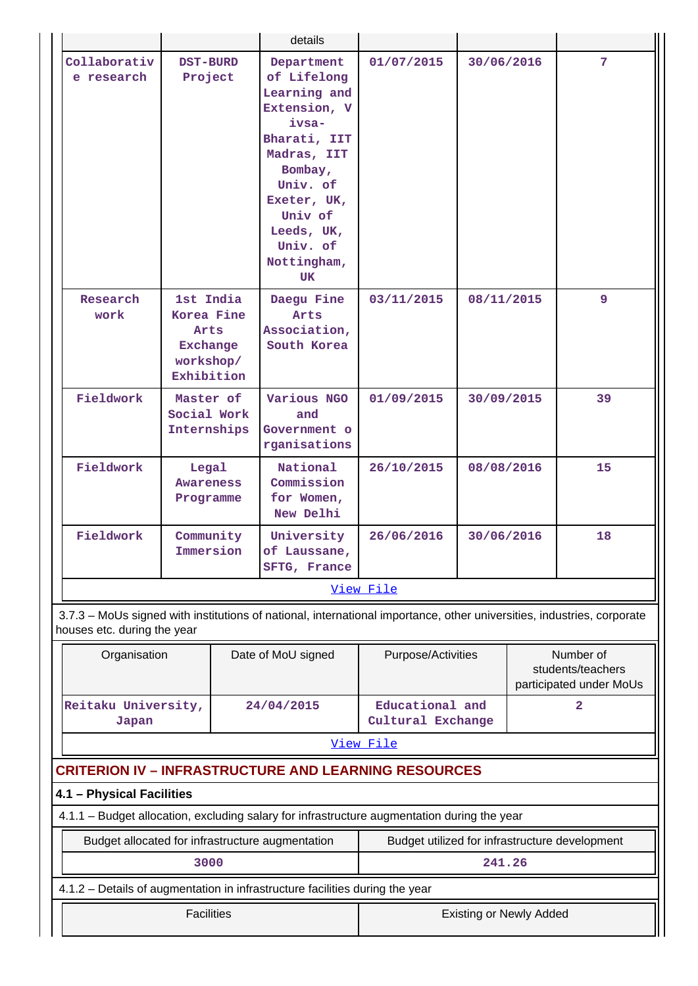|                                                                                                                                                       |                                                                                                      |  | details                                                                                                                                                                                           |                                      |                                |  |                                                           |
|-------------------------------------------------------------------------------------------------------------------------------------------------------|------------------------------------------------------------------------------------------------------|--|---------------------------------------------------------------------------------------------------------------------------------------------------------------------------------------------------|--------------------------------------|--------------------------------|--|-----------------------------------------------------------|
| Collaborativ<br>e research                                                                                                                            | <b>DST-BURD</b><br>Project<br>1st India<br>Korea Fine<br>Arts<br>Exchange<br>workshop/<br>Exhibition |  | Department<br>of Lifelong<br>Learning and<br>Extension, V<br>ivsa-<br>Bharati, IIT<br>Madras, IIT<br>Bombay,<br>Univ. of<br>Exeter, UK,<br>Univ of<br>Leeds, UK,<br>Univ. of<br>Nottingham,<br>UK | 01/07/2015                           | 30/06/2016                     |  | $\overline{7}$                                            |
| Research<br>work                                                                                                                                      |                                                                                                      |  | Daegu Fine<br>Arts<br>Association,<br>South Korea                                                                                                                                                 | 03/11/2015                           | 08/11/2015                     |  | 9                                                         |
| Fieldwork                                                                                                                                             | Master of<br>Social Work<br>Internships                                                              |  | Various NGO<br>and<br>Government o<br>rganisations                                                                                                                                                | 01/09/2015                           | 30/09/2015                     |  | 39                                                        |
| Fieldwork                                                                                                                                             | Legal<br><b>Awareness</b><br>Programme                                                               |  | National<br>Commission<br>for Women,<br>New Delhi                                                                                                                                                 | 26/10/2015                           | 08/08/2016                     |  | 15                                                        |
| Fieldwork                                                                                                                                             | Community<br>Immersion                                                                               |  | University<br>of Laussane,<br>SFTG, France                                                                                                                                                        | 26/06/2016                           | 30/06/2016                     |  | 18                                                        |
|                                                                                                                                                       |                                                                                                      |  |                                                                                                                                                                                                   | View File                            |                                |  |                                                           |
| 3.7.3 – MoUs signed with institutions of national, international importance, other universities, industries, corporate<br>houses etc. during the year |                                                                                                      |  |                                                                                                                                                                                                   |                                      |                                |  |                                                           |
| Organisation                                                                                                                                          |                                                                                                      |  | Date of MoU signed                                                                                                                                                                                | Purpose/Activities                   |                                |  | Number of<br>students/teachers<br>participated under MoUs |
| Reitaku University,<br>Japan                                                                                                                          |                                                                                                      |  | 24/04/2015                                                                                                                                                                                        | Educational and<br>Cultural Exchange |                                |  | $\overline{2}$                                            |
| <b>CRITERION IV - INFRASTRUCTURE AND LEARNING RESOURCES</b>                                                                                           |                                                                                                      |  |                                                                                                                                                                                                   | View File                            |                                |  |                                                           |
| 4.1 - Physical Facilities                                                                                                                             |                                                                                                      |  |                                                                                                                                                                                                   |                                      |                                |  |                                                           |
| 4.1.1 - Budget allocation, excluding salary for infrastructure augmentation during the year                                                           |                                                                                                      |  |                                                                                                                                                                                                   |                                      |                                |  |                                                           |
| Budget allocated for infrastructure augmentation                                                                                                      |                                                                                                      |  |                                                                                                                                                                                                   |                                      |                                |  | Budget utilized for infrastructure development            |
|                                                                                                                                                       | 3000                                                                                                 |  |                                                                                                                                                                                                   |                                      | 241.26                         |  |                                                           |
| 4.1.2 - Details of augmentation in infrastructure facilities during the year                                                                          |                                                                                                      |  |                                                                                                                                                                                                   |                                      |                                |  |                                                           |
|                                                                                                                                                       | <b>Facilities</b>                                                                                    |  |                                                                                                                                                                                                   |                                      | <b>Existing or Newly Added</b> |  |                                                           |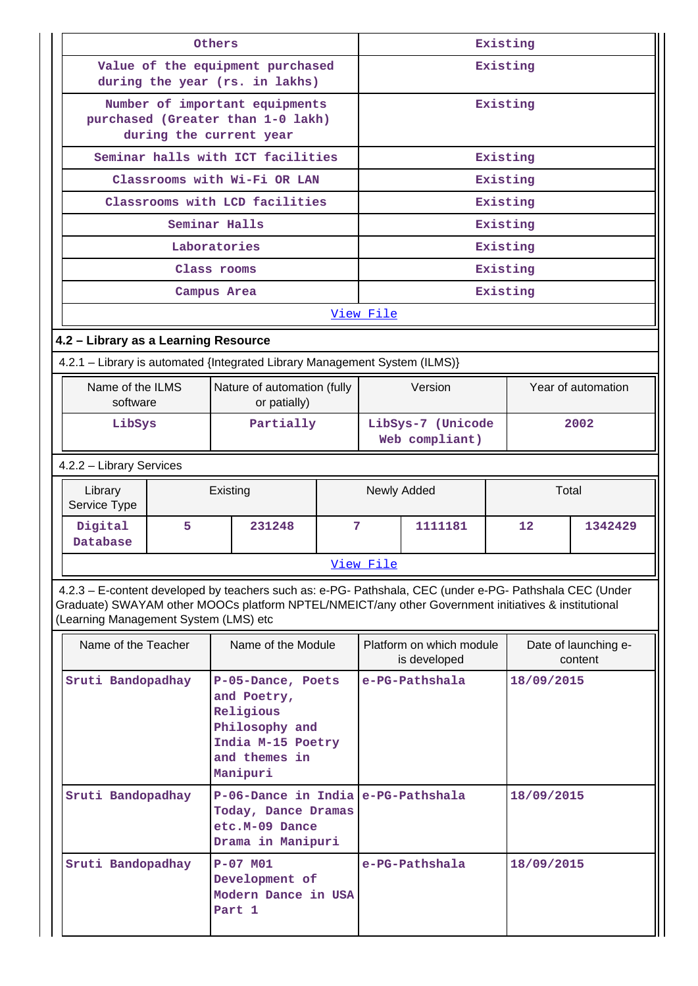|                   |                                       | Others |                                                                                                                                                                                                                | Existing |                                     |                                          |            |            |                                 |
|-------------------|---------------------------------------|--------|----------------------------------------------------------------------------------------------------------------------------------------------------------------------------------------------------------------|----------|-------------------------------------|------------------------------------------|------------|------------|---------------------------------|
|                   |                                       |        | Value of the equipment purchased<br>during the year (rs. in lakhs)                                                                                                                                             |          |                                     |                                          |            | Existing   |                                 |
|                   |                                       |        | Number of important equipments<br>purchased (Greater than 1-0 lakh)<br>during the current year                                                                                                                 |          |                                     |                                          |            | Existing   |                                 |
|                   |                                       |        | Seminar halls with ICT facilities                                                                                                                                                                              |          |                                     |                                          |            | Existing   |                                 |
|                   |                                       |        | Classrooms with Wi-Fi OR LAN                                                                                                                                                                                   |          |                                     |                                          |            | Existing   |                                 |
|                   |                                       |        | Classrooms with LCD facilities                                                                                                                                                                                 |          | Existing                            |                                          |            |            |                                 |
|                   | Seminar Halls                         |        |                                                                                                                                                                                                                |          |                                     |                                          |            | Existing   |                                 |
|                   | Laboratories                          |        |                                                                                                                                                                                                                |          |                                     |                                          |            | Existing   |                                 |
|                   |                                       |        | Class rooms                                                                                                                                                                                                    |          |                                     |                                          |            | Existing   |                                 |
|                   |                                       |        | Campus Area                                                                                                                                                                                                    |          |                                     |                                          |            | Existing   |                                 |
|                   |                                       |        |                                                                                                                                                                                                                |          | View File                           |                                          |            |            |                                 |
|                   | 4.2 - Library as a Learning Resource  |        |                                                                                                                                                                                                                |          |                                     |                                          |            |            |                                 |
|                   |                                       |        | 4.2.1 - Library is automated {Integrated Library Management System (ILMS)}                                                                                                                                     |          |                                     |                                          |            |            |                                 |
|                   | Name of the ILMS<br>software          |        | Nature of automation (fully<br>or patially)                                                                                                                                                                    |          |                                     | Version                                  |            |            | Year of automation              |
|                   | Partially<br>LibSys                   |        |                                                                                                                                                                                                                |          | LibSys-7 (Unicode<br>Web compliant) |                                          |            | 2002       |                                 |
|                   | 4.2.2 - Library Services              |        |                                                                                                                                                                                                                |          |                                     |                                          |            |            |                                 |
|                   | Library<br>Service Type               |        | Existing                                                                                                                                                                                                       |          |                                     | Newly Added                              |            | Total      |                                 |
|                   | Digital<br>Database                   | 5.     | 231248                                                                                                                                                                                                         | 7        |                                     | 1111181                                  |            | 12         | 1342429                         |
|                   |                                       |        |                                                                                                                                                                                                                |          | View File                           |                                          |            |            |                                 |
|                   | (Learning Management System (LMS) etc |        | 4.2.3 - E-content developed by teachers such as: e-PG- Pathshala, CEC (under e-PG- Pathshala CEC (Under<br>Graduate) SWAYAM other MOOCs platform NPTEL/NMEICT/any other Government initiatives & institutional |          |                                     |                                          |            |            |                                 |
|                   | Name of the Teacher                   |        | Name of the Module                                                                                                                                                                                             |          |                                     | Platform on which module<br>is developed |            |            | Date of launching e-<br>content |
|                   | Sruti Bandopadhay                     |        | P-05-Dance, Poets<br>and Poetry,<br>Religious<br>Philosophy and<br>India M-15 Poetry<br>and themes in<br>Manipuri                                                                                              |          |                                     | e-PG-Pathshala                           |            | 18/09/2015 |                                 |
|                   | Sruti Bandopadhay                     |        | P-06-Dance in India e-PG-Pathshala<br>Today, Dance Dramas<br>etc.M-09 Dance<br>Drama in Manipuri                                                                                                               |          |                                     |                                          |            | 18/09/2015 |                                 |
| Sruti Bandopadhay |                                       |        | $P-07$ MO1<br>Development of<br>Modern Dance in USA<br>Part 1                                                                                                                                                  |          | e-PG-Pathshala                      |                                          | 18/09/2015 |            |                                 |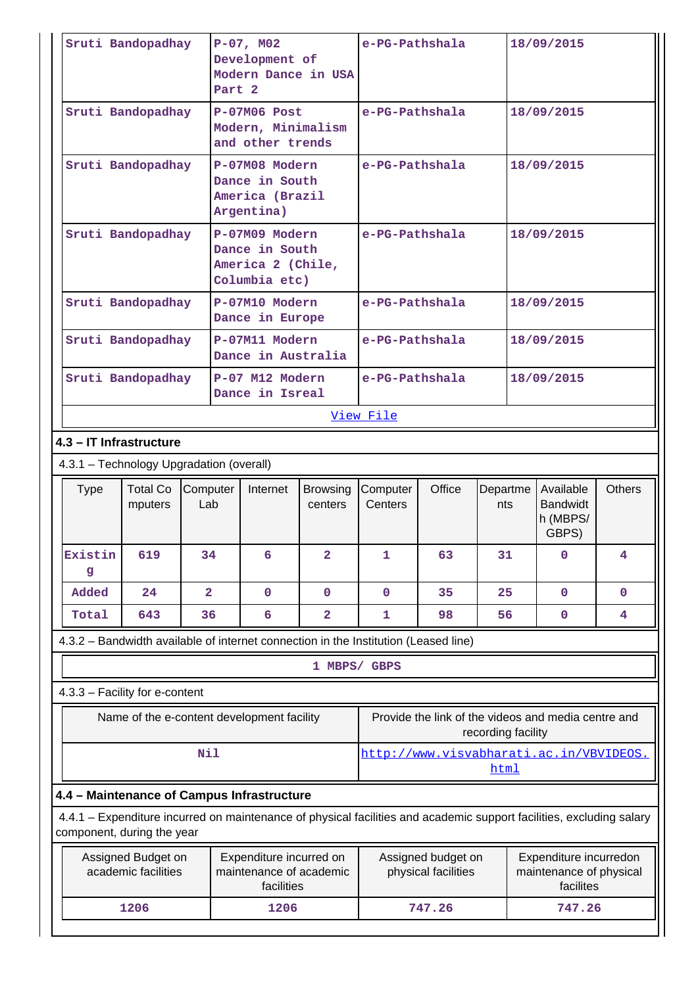|                                          | Sruti Bandopadhay                         |                 | $P-07$ , MO2<br>Development of<br>Modern Dance in USA<br>Part <sub>2</sub>                                           |                            | e-PG-Pathshala      |                                           |                    |  | 18/09/2015                                                     |                         |
|------------------------------------------|-------------------------------------------|-----------------|----------------------------------------------------------------------------------------------------------------------|----------------------------|---------------------|-------------------------------------------|--------------------|--|----------------------------------------------------------------|-------------------------|
|                                          | Sruti Bandopadhay                         |                 | $P-07M06$ Post<br>Modern, Minimalism<br>and other trends                                                             |                            | e-PG-Pathshala      |                                           |                    |  | 18/09/2015                                                     |                         |
|                                          | Sruti Bandopadhay                         |                 | P-07M08 Modern<br>Dance in South<br>America (Brazil<br>Argentina)                                                    | e-PG-Pathshala             |                     |                                           | 18/09/2015         |  |                                                                |                         |
|                                          | Sruti Bandopadhay                         |                 | P-07M09 Modern<br>Dance in South<br>America 2 (Chile,<br>Columbia etc)                                               |                            | e-PG-Pathshala      |                                           |                    |  | 18/09/2015                                                     |                         |
|                                          | Sruti Bandopadhay                         |                 | P-07M10 Modern<br>Dance in Europe                                                                                    |                            | e-PG-Pathshala      |                                           |                    |  | 18/09/2015                                                     |                         |
|                                          | Sruti Bandopadhay                         |                 | P-07M11 Modern<br>Dance in Australia                                                                                 |                            | e-PG-Pathshala      |                                           |                    |  | 18/09/2015                                                     |                         |
|                                          | Sruti Bandopadhay                         |                 | P-07 M12 Modern<br>Dance in Isreal                                                                                   |                            | e-PG-Pathshala      |                                           |                    |  | 18/09/2015                                                     |                         |
|                                          |                                           |                 |                                                                                                                      |                            | View File           |                                           |                    |  |                                                                |                         |
| 4.3 - IT Infrastructure                  |                                           |                 |                                                                                                                      |                            |                     |                                           |                    |  |                                                                |                         |
| 4.3.1 - Technology Upgradation (overall) |                                           |                 |                                                                                                                      |                            |                     |                                           |                    |  |                                                                |                         |
|                                          | <b>Total Co</b><br>mputers                |                 |                                                                                                                      |                            |                     | Office                                    |                    |  |                                                                |                         |
| <b>Type</b>                              |                                           | Computer<br>Lab | Internet                                                                                                             | <b>Browsing</b><br>centers | Computer<br>Centers |                                           | Departme<br>nts    |  | Available<br><b>Bandwidt</b><br>h (MBPS/<br>GBPS)              | <b>Others</b>           |
| Existin<br>g                             | 619                                       | 34              | 6                                                                                                                    | $\overline{2}$             | $\mathbf{1}$        | 63                                        | 31                 |  | $\overline{0}$                                                 | $\overline{\mathbf{4}}$ |
| Added                                    | 24                                        | $\overline{2}$  | $\mathbf 0$                                                                                                          | $\mathbf 0$                | $\mathbf 0$         | 35                                        | 25                 |  | $\mathbf 0$                                                    | $\mathbf 0$             |
| Total                                    | 643                                       | 36              | 6                                                                                                                    | 2                          | 1                   | 98                                        | 56                 |  | 0                                                              | 4                       |
|                                          |                                           |                 | 4.3.2 - Bandwidth available of internet connection in the Institution (Leased line)                                  |                            |                     |                                           |                    |  |                                                                |                         |
|                                          |                                           |                 |                                                                                                                      |                            | 1 MBPS/ GBPS        |                                           |                    |  |                                                                |                         |
| 4.3.3 - Facility for e-content           |                                           |                 |                                                                                                                      |                            |                     |                                           |                    |  |                                                                |                         |
|                                          |                                           |                 | Name of the e-content development facility                                                                           |                            |                     |                                           | recording facility |  | Provide the link of the videos and media centre and            |                         |
|                                          |                                           | Nil             |                                                                                                                      |                            |                     |                                           | html               |  | http://www.visvabharati.ac.in/VBVIDEOS.                        |                         |
|                                          |                                           |                 | 4.4 - Maintenance of Campus Infrastructure                                                                           |                            |                     |                                           |                    |  |                                                                |                         |
| component, during the year               |                                           |                 | 4.4.1 – Expenditure incurred on maintenance of physical facilities and academic support facilities, excluding salary |                            |                     |                                           |                    |  |                                                                |                         |
|                                          | Assigned Budget on<br>academic facilities |                 | Expenditure incurred on<br>maintenance of academic<br>facilities                                                     |                            |                     | Assigned budget on<br>physical facilities |                    |  | Expenditure incurredon<br>maintenance of physical<br>facilites |                         |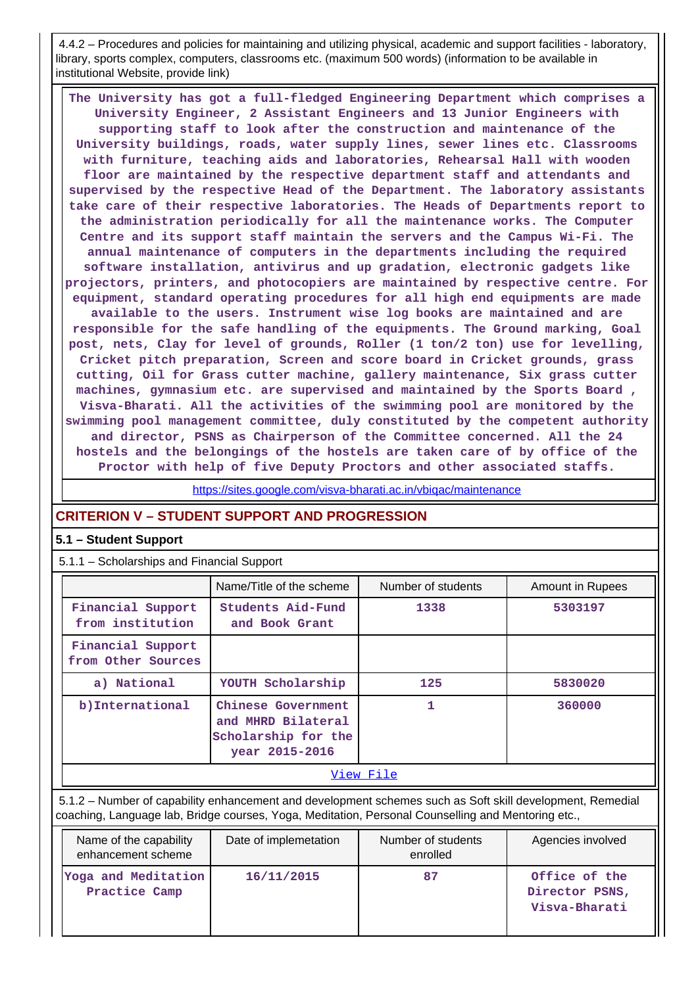4.4.2 – Procedures and policies for maintaining and utilizing physical, academic and support facilities - laboratory, library, sports complex, computers, classrooms etc. (maximum 500 words) (information to be available in institutional Website, provide link)

 **The University has got a full-fledged Engineering Department which comprises a University Engineer, 2 Assistant Engineers and 13 Junior Engineers with supporting staff to look after the construction and maintenance of the University buildings, roads, water supply lines, sewer lines etc. Classrooms with furniture, teaching aids and laboratories, Rehearsal Hall with wooden floor are maintained by the respective department staff and attendants and supervised by the respective Head of the Department. The laboratory assistants take care of their respective laboratories. The Heads of Departments report to the administration periodically for all the maintenance works. The Computer Centre and its support staff maintain the servers and the Campus Wi-Fi. The annual maintenance of computers in the departments including the required software installation, antivirus and up gradation, electronic gadgets like projectors, printers, and photocopiers are maintained by respective centre. For equipment, standard operating procedures for all high end equipments are made available to the users. Instrument wise log books are maintained and are responsible for the safe handling of the equipments. The Ground marking, Goal post, nets, Clay for level of grounds, Roller (1 ton/2 ton) use for levelling, Cricket pitch preparation, Screen and score board in Cricket grounds, grass cutting, Oil for Grass cutter machine, gallery maintenance, Six grass cutter machines, gymnasium etc. are supervised and maintained by the Sports Board , Visva-Bharati. All the activities of the swimming pool are monitored by the swimming pool management committee, duly constituted by the competent authority and director, PSNS as Chairperson of the Committee concerned. All the 24 hostels and the belongings of the hostels are taken care of by office of the Proctor with help of five Deputy Proctors and other associated staffs.**

<https://sites.google.com/visva-bharati.ac.in/vbiqac/maintenance>

## **CRITERION V – STUDENT SUPPORT AND PROGRESSION**

## **5.1 – Student Support**

5.1.1 – Scholarships and Financial Support

|                                         | Name/Title of the scheme                                                          | Number of students | <b>Amount in Rupees</b> |  |  |
|-----------------------------------------|-----------------------------------------------------------------------------------|--------------------|-------------------------|--|--|
| Financial Support<br>from institution   | Students Aid-Fund<br>and Book Grant                                               | 1338               | 5303197                 |  |  |
| Financial Support<br>from Other Sources |                                                                                   |                    |                         |  |  |
| a) National                             | YOUTH Scholarship                                                                 | 125                | 5830020                 |  |  |
| b) International                        | Chinese Government<br>and MHRD Bilateral<br>Scholarship for the<br>year 2015-2016 | 1                  | 360000                  |  |  |
|                                         |                                                                                   | View File          |                         |  |  |

 5.1.2 – Number of capability enhancement and development schemes such as Soft skill development, Remedial coaching, Language lab, Bridge courses, Yoga, Meditation, Personal Counselling and Mentoring etc.,

| Name of the capability<br>enhancement scheme | Date of implemetation | Number of students<br>enrolled | Agencies involved                                |
|----------------------------------------------|-----------------------|--------------------------------|--------------------------------------------------|
| Yoga and Meditation<br>Practice Camp         | 16/11/2015            | 87                             | Office of the<br>Director PSNS,<br>Visva-Bharati |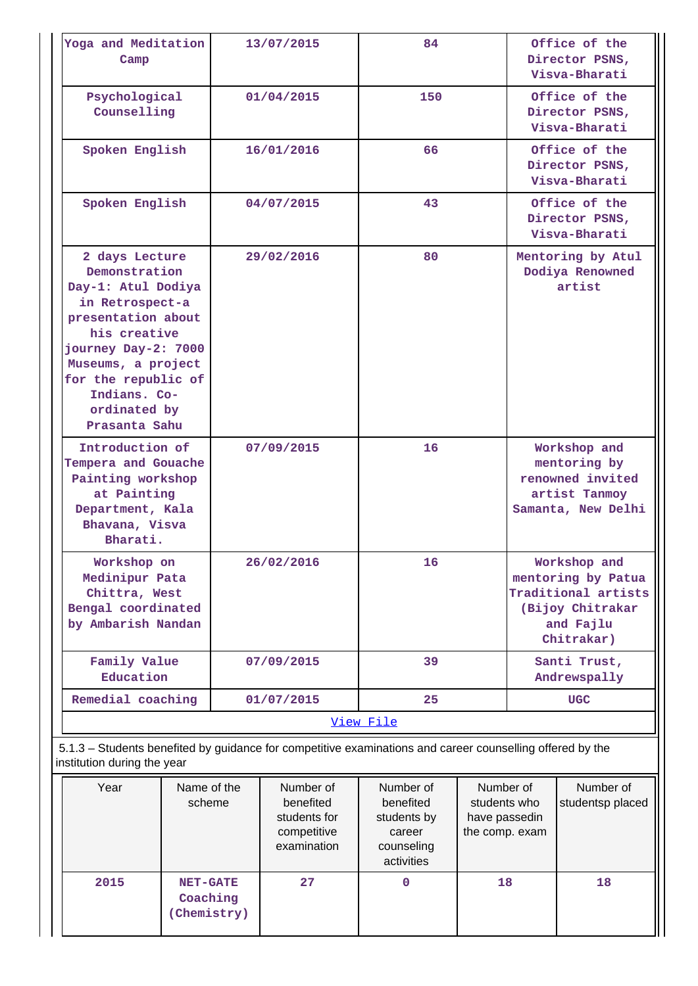| Yoga and Meditation<br>Camp                                                                                                                                                                                                         | 13/07/2015 | 84        | Office of the<br>Director PSNS,<br>Visya-Bharati                                                         |
|-------------------------------------------------------------------------------------------------------------------------------------------------------------------------------------------------------------------------------------|------------|-----------|----------------------------------------------------------------------------------------------------------|
| Psychological<br>Counselling                                                                                                                                                                                                        | 01/04/2015 | 150       | Office of the<br>Director PSNS,<br>Visva-Bharati                                                         |
| Spoken English                                                                                                                                                                                                                      | 16/01/2016 | 66        | Office of the<br>Director PSNS,<br>Visva-Bharati                                                         |
| Spoken English                                                                                                                                                                                                                      | 04/07/2015 | 43        | Office of the<br>Director PSNS,<br>Visva-Bharati                                                         |
| 2 days Lecture<br>Demonstration<br>Day-1: Atul Dodiya<br>in Retrospect-a<br>presentation about<br>his creative<br>journey Day-2: 7000<br>Museums, a project<br>for the republic of<br>Indians. Co-<br>ordinated by<br>Prasanta Sahu | 29/02/2016 | 80        | Mentoring by Atul<br>Dodiya Renowned<br>artist                                                           |
| Introduction of<br>Tempera and Gouache<br>Painting workshop<br>at Painting<br>Department, Kala<br>Bhavana, Visva<br>Bharati.                                                                                                        | 07/09/2015 | 16        | Workshop and<br>mentoring by<br>renowned invited<br>artist Tanmoy<br>Samanta, New Delhi                  |
| Workshop on<br>Medinipur Pata<br>Chittra, West<br>Bengal coordinated<br>by Ambarish Nandan                                                                                                                                          | 26/02/2016 | 16        | Workshop and<br>mentoring by Patua<br>Traditional artists<br>(Bijoy Chitrakar<br>and Fajlu<br>Chitrakar) |
| Family Value<br>Education                                                                                                                                                                                                           | 07/09/2015 | 39        | Santi Trust,<br>Andrewspally                                                                             |
| Remedial coaching                                                                                                                                                                                                                   | 01/07/2015 | 25        | <b>UGC</b>                                                                                               |
|                                                                                                                                                                                                                                     |            | View File |                                                                                                          |
| 5.1.3 – Students benefited by guidance for competitive examinations and career counselling offered by the<br>institution during the year                                                                                            |            |           |                                                                                                          |
|                                                                                                                                                                                                                                     |            |           |                                                                                                          |

| Year | Name of the<br>scheme                     | Number of<br>benefited<br>students for<br>competitive<br>examination | Number of<br>benefited<br>students by<br>career<br>counseling<br>activities | Number of<br>students who<br>have passedin<br>the comp. exam | Number of<br>studentsp placed |
|------|-------------------------------------------|----------------------------------------------------------------------|-----------------------------------------------------------------------------|--------------------------------------------------------------|-------------------------------|
| 2015 | <b>NET-GATE</b><br>Coaching<br>Chemistry) | 27                                                                   | 0                                                                           | 18                                                           | 18                            |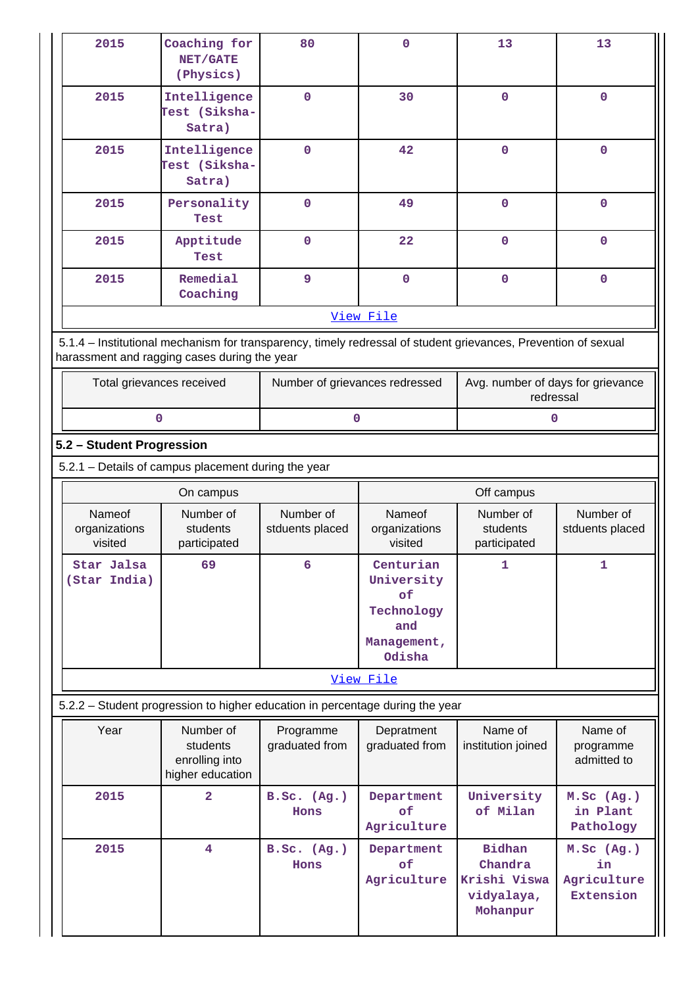| 2015                                                                                                                                                           | Coaching for<br>NET/GATE<br>(Physics)                       | 80                             | $\mathbf 0$                                                                 | 13                                             | 13                                  |  |  |  |  |
|----------------------------------------------------------------------------------------------------------------------------------------------------------------|-------------------------------------------------------------|--------------------------------|-----------------------------------------------------------------------------|------------------------------------------------|-------------------------------------|--|--|--|--|
| 2015                                                                                                                                                           | Intelligence<br>Test (Siksha-<br>Satra)                     | $\mathbf 0$                    | 30                                                                          | $\mathbf 0$                                    | $\mathbf 0$                         |  |  |  |  |
| 2015                                                                                                                                                           | Intelligence<br>Test (Siksha-<br>Satra)                     | $\mathbf 0$                    | 42                                                                          | $\mathbf 0$                                    | $\mathbf 0$                         |  |  |  |  |
| 2015                                                                                                                                                           | Personality<br>Test                                         | $\mathbf 0$                    | 49                                                                          | $\mathbf 0$                                    | $\mathbf 0$                         |  |  |  |  |
| 2015                                                                                                                                                           | Apptitude<br>Test                                           | $\mathbf 0$                    | 22                                                                          | $\mathbf 0$                                    | $\mathbf 0$                         |  |  |  |  |
| 2015                                                                                                                                                           | Remedial<br>Coaching                                        | 9                              | $\mathbf 0$                                                                 | $\mathbf 0$                                    | $\mathbf 0$                         |  |  |  |  |
|                                                                                                                                                                |                                                             |                                | View File                                                                   |                                                |                                     |  |  |  |  |
| 5.1.4 - Institutional mechanism for transparency, timely redressal of student grievances, Prevention of sexual<br>harassment and ragging cases during the year |                                                             |                                |                                                                             |                                                |                                     |  |  |  |  |
| Total grievances received                                                                                                                                      |                                                             | Number of grievances redressed |                                                                             | Avg. number of days for grievance<br>redressal |                                     |  |  |  |  |
| $\mathbf{O}$                                                                                                                                                   |                                                             | 0                              |                                                                             | 0                                              |                                     |  |  |  |  |
| 5.2 - Student Progression                                                                                                                                      |                                                             |                                |                                                                             |                                                |                                     |  |  |  |  |
| 5.2.1 - Details of campus placement during the year                                                                                                            |                                                             |                                |                                                                             |                                                |                                     |  |  |  |  |
|                                                                                                                                                                | On campus                                                   |                                |                                                                             | Off campus                                     |                                     |  |  |  |  |
|                                                                                                                                                                |                                                             |                                |                                                                             |                                                |                                     |  |  |  |  |
| Nameof<br>organizations<br>visited                                                                                                                             | Number of<br>students<br>participated                       | Number of<br>stduents placed   | <b>Nameof</b><br>organizations<br>visited                                   | Number of<br>students<br>participated          | Number of<br>stduents placed        |  |  |  |  |
| Star Jalsa<br>(Star India)                                                                                                                                     | 69                                                          | 6                              | Centurian<br>University<br>of<br>Technology<br>and<br>Management,<br>Odisha | 1                                              | 1                                   |  |  |  |  |
|                                                                                                                                                                |                                                             |                                | View File                                                                   |                                                |                                     |  |  |  |  |
| 5.2.2 - Student progression to higher education in percentage during the year                                                                                  |                                                             |                                |                                                                             |                                                |                                     |  |  |  |  |
| Year                                                                                                                                                           | Number of<br>students<br>enrolling into<br>higher education | Programme<br>graduated from    | Depratment<br>graduated from                                                | Name of<br>institution joined                  | Name of<br>programme<br>admitted to |  |  |  |  |
| 2015                                                                                                                                                           | 2                                                           | B.Sc. (Ag.)<br>Hons            | Department<br>of<br>Agriculture                                             | University<br>of Milan                         | M.Sc (Ag.)<br>in Plant<br>Pathology |  |  |  |  |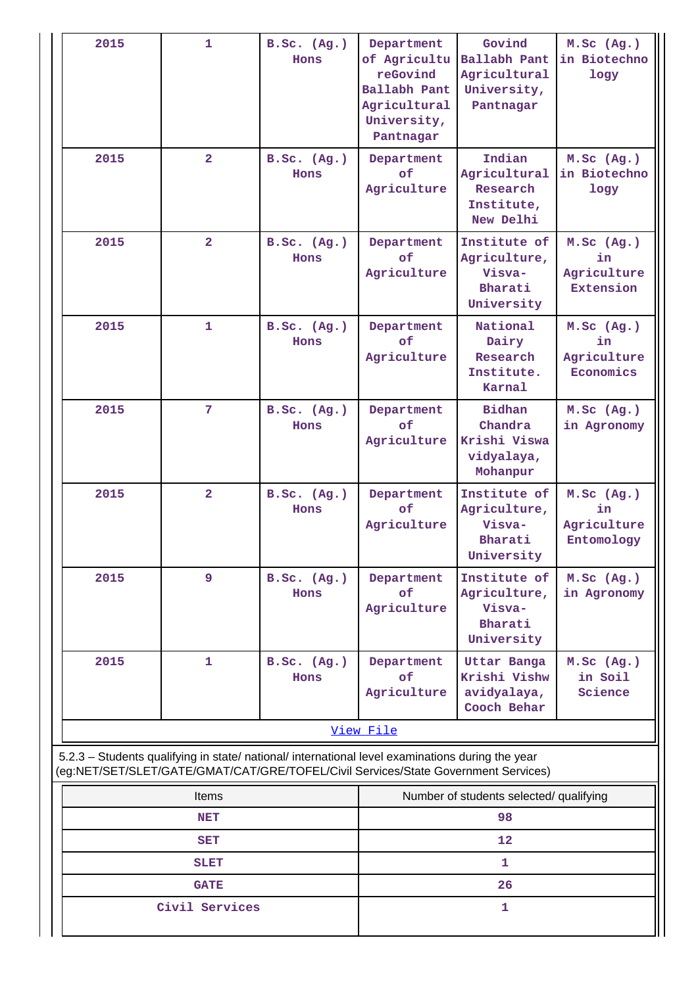| 2015                                                                                                                                                                                   | $\mathbf{1}$            | B.Sc. (Ag.)<br>Hons | Department<br>of Agricultu<br>reGovind<br>Ballabh Pant<br>Agricultural<br>University,<br>Pantnagar | Govind<br>Ballabh Pant<br>Agricultural<br>University,<br>Pantnagar | M.Sc (Ag.)<br>in Biotechno<br>logy                  |  |
|----------------------------------------------------------------------------------------------------------------------------------------------------------------------------------------|-------------------------|---------------------|----------------------------------------------------------------------------------------------------|--------------------------------------------------------------------|-----------------------------------------------------|--|
| 2015                                                                                                                                                                                   | $\overline{\mathbf{2}}$ | B.Sc. (Ag.)<br>Hons | Department<br>of<br>Agriculture                                                                    | Indian<br>Agricultural<br>Research<br>Institute,<br>New Delhi      | M.Sc (Ag.)<br>in Biotechno<br>logy                  |  |
| 2015                                                                                                                                                                                   | $\overline{\mathbf{2}}$ | B.Sc. (Ag.)<br>Hons | Department<br>of<br>Agriculture                                                                    | Institute of<br>Agriculture,<br>Visva-<br>Bharati<br>University    | M.SC (Ag.)<br>in<br>Agriculture<br><b>Extension</b> |  |
| 2015                                                                                                                                                                                   | $\mathbf{1}$            | B.Sc. (Ag.)<br>Hons | Department<br>of<br>Agriculture                                                                    | National<br>Dairy<br>Research<br>Institute.<br>Karnal              | M.Sc (Ag.)<br>in<br>Agriculture<br>Economics        |  |
| 2015                                                                                                                                                                                   | $\overline{7}$          | B.Sc. (Ag.)<br>Hons | Department<br>of<br>Agriculture                                                                    | <b>Bidhan</b><br>Chandra<br>Krishi Viswa<br>vidyalaya,<br>Mohanpur | M.Sc (Ag.)<br>in Agronomy                           |  |
| 2015                                                                                                                                                                                   | $\overline{2}$          | B.Sc. (Ag.)<br>Hons | Department<br>of<br>Agriculture                                                                    | Institute of<br>Agriculture,<br>Visva-<br>Bharati<br>University    | M.Sc (Ag.)<br>in<br>Agriculture<br>Entomology       |  |
| 2015                                                                                                                                                                                   | 9                       | B.Sc. (Ag.)<br>Hons | Institute of<br>Department<br>of<br>Agriculture,<br>Agriculture<br>Visva-<br>Bharati<br>University |                                                                    | M.Sc (Ag.)<br>in Agronomy                           |  |
| 2015                                                                                                                                                                                   | $\mathbf{1}$            | B.Sc. (Ag.)<br>Hons | Department<br>of<br>Agriculture                                                                    | Uttar Banga<br>Krishi Vishw<br>avidyalaya,<br>Cooch Behar          | M.Sc (Ag.)<br>in Soil<br>Science                    |  |
|                                                                                                                                                                                        |                         |                     | View File                                                                                          |                                                                    |                                                     |  |
| 5.2.3 - Students qualifying in state/ national/ international level examinations during the year<br>(eg:NET/SET/SLET/GATE/GMAT/CAT/GRE/TOFEL/Civil Services/State Government Services) |                         |                     |                                                                                                    |                                                                    |                                                     |  |
|                                                                                                                                                                                        | <b>Items</b>            |                     |                                                                                                    | Number of students selected/ qualifying                            |                                                     |  |
|                                                                                                                                                                                        | <b>NET</b>              |                     | 98                                                                                                 |                                                                    |                                                     |  |
|                                                                                                                                                                                        | <b>SET</b>              |                     |                                                                                                    | 12                                                                 |                                                     |  |
|                                                                                                                                                                                        | <b>SLET</b>             |                     |                                                                                                    | 1                                                                  |                                                     |  |

**GATE** 26

**Civil Services 1**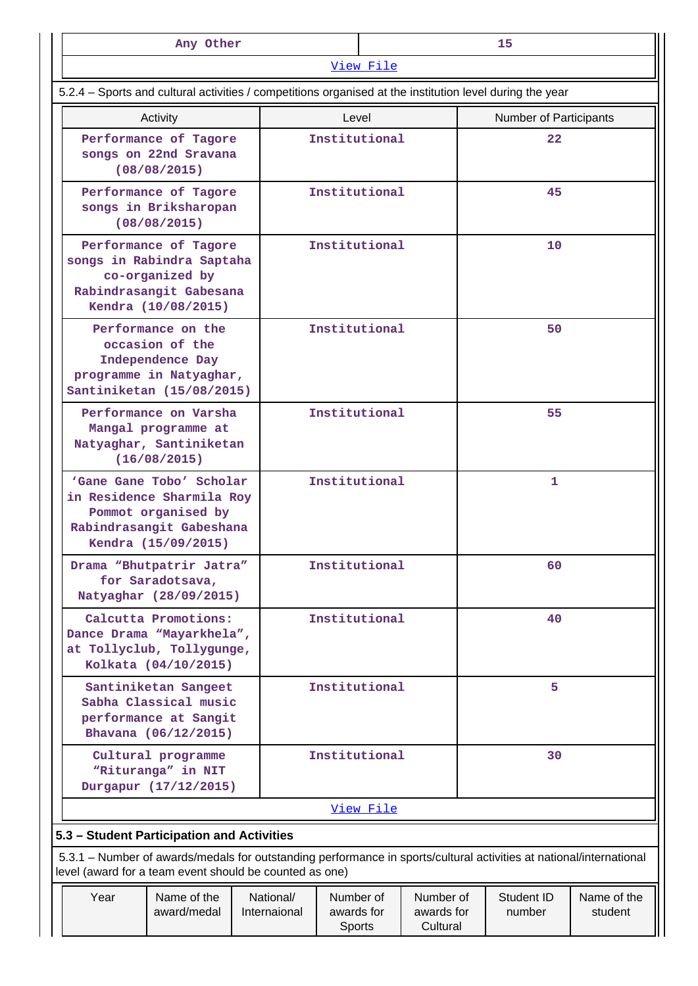| Any Other<br>15                                                                                                         |                                                                                                                                                                                |  |                           |                                                                          |                     |  |  |                               |                        |  |
|-------------------------------------------------------------------------------------------------------------------------|--------------------------------------------------------------------------------------------------------------------------------------------------------------------------------|--|---------------------------|--------------------------------------------------------------------------|---------------------|--|--|-------------------------------|------------------------|--|
|                                                                                                                         |                                                                                                                                                                                |  |                           |                                                                          | View File           |  |  |                               |                        |  |
|                                                                                                                         | 5.2.4 – Sports and cultural activities / competitions organised at the institution level during the year                                                                       |  |                           |                                                                          |                     |  |  |                               |                        |  |
|                                                                                                                         | Activity                                                                                                                                                                       |  |                           | Level                                                                    |                     |  |  | <b>Number of Participants</b> |                        |  |
|                                                                                                                         | Performance of Tagore<br>songs on 22nd Sravana<br>(08/08/2015)                                                                                                                 |  |                           | Institutional                                                            |                     |  |  | 22                            |                        |  |
|                                                                                                                         | Performance of Tagore<br>songs in Briksharopan<br>(08/08/2015)                                                                                                                 |  |                           | Institutional                                                            |                     |  |  | 45                            |                        |  |
| Performance of Tagore<br>songs in Rabindra Saptaha<br>co-organized by<br>Rabindrasangit Gabesana<br>Kendra (10/08/2015) |                                                                                                                                                                                |  |                           | Institutional                                                            |                     |  |  | 10                            |                        |  |
| Performance on the<br>occasion of the<br>Independence Day<br>programme in Natyaghar,<br>Santiniketan (15/08/2015)       |                                                                                                                                                                                |  |                           | Institutional                                                            |                     |  |  | 50                            |                        |  |
| Performance on Varsha<br>Mangal programme at<br>Natyaghar, Santiniketan<br>(16/08/2015)                                 |                                                                                                                                                                                |  |                           | Institutional                                                            |                     |  |  | 55                            |                        |  |
|                                                                                                                         | 'Gane Gane Tobo' Scholar<br>in Residence Sharmila Roy<br>Pommot organised by<br>Rabindrasangit Gabeshana<br>Kendra (15/09/2015)                                                |  |                           | Institutional                                                            |                     |  |  | 1                             |                        |  |
|                                                                                                                         | Drama "Bhutpatrir Jatra"<br>for Saradotsava,<br>Natyaghar (28/09/2015)                                                                                                         |  |                           | Institutional                                                            |                     |  |  | 60                            |                        |  |
|                                                                                                                         | Calcutta Promotions:<br>Dance Drama "Mayarkhela",<br>at Tollyclub, Tollygunge,<br>Kolkata (04/10/2015)                                                                         |  |                           |                                                                          | Institutional<br>40 |  |  |                               |                        |  |
|                                                                                                                         | Santiniketan Sangeet<br>Sabha Classical music<br>performance at Sangit<br>Bhavana (06/12/2015)                                                                                 |  |                           | Institutional                                                            |                     |  |  | 5                             |                        |  |
|                                                                                                                         | Cultural programme<br>"Rituranga" in NIT<br>Durgapur (17/12/2015)                                                                                                              |  |                           | Institutional                                                            |                     |  |  | 30                            |                        |  |
|                                                                                                                         |                                                                                                                                                                                |  |                           |                                                                          | View File           |  |  |                               |                        |  |
|                                                                                                                         | 5.3 - Student Participation and Activities                                                                                                                                     |  |                           |                                                                          |                     |  |  |                               |                        |  |
|                                                                                                                         | 5.3.1 – Number of awards/medals for outstanding performance in sports/cultural activities at national/international<br>level (award for a team event should be counted as one) |  |                           |                                                                          |                     |  |  |                               |                        |  |
| Year                                                                                                                    | Name of the<br>award/medal                                                                                                                                                     |  | National/<br>Internaional | Number of<br>Number of<br>awards for<br>awards for<br>Cultural<br>Sports |                     |  |  | Student ID<br>number          | Name of the<br>student |  |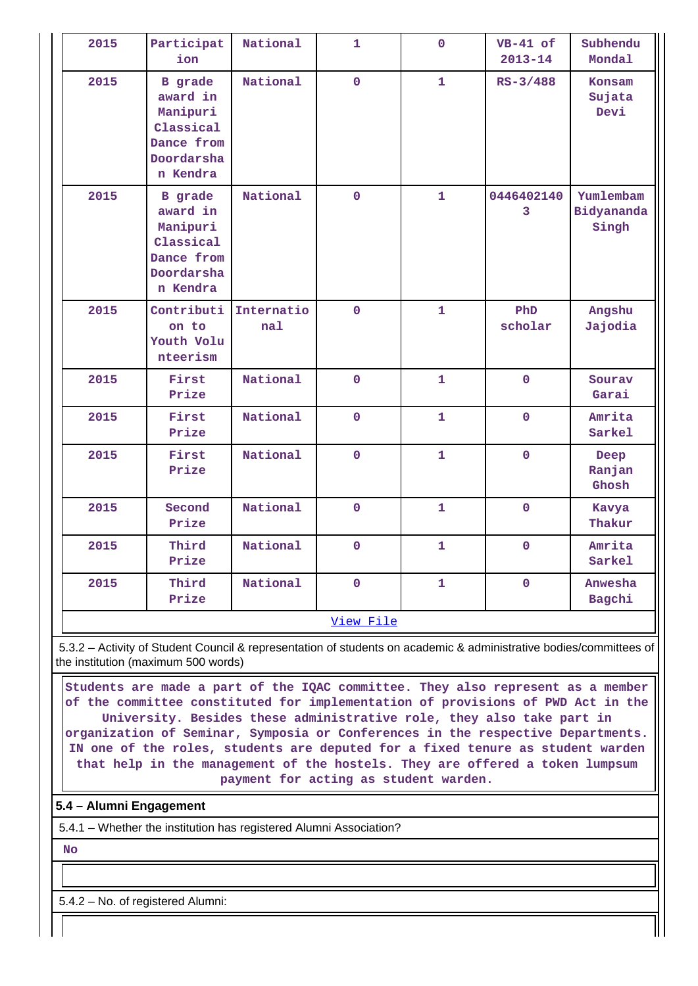| 2015 | Participat<br>ion                                                                           | National          | $\mathbf{1}$   | $\mathbf{O}$ | $VB-41$ of<br>$2013 - 14$ | Subhendu<br>Mondal               |
|------|---------------------------------------------------------------------------------------------|-------------------|----------------|--------------|---------------------------|----------------------------------|
| 2015 | <b>B</b> grade<br>award in<br>Manipuri<br>Classical<br>Dance from<br>Doordarsha<br>n Kendra | National          | $\mathbf 0$    | $\mathbf{1}$ | $RS - 3/488$              | Konsam<br>Sujata<br>Devi         |
| 2015 | <b>B</b> grade<br>award in<br>Manipuri<br>Classical<br>Dance from<br>Doordarsha<br>n Kendra | National          | $\mathbf 0$    | $\mathbf{1}$ | 0446402140<br>3           | Yumlembam<br>Bidyananda<br>Singh |
| 2015 | Contributi<br>on to<br>Youth Volu<br>nteerism                                               | Internatio<br>nal | $\overline{0}$ | $\mathbf{1}$ | PhD<br>scholar            | Angshu<br>Jajodia                |
| 2015 | First<br>Prize                                                                              | National          | $\mathbf{O}$   | $\mathbf{1}$ | $\mathbf{0}$              | Sourav<br>Garai                  |
| 2015 | First<br>Prize                                                                              | National          | $\mathbf 0$    | $\mathbf{1}$ | $\mathbf 0$               | Amrita<br>Sarkel                 |
| 2015 | First<br>Prize                                                                              | National          | $\overline{0}$ | $\mathbf{1}$ | $\overline{0}$            | Deep<br>Ranjan<br>Ghosh          |
| 2015 | Second<br>Prize                                                                             | National          | $\mathbf 0$    | $\mathbf{1}$ | $\mathbf 0$               | Kavya<br>Thakur                  |
| 2015 | Third<br>Prize                                                                              | National          | $\mathbf 0$    | 1            | $\mathbf 0$               | Amrita<br>Sarkel                 |
| 2015 | Third<br>Prize                                                                              | National          | $\mathbf 0$    | 1            | $\mathbf 0$               | Anwesha<br>Bagchi                |
|      |                                                                                             |                   | View File      |              |                           |                                  |

 5.3.2 – Activity of Student Council & representation of students on academic & administrative bodies/committees of the institution (maximum 500 words)

 **Students are made a part of the IQAC committee. They also represent as a member of the committee constituted for implementation of provisions of PWD Act in the University. Besides these administrative role, they also take part in organization of Seminar, Symposia or Conferences in the respective Departments. IN one of the roles, students are deputed for a fixed tenure as student warden that help in the management of the hostels. They are offered a token lumpsum payment for acting as student warden.**

## **5.4 – Alumni Engagement**

5.4.1 – Whether the institution has registered Alumni Association?

 **No**

5.4.2 – No. of registered Alumni: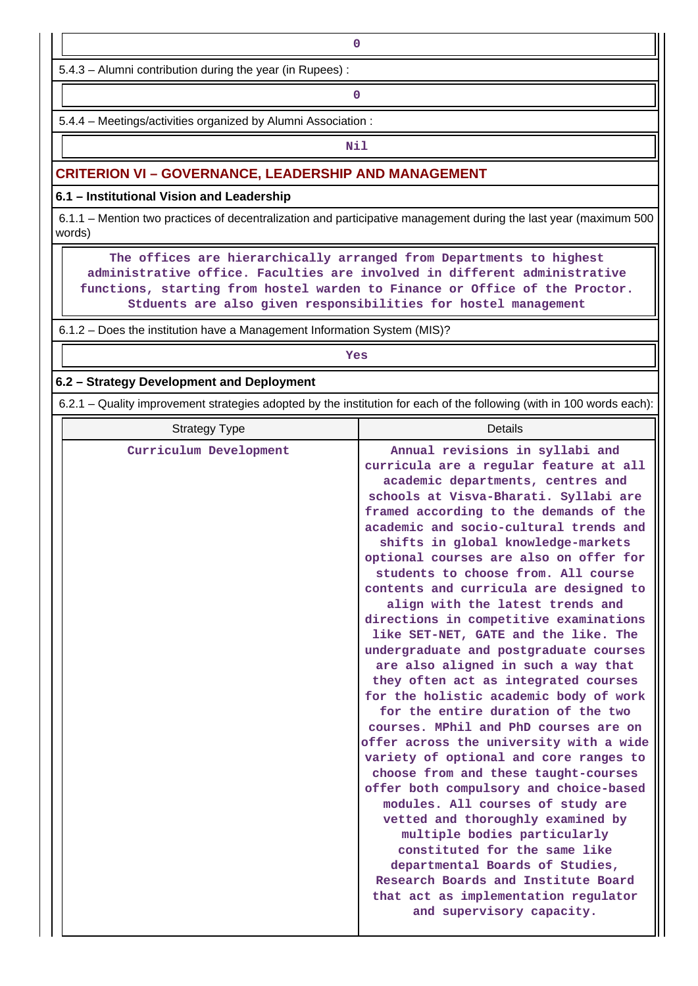5.4.3 – Alumni contribution during the year (in Rupees) :

**0**

5.4.4 – Meetings/activities organized by Alumni Association :

## **Nil**

### **CRITERION VI – GOVERNANCE, LEADERSHIP AND MANAGEMENT**

#### **6.1 – Institutional Vision and Leadership**

 6.1.1 – Mention two practices of decentralization and participative management during the last year (maximum 500 words)

 **The offices are hierarchically arranged from Departments to highest administrative office. Faculties are involved in different administrative functions, starting from hostel warden to Finance or Office of the Proctor. Stduents are also given responsibilities for hostel management**

6.1.2 – Does the institution have a Management Information System (MIS)?

## *Yes*

#### **6.2 – Strategy Development and Deployment**

6.2.1 – Quality improvement strategies adopted by the institution for each of the following (with in 100 words each):

| <b>Strategy Type</b>   | <b>Details</b>                                                                                                                                                                                                                                                                                                                                                                                                                                                                                                                                                                                                                                                                                                                                                                                                                                                                                                                                                                                                                                                                                                                                                                                                                                        |
|------------------------|-------------------------------------------------------------------------------------------------------------------------------------------------------------------------------------------------------------------------------------------------------------------------------------------------------------------------------------------------------------------------------------------------------------------------------------------------------------------------------------------------------------------------------------------------------------------------------------------------------------------------------------------------------------------------------------------------------------------------------------------------------------------------------------------------------------------------------------------------------------------------------------------------------------------------------------------------------------------------------------------------------------------------------------------------------------------------------------------------------------------------------------------------------------------------------------------------------------------------------------------------------|
| Curriculum Development | Annual revisions in syllabi and<br>curricula are a regular feature at all<br>academic departments, centres and<br>schools at Visva-Bharati. Syllabi are<br>framed according to the demands of the<br>academic and socio-cultural trends and<br>shifts in global knowledge-markets<br>optional courses are also on offer for<br>students to choose from. All course<br>contents and curricula are designed to<br>align with the latest trends and<br>directions in competitive examinations<br>like SET-NET, GATE and the like. The<br>undergraduate and postgraduate courses<br>are also aligned in such a way that<br>they often act as integrated courses<br>for the holistic academic body of work<br>for the entire duration of the two<br>courses. MPhil and PhD courses are on<br>offer across the university with a wide<br>variety of optional and core ranges to<br>choose from and these taught-courses<br>offer both compulsory and choice-based<br>modules. All courses of study are<br>vetted and thoroughly examined by<br>multiple bodies particularly<br>constituted for the same like<br>departmental Boards of Studies,<br>Research Boards and Institute Board<br>that act as implementation regulator<br>and supervisory capacity. |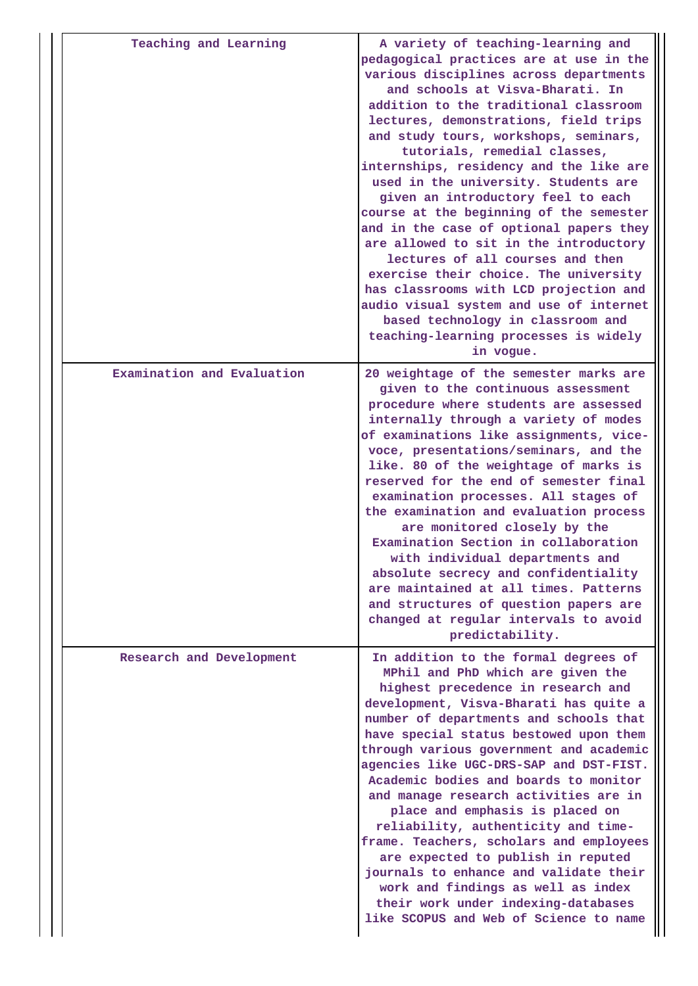| Teaching and Learning      | A variety of teaching-learning and<br>pedagogical practices are at use in the<br>various disciplines across departments<br>and schools at Visva-Bharati. In<br>addition to the traditional classroom<br>lectures, demonstrations, field trips<br>and study tours, workshops, seminars,<br>tutorials, remedial classes,<br>internships, residency and the like are<br>used in the university. Students are<br>given an introductory feel to each<br>course at the beginning of the semester<br>and in the case of optional papers they<br>are allowed to sit in the introductory<br>lectures of all courses and then<br>exercise their choice. The university<br>has classrooms with LCD projection and<br>audio visual system and use of internet<br>based technology in classroom and<br>teaching-learning processes is widely<br>in vogue. |
|----------------------------|----------------------------------------------------------------------------------------------------------------------------------------------------------------------------------------------------------------------------------------------------------------------------------------------------------------------------------------------------------------------------------------------------------------------------------------------------------------------------------------------------------------------------------------------------------------------------------------------------------------------------------------------------------------------------------------------------------------------------------------------------------------------------------------------------------------------------------------------|
| Examination and Evaluation | 20 weightage of the semester marks are<br>given to the continuous assessment<br>procedure where students are assessed<br>internally through a variety of modes<br>of examinations like assignments, vice-<br>voce, presentations/seminars, and the<br>like. 80 of the weightage of marks is<br>reserved for the end of semester final<br>examination processes. All stages of<br>the examination and evaluation process<br>are monitored closely by the<br>Examination Section in collaboration<br>with individual departments and<br>absolute secrecy and confidentiality<br>are maintained at all times. Patterns<br>and structures of question papers are<br>changed at regular intervals to avoid<br>predictability.                                                                                                                     |
| Research and Development   | In addition to the formal degrees of<br>MPhil and PhD which are given the<br>highest precedence in research and<br>development, Visva-Bharati has quite a<br>number of departments and schools that<br>have special status bestowed upon them<br>through various government and academic<br>agencies like UGC-DRS-SAP and DST-FIST.<br>Academic bodies and boards to monitor<br>and manage research activities are in<br>place and emphasis is placed on<br>reliability, authenticity and time-<br>frame. Teachers, scholars and employees<br>are expected to publish in reputed<br>journals to enhance and validate their<br>work and findings as well as index<br>their work under indexing-databases<br>like SCOPUS and Web of Science to name                                                                                            |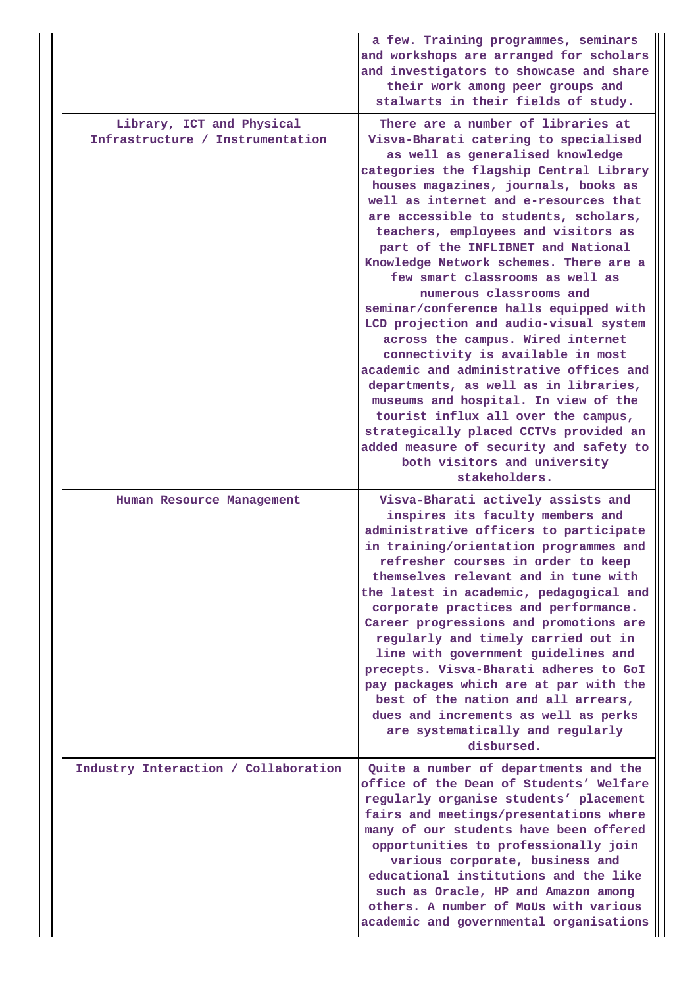|                                                               | a few. Training programmes, seminars<br>and workshops are arranged for scholars<br>and investigators to showcase and share<br>their work among peer groups and<br>stalwarts in their fields of study.                                                                                                                                                                                                                                                                                                                                                                                                                                                                                                                                                                                                                                                                                                                                            |
|---------------------------------------------------------------|--------------------------------------------------------------------------------------------------------------------------------------------------------------------------------------------------------------------------------------------------------------------------------------------------------------------------------------------------------------------------------------------------------------------------------------------------------------------------------------------------------------------------------------------------------------------------------------------------------------------------------------------------------------------------------------------------------------------------------------------------------------------------------------------------------------------------------------------------------------------------------------------------------------------------------------------------|
| Library, ICT and Physical<br>Infrastructure / Instrumentation | There are a number of libraries at<br>Visva-Bharati catering to specialised<br>as well as generalised knowledge<br>categories the flagship Central Library<br>houses magazines, journals, books as<br>well as internet and e-resources that<br>are accessible to students, scholars,<br>teachers, employees and visitors as<br>part of the INFLIBNET and National<br>Knowledge Network schemes. There are a<br>few smart classrooms as well as<br>numerous classrooms and<br>seminar/conference halls equipped with<br>LCD projection and audio-visual system<br>across the campus. Wired internet<br>connectivity is available in most<br>academic and administrative offices and<br>departments, as well as in libraries,<br>museums and hospital. In view of the<br>tourist influx all over the campus,<br>strategically placed CCTVs provided an<br>added measure of security and safety to<br>both visitors and university<br>stakeholders. |
| Human Resource Management                                     | Visva-Bharati actively assists and<br>inspires its faculty members and<br>administrative officers to participate<br>in training/orientation programmes and<br>refresher courses in order to keep<br>themselves relevant and in tune with<br>the latest in academic, pedagogical and<br>corporate practices and performance.<br>Career progressions and promotions are<br>regularly and timely carried out in<br>line with government guidelines and<br>precepts. Visva-Bharati adheres to GoI<br>pay packages which are at par with the<br>best of the nation and all arrears,<br>dues and increments as well as perks<br>are systematically and regularly<br>disbursed.                                                                                                                                                                                                                                                                         |
| Industry Interaction / Collaboration                          | Quite a number of departments and the<br>office of the Dean of Students' Welfare<br>regularly organise students' placement<br>fairs and meetings/presentations where<br>many of our students have been offered<br>opportunities to professionally join<br>various corporate, business and<br>educational institutions and the like<br>such as Oracle, HP and Amazon among<br>others. A number of MoUs with various<br>academic and governmental organisations                                                                                                                                                                                                                                                                                                                                                                                                                                                                                    |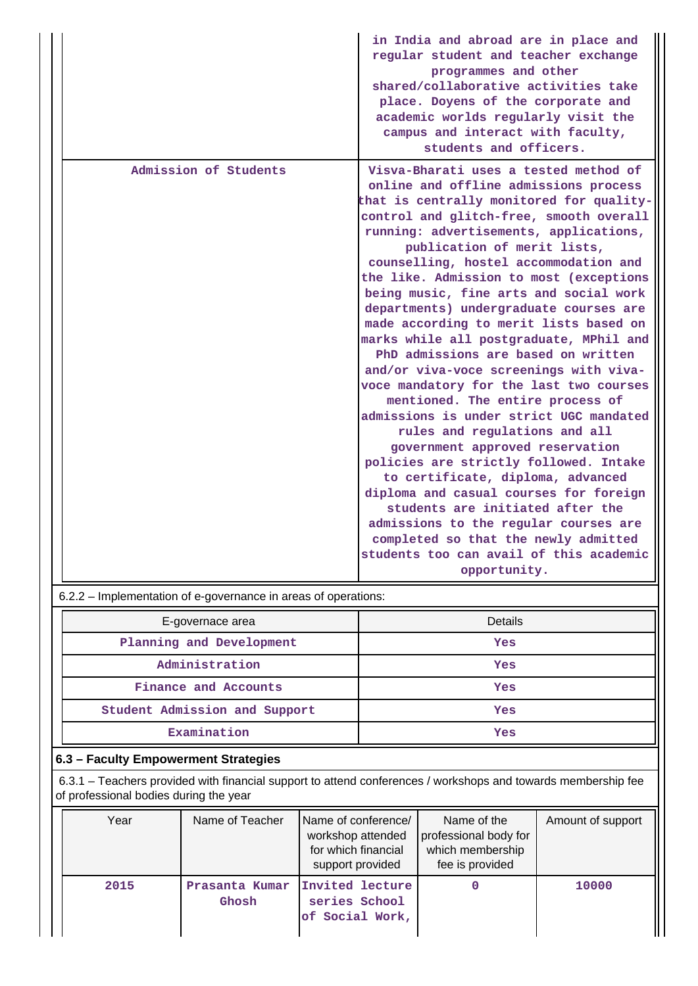|                       | in India and abroad are in place and<br>regular student and teacher exchange<br>programmes and other<br>shared/collaborative activities take<br>place. Doyens of the corporate and<br>academic worlds regularly visit the<br>campus and interact with faculty,<br>students and officers.                                                                                                                                                                                                                                                                                                                                                                                                                                                                                                                                                                                                                                                                                                                                                                                                            |
|-----------------------|-----------------------------------------------------------------------------------------------------------------------------------------------------------------------------------------------------------------------------------------------------------------------------------------------------------------------------------------------------------------------------------------------------------------------------------------------------------------------------------------------------------------------------------------------------------------------------------------------------------------------------------------------------------------------------------------------------------------------------------------------------------------------------------------------------------------------------------------------------------------------------------------------------------------------------------------------------------------------------------------------------------------------------------------------------------------------------------------------------|
| Admission of Students | Visva-Bharati uses a tested method of<br>online and offline admissions process<br>that is centrally monitored for quality-<br>control and glitch-free, smooth overall<br>running: advertisements, applications,<br>publication of merit lists,<br>counselling, hostel accommodation and<br>the like. Admission to most (exceptions<br>being music, fine arts and social work<br>departments) undergraduate courses are<br>made according to merit lists based on<br>marks while all postgraduate, MPhil and<br>PhD admissions are based on written<br>and/or viva-voce screenings with viva-<br>voce mandatory for the last two courses<br>mentioned. The entire process of<br>admissions is under strict UGC mandated<br>rules and regulations and all<br>government approved reservation<br>policies are strictly followed. Intake<br>to certificate, diploma, advanced<br>diploma and casual courses for foreign<br>students are initiated after the<br>admissions to the regular courses are<br>completed so that the newly admitted<br>students too can avail of this academic<br>opportunity. |

6.2.2 – Implementation of e-governance in areas of operations:

| E-governace area              | Details |
|-------------------------------|---------|
| Planning and Development      | Yes     |
| Administration                | Yes     |
| Finance and Accounts          | Yes     |
| Student Admission and Support | Yes     |
| Examination                   | Yes     |

# **6.3 – Faculty Empowerment Strategies**

 6.3.1 – Teachers provided with financial support to attend conferences / workshops and towards membership fee of professional bodies during the year

| Year | Name of Teacher         | Name of conference/<br>workshop attended<br>for which financial<br>support provided | Name of the<br>professional body for<br>which membership<br>fee is provided | Amount of support |
|------|-------------------------|-------------------------------------------------------------------------------------|-----------------------------------------------------------------------------|-------------------|
| 2015 | Prasanta Kumar<br>Ghosh | Invited lecture<br>series School<br>of Social Work,                                 |                                                                             | 10000             |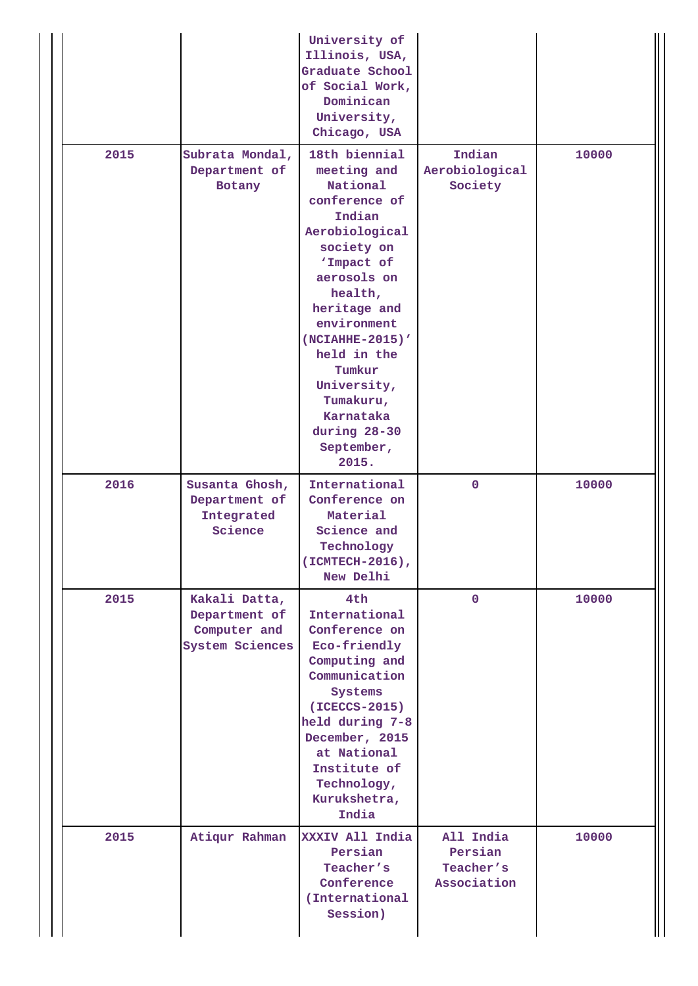|      |                                                                          | University of<br>Illinois, USA,<br>Graduate School<br>of Social Work,<br>Dominican<br>University,<br>Chicago, USA                                                                                                                                                                                      |                                                  |       |
|------|--------------------------------------------------------------------------|--------------------------------------------------------------------------------------------------------------------------------------------------------------------------------------------------------------------------------------------------------------------------------------------------------|--------------------------------------------------|-------|
| 2015 | Subrata Mondal,<br>Department of<br>Botany                               | 18th biennial<br>meeting and<br>National<br>conference of<br>Indian<br>Aerobiological<br>society on<br>'Impact of<br>aerosols on<br>health,<br>heritage and<br>environment<br>(NCIAHHE-2015)'<br>held in the<br>Tumkur<br>University,<br>Tumakuru,<br>Karnataka<br>during 28-30<br>September,<br>2015. | Indian<br>Aerobiological<br>Society              | 10000 |
| 2016 | Susanta Ghosh,<br>Department of<br>Integrated<br>Science                 | International<br>Conference on<br>Material<br>Science and<br>Technology<br>(ICMTECH-2016),<br>New Delhi                                                                                                                                                                                                | $\mathbf{O}$                                     | 10000 |
| 2015 | Kakali Datta,<br>Department of<br>Computer and<br><b>System Sciences</b> | 4th<br>International<br>Conference on<br>Eco-friendly<br>Computing and<br>Communication<br>Systems<br>(ICECCS-2015)<br>held during 7-8<br>December, 2015<br>at National<br>Institute of<br>Technology,<br>Kurukshetra,<br>India                                                                        | $\mathbf 0$                                      | 10000 |
| 2015 | Atiqur Rahman                                                            | XXXIV All India<br>Persian<br>Teacher's<br>Conference<br>(International<br>Session)                                                                                                                                                                                                                    | All India<br>Persian<br>Teacher's<br>Association | 10000 |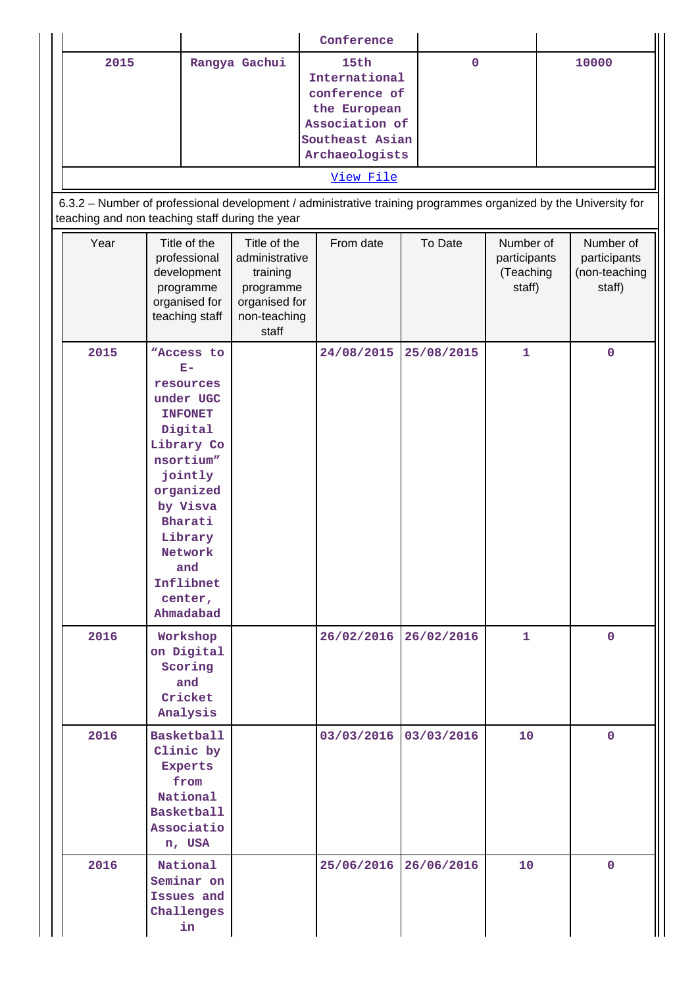|                                                                                                                                                                    |                                                                                                                                                                                                                       |                                                                                                   | Conference                                                                                                                 |             |                                                  |                                                      |
|--------------------------------------------------------------------------------------------------------------------------------------------------------------------|-----------------------------------------------------------------------------------------------------------------------------------------------------------------------------------------------------------------------|---------------------------------------------------------------------------------------------------|----------------------------------------------------------------------------------------------------------------------------|-------------|--------------------------------------------------|------------------------------------------------------|
| 2015                                                                                                                                                               |                                                                                                                                                                                                                       | Rangya Gachui                                                                                     | 15th<br>International<br>conference of<br>the European<br>Association of<br>Southeast Asian<br>Archaeologists<br>View File | $\mathbf 0$ |                                                  | 10000                                                |
| 6.3.2 - Number of professional development / administrative training programmes organized by the University for<br>teaching and non teaching staff during the year |                                                                                                                                                                                                                       |                                                                                                   |                                                                                                                            |             |                                                  |                                                      |
| Year                                                                                                                                                               | Title of the<br>professional<br>development<br>programme<br>organised for<br>teaching staff                                                                                                                           | Title of the<br>administrative<br>training<br>programme<br>organised for<br>non-teaching<br>staff | From date                                                                                                                  | To Date     | Number of<br>participants<br>(Teaching<br>staff) | Number of<br>participants<br>(non-teaching<br>staff) |
| 2015                                                                                                                                                               | "Access to<br>$E-$<br>resources<br>under UGC<br><b>INFONET</b><br>Digital<br>Library Co<br>nsortium"<br>jointly<br>organized<br>by Visva<br>Bharati<br>Library<br>Network<br>and<br>Inflibnet<br>center,<br>Ahmadabad |                                                                                                   | 24/08/2015                                                                                                                 | 25/08/2015  | $\mathbf{1}$                                     | $\pmb{0}$                                            |
| 2016                                                                                                                                                               | Workshop<br>on Digital<br>Scoring<br>and<br>Cricket<br>Analysis                                                                                                                                                       |                                                                                                   | 26/02/2016                                                                                                                 | 26/02/2016  | $\mathbf{1}$                                     | $\Omega$                                             |
| 2016                                                                                                                                                               | <b>Basketball</b><br>Clinic by<br><b>Experts</b><br>from<br>National<br><b>Basketball</b><br>Associatio<br>n, USA                                                                                                     |                                                                                                   | 03/03/2016                                                                                                                 | 03/03/2016  | 10                                               | $\mathbf{0}$                                         |
| 2016                                                                                                                                                               | National<br>Seminar on<br>Issues and<br>Challenges<br>in                                                                                                                                                              |                                                                                                   | 25/06/2016                                                                                                                 | 26/06/2016  | 10                                               | $\mathbf{0}$                                         |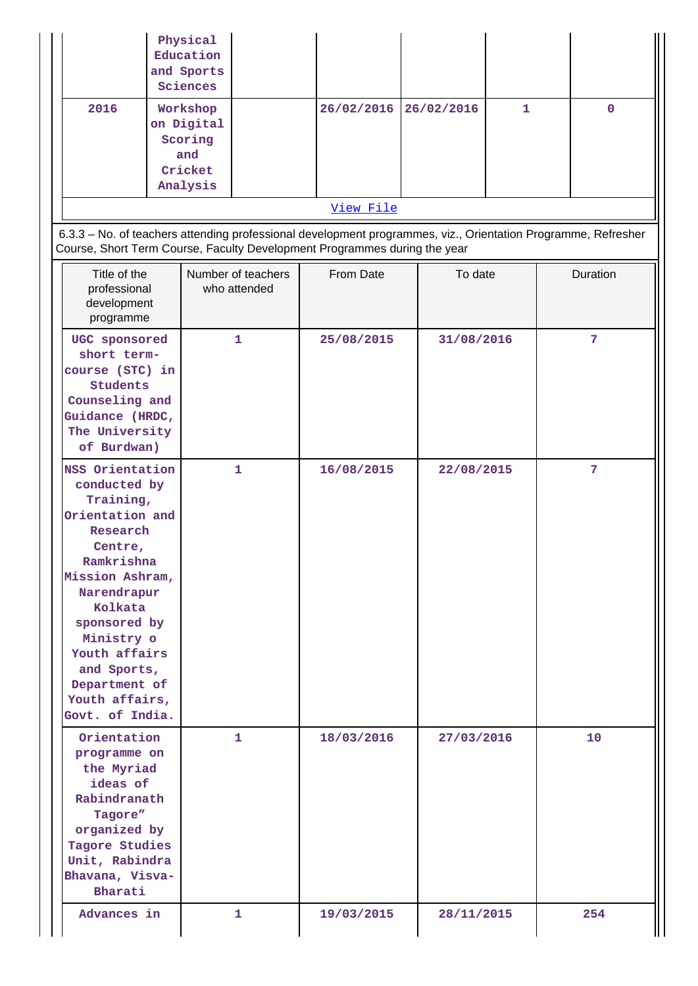|           | Physical<br>Education<br>and Sports<br>Sciences                 |  |                       |  |   |  |
|-----------|-----------------------------------------------------------------|--|-----------------------|--|---|--|
| 2016      | Workshop<br>on Digital<br>Scoring<br>and<br>Cricket<br>Analysis |  | 26/02/2016 26/02/2016 |  | 1 |  |
| View File |                                                                 |  |                       |  |   |  |

 6.3.3 – No. of teachers attending professional development programmes, viz., Orientation Programme, Refresher Course, Short Term Course, Faculty Development Programmes during the year

| Title of the<br>professional<br>development<br>programme                                                                                                                                                                                                              | Number of teachers<br>who attended | From Date  | To date    | Duration |
|-----------------------------------------------------------------------------------------------------------------------------------------------------------------------------------------------------------------------------------------------------------------------|------------------------------------|------------|------------|----------|
| UGC sponsored<br>short term-<br>course (STC) in<br><b>Students</b><br>Counseling and<br>Guidance (HRDC,<br>The University<br>of Burdwan)                                                                                                                              | 1                                  | 25/08/2015 | 31/08/2016 | 7        |
| NSS Orientation<br>conducted by<br>Training,<br>Orientation and<br>Research<br>Centre,<br>Ramkrishna<br>Mission Ashram,<br>Narendrapur<br>Kolkata<br>sponsored by<br>Ministry o<br>Youth affairs<br>and Sports,<br>Department of<br>Youth affairs,<br>Govt. of India. | $\mathbf{1}$                       | 16/08/2015 | 22/08/2015 | 7        |
| Orientation<br>programme on<br>the Myriad<br>ideas of<br>Rabindranath<br>Tagore"<br>organized by<br>Tagore Studies<br>Unit, Rabindra<br>Bhavana, Visva-<br>Bharati                                                                                                    | $\mathbf{1}$                       | 18/03/2016 | 27/03/2016 | 10       |
| Advances in                                                                                                                                                                                                                                                           | 1                                  | 19/03/2015 | 28/11/2015 | 254      |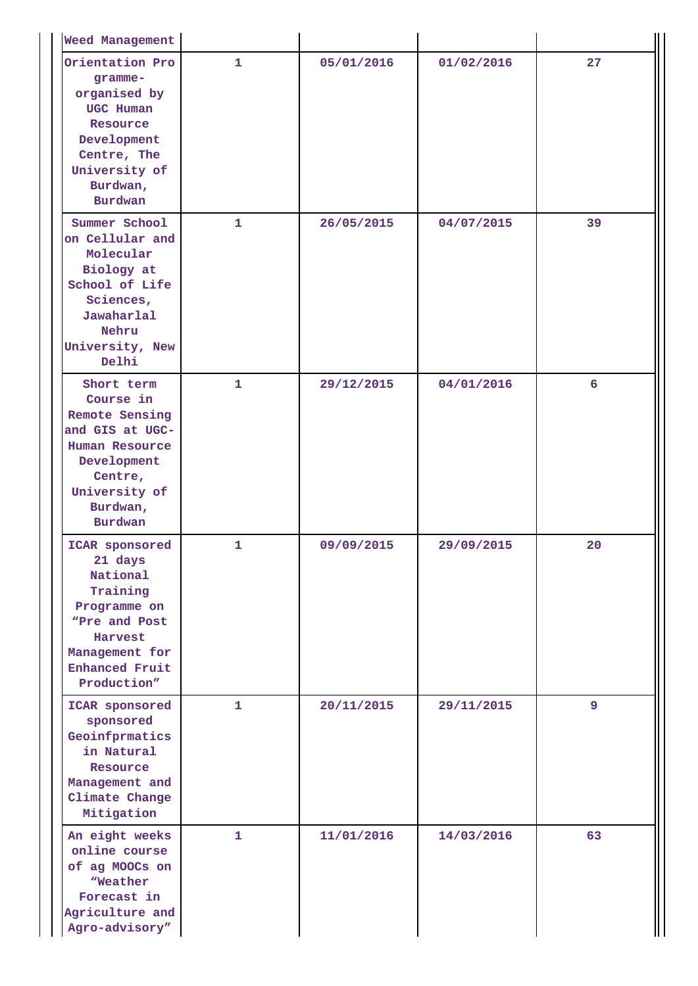| <b>Weed Management</b>                                                                                                                                  |              |            |            |    |
|---------------------------------------------------------------------------------------------------------------------------------------------------------|--------------|------------|------------|----|
| Orientation Pro<br>gramme-<br>organised by<br>UGC Human<br>Resource<br>Development<br>Centre, The<br>University of<br>Burdwan,<br><b>Burdwan</b>        | $\mathbf{1}$ | 05/01/2016 | 01/02/2016 | 27 |
| Summer School<br>on Cellular and<br>Molecular<br>Biology at<br>School of Life<br>Sciences,<br>Jawaharlal<br>Nehru<br>University, New<br>Delhi           | 1            | 26/05/2015 | 04/07/2015 | 39 |
| Short term<br>Course in<br>Remote Sensing<br>and GIS at UGC-<br>Human Resource<br>Development<br>Centre,<br>University of<br>Burdwan,<br><b>Burdwan</b> | $\mathbf{1}$ | 29/12/2015 | 04/01/2016 | 6  |
| ICAR sponsored<br>21 days<br>National<br>Training<br>Programme on<br>"Pre and Post<br>Harvest<br>Management for<br><b>Enhanced Fruit</b><br>Production" | 1            | 09/09/2015 | 29/09/2015 | 20 |
| ICAR sponsored<br>sponsored<br>Geoinfprmatics<br>in Natural<br>Resource<br>Management and<br>Climate Change<br>Mitigation                               | $\mathbf{1}$ | 20/11/2015 | 29/11/2015 | 9  |
| An eight weeks<br>online course<br>of ag MOOCs on<br>"Weather<br>Forecast in<br>Agriculture and<br>Agro-advisory"                                       | 1            | 11/01/2016 | 14/03/2016 | 63 |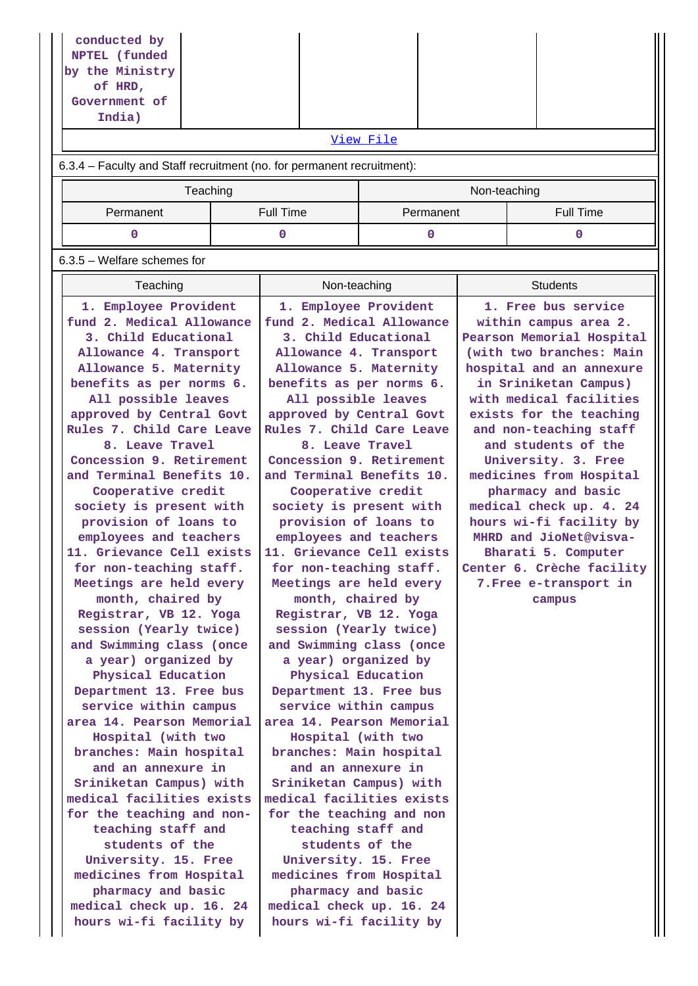| conducted by<br>NPTEL (funded                                          |                                                      |                                            |                                                      |                           |  |  |  |  |
|------------------------------------------------------------------------|------------------------------------------------------|--------------------------------------------|------------------------------------------------------|---------------------------|--|--|--|--|
| by the Ministry                                                        |                                                      |                                            |                                                      |                           |  |  |  |  |
| of HRD,                                                                |                                                      |                                            |                                                      |                           |  |  |  |  |
| Government of                                                          |                                                      |                                            |                                                      |                           |  |  |  |  |
| India)                                                                 |                                                      |                                            |                                                      |                           |  |  |  |  |
| View File                                                              |                                                      |                                            |                                                      |                           |  |  |  |  |
| 6.3.4 - Faculty and Staff recruitment (no. for permanent recruitment): |                                                      |                                            |                                                      |                           |  |  |  |  |
| Teaching                                                               |                                                      |                                            |                                                      | Non-teaching              |  |  |  |  |
| Permanent                                                              | <b>Full Time</b>                                     | Permanent                                  |                                                      | <b>Full Time</b>          |  |  |  |  |
| 0<br>$\mathbf 0$<br>0<br>$\Omega$                                      |                                                      |                                            |                                                      |                           |  |  |  |  |
| $6.3.5$ – Welfare schemes for                                          |                                                      |                                            |                                                      |                           |  |  |  |  |
| Teaching                                                               | Non-teaching                                         |                                            |                                                      | <b>Students</b>           |  |  |  |  |
| 1. Employee Provident                                                  | 1. Employee Provident                                |                                            |                                                      | 1. Free bus service       |  |  |  |  |
| fund 2. Medical Allowance                                              |                                                      | fund 2. Medical Allowance                  |                                                      | within campus area 2.     |  |  |  |  |
| 3. Child Educational<br>Allowance 4. Transport                         | Allowance 4. Transport                               | 3. Child Educational                       |                                                      | Pearson Memorial Hospital |  |  |  |  |
| Allowance 5. Maternity                                                 |                                                      | Allowance 5. Maternity                     | (with two branches: Main<br>hospital and an annexure |                           |  |  |  |  |
| benefits as per norms 6.                                               | benefits as per norms 6.                             |                                            | in Sriniketan Campus)                                |                           |  |  |  |  |
| All possible leaves                                                    | All possible leaves                                  |                                            | with medical facilities                              |                           |  |  |  |  |
| approved by Central Govt                                               |                                                      | approved by Central Govt                   | exists for the teaching                              |                           |  |  |  |  |
| Rules 7. Child Care Leave                                              |                                                      | Rules 7. Child Care Leave                  | and non-teaching staff                               |                           |  |  |  |  |
| 8. Leave Travel<br>Concession 9. Retirement                            | Concession 9. Retirement                             | 8. Leave Travel                            | and students of the<br>University. 3. Free           |                           |  |  |  |  |
| and Terminal Benefits 10.                                              | and Terminal Benefits 10.                            |                                            | medicines from Hospital                              |                           |  |  |  |  |
| Cooperative credit                                                     | Cooperative credit                                   |                                            | pharmacy and basic                                   |                           |  |  |  |  |
| society is present with                                                |                                                      | society is present with                    | medical check up. 4. 24                              |                           |  |  |  |  |
| provision of loans to                                                  |                                                      | provision of loans to                      | hours wi-fi facility by                              |                           |  |  |  |  |
| employees and teachers                                                 | employees and teachers                               |                                            | MHRD and JioNet@visva-<br>Bharati 5. Computer        |                           |  |  |  |  |
| 11. Grievance Cell exists<br>for non-teaching staff.                   | 11. Grievance Cell exists<br>for non-teaching staff. |                                            |                                                      | Center 6. Crèche facility |  |  |  |  |
| Meetings are held every                                                |                                                      | Meetings are held every                    |                                                      | 7. Free e-transport in    |  |  |  |  |
| month, chaired by                                                      |                                                      | month, chaired by                          |                                                      | campus                    |  |  |  |  |
| Registrar, VB 12. Yoga                                                 |                                                      | Registrar, VB 12. Yoga                     |                                                      |                           |  |  |  |  |
| session (Yearly twice)                                                 | session (Yearly twice)                               |                                            |                                                      |                           |  |  |  |  |
| and Swimming class (once                                               |                                                      | and Swimming class (once                   |                                                      |                           |  |  |  |  |
| a year) organized by<br>Physical Education                             |                                                      | a year) organized by<br>Physical Education |                                                      |                           |  |  |  |  |
| Department 13. Free bus                                                |                                                      | Department 13. Free bus                    |                                                      |                           |  |  |  |  |
| service within campus                                                  | service within campus                                |                                            |                                                      |                           |  |  |  |  |
| area 14. Pearson Memorial                                              |                                                      | area 14. Pearson Memorial                  |                                                      |                           |  |  |  |  |
| Hospital (with two                                                     | Hospital (with two                                   |                                            |                                                      |                           |  |  |  |  |
| branches: Main hospital<br>and an annexure in                          | branches: Main hospital                              | and an annexure in                         |                                                      |                           |  |  |  |  |
| Sriniketan Campus) with                                                |                                                      | Sriniketan Campus) with                    |                                                      |                           |  |  |  |  |
| medical facilities exists                                              | medical facilities exists                            |                                            |                                                      |                           |  |  |  |  |
| for the teaching and non-                                              |                                                      | for the teaching and non                   |                                                      |                           |  |  |  |  |
| teaching staff and                                                     |                                                      | teaching staff and                         |                                                      |                           |  |  |  |  |
| students of the<br>University. 15. Free                                |                                                      | students of the<br>University. 15. Free    |                                                      |                           |  |  |  |  |
| medicines from Hospital                                                | medicines from Hospital                              |                                            |                                                      |                           |  |  |  |  |
| pharmacy and basic                                                     | pharmacy and basic                                   |                                            |                                                      |                           |  |  |  |  |
| medical check up. 16. 24                                               |                                                      | medical check up. 16. 24                   |                                                      |                           |  |  |  |  |
| hours wi-fi facility by<br>hours wi-fi facility by                     |                                                      |                                            |                                                      |                           |  |  |  |  |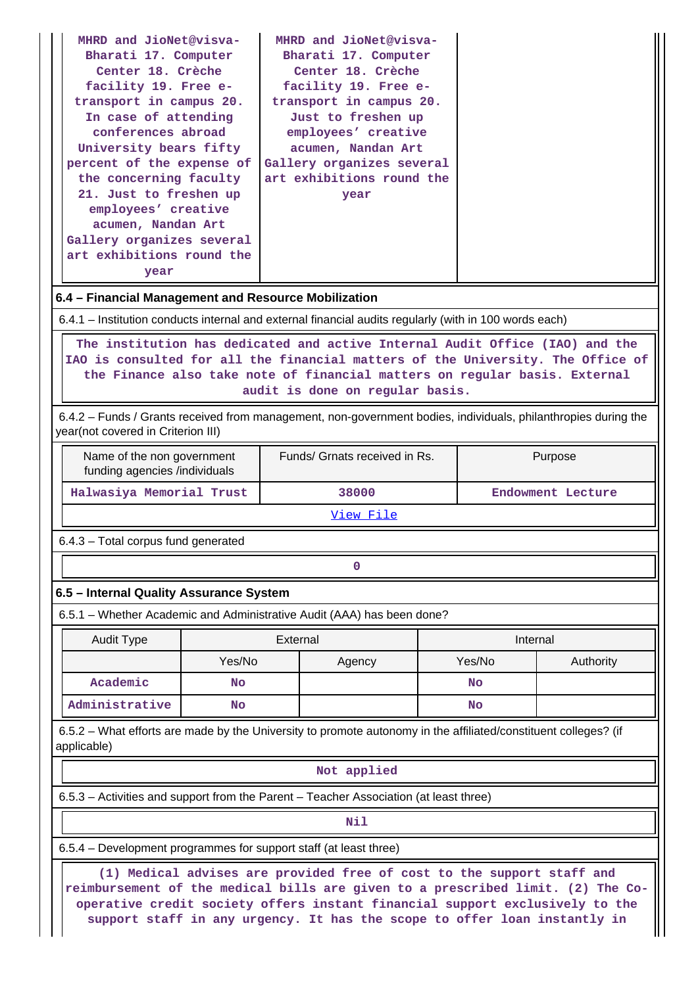| Bharati 17. Computer<br>Bharati 17. Computer<br>Center 18. Crèche<br>Center 18. Crèche<br>facility 19. Free e-<br>facility 19. Free e-<br>transport in campus 20.<br>transport in campus 20.<br>In case of attending<br>Just to freshen up<br>conferences abroad<br>employees' creative<br>University bears fifty<br>acumen, Nandan Art |  |  |  |  |  |  |  |
|-----------------------------------------------------------------------------------------------------------------------------------------------------------------------------------------------------------------------------------------------------------------------------------------------------------------------------------------|--|--|--|--|--|--|--|
|                                                                                                                                                                                                                                                                                                                                         |  |  |  |  |  |  |  |
|                                                                                                                                                                                                                                                                                                                                         |  |  |  |  |  |  |  |
|                                                                                                                                                                                                                                                                                                                                         |  |  |  |  |  |  |  |
|                                                                                                                                                                                                                                                                                                                                         |  |  |  |  |  |  |  |
|                                                                                                                                                                                                                                                                                                                                         |  |  |  |  |  |  |  |
|                                                                                                                                                                                                                                                                                                                                         |  |  |  |  |  |  |  |
|                                                                                                                                                                                                                                                                                                                                         |  |  |  |  |  |  |  |
| percent of the expense of<br>Gallery organizes several                                                                                                                                                                                                                                                                                  |  |  |  |  |  |  |  |
| the concerning faculty<br>art exhibitions round the                                                                                                                                                                                                                                                                                     |  |  |  |  |  |  |  |
| 21. Just to freshen up<br>year                                                                                                                                                                                                                                                                                                          |  |  |  |  |  |  |  |
| employees' creative                                                                                                                                                                                                                                                                                                                     |  |  |  |  |  |  |  |
| acumen, Nandan Art                                                                                                                                                                                                                                                                                                                      |  |  |  |  |  |  |  |
| Gallery organizes several                                                                                                                                                                                                                                                                                                               |  |  |  |  |  |  |  |
| art exhibitions round the                                                                                                                                                                                                                                                                                                               |  |  |  |  |  |  |  |
| year                                                                                                                                                                                                                                                                                                                                    |  |  |  |  |  |  |  |
| 6.4 – Financial Management and Resource Mobilization                                                                                                                                                                                                                                                                                    |  |  |  |  |  |  |  |
| 6.4.1 – Institution conducts internal and external financial audits regularly (with in 100 words each)                                                                                                                                                                                                                                  |  |  |  |  |  |  |  |
| The institution has dedicated and active Internal Audit Office (IAO) and the<br>IAO is consulted for all the financial matters of the University. The Office of<br>the Finance also take note of financial matters on regular basis. External                                                                                           |  |  |  |  |  |  |  |

**audit is done on regular basis.**

 6.4.2 – Funds / Grants received from management, non-government bodies, individuals, philanthropies during the year(not covered in Criterion III)

| Name of the non government<br>funding agencies /individuals | Funds/ Grnats received in Rs. | Purpose           |  |  |
|-------------------------------------------------------------|-------------------------------|-------------------|--|--|
| Halwasiya Memorial Trust                                    | 38000                         | Endowment Lecture |  |  |

[View File](https://assessmentonline.naac.gov.in/public/Postacc/Funds_or_Grants/7496_Funds_or_Grants_1603525138.xlsx)

6.4.3 – Total corpus fund generated

## **0**

## **6.5 – Internal Quality Assurance System**

6.5.1 – Whether Academic and Administrative Audit (AAA) has been done?

| Audit Type     | External  |        | Internal |           |  |  |
|----------------|-----------|--------|----------|-----------|--|--|
|                | Yes/No    | Agency | Yes/No   | Authority |  |  |
| Academic       | <b>No</b> |        | No       |           |  |  |
| Administrative | No        |        | No       |           |  |  |

 6.5.2 – What efforts are made by the University to promote autonomy in the affiliated/constituent colleges? (if applicable)

#### **Not applied**

6.5.3 – Activities and support from the Parent – Teacher Association (at least three)

**Nil** 

6.5.4 – Development programmes for support staff (at least three)

 **(1) Medical advises are provided free of cost to the support staff and reimbursement of the medical bills are given to a prescribed limit. (2) The Cooperative credit society offers instant financial support exclusively to the support staff in any urgency. It has the scope to offer loan instantly in**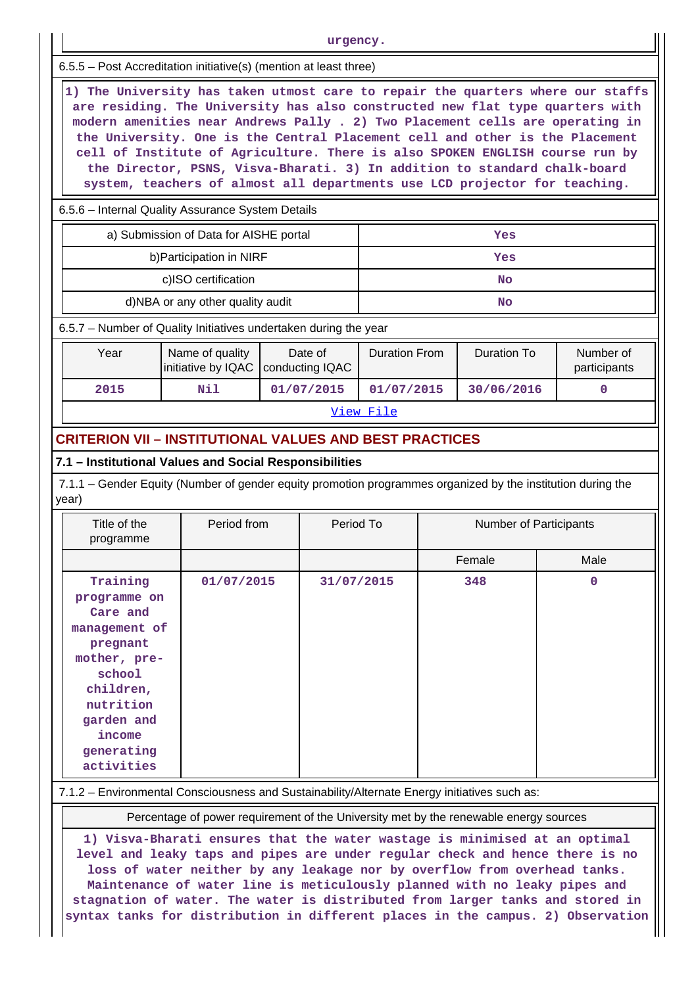| urgency.                                                                                                                                                                                                                                                                                                                                                                                                                                                                                                                                                                     |  |                                                                             |                                          |                                                                                             |                    |                                                                          |                                                                                                                                                                                                                           |  |
|------------------------------------------------------------------------------------------------------------------------------------------------------------------------------------------------------------------------------------------------------------------------------------------------------------------------------------------------------------------------------------------------------------------------------------------------------------------------------------------------------------------------------------------------------------------------------|--|-----------------------------------------------------------------------------|------------------------------------------|---------------------------------------------------------------------------------------------|--------------------|--------------------------------------------------------------------------|---------------------------------------------------------------------------------------------------------------------------------------------------------------------------------------------------------------------------|--|
| 6.5.5 - Post Accreditation initiative(s) (mention at least three)                                                                                                                                                                                                                                                                                                                                                                                                                                                                                                            |  |                                                                             |                                          |                                                                                             |                    |                                                                          |                                                                                                                                                                                                                           |  |
| 1) The University has taken utmost care to repair the quarters where our staffs<br>are residing. The University has also constructed new flat type quarters with<br>modern amenities near Andrews Pally . 2) Two Placement cells are operating in<br>the University. One is the Central Placement cell and other is the Placement<br>cell of Institute of Agriculture. There is also SPOKEN ENGLISH course run by<br>the Director, PSNS, Visva-Bharati. 3) In addition to standard chalk-board<br>system, teachers of almost all departments use LCD projector for teaching. |  |                                                                             |                                          |                                                                                             |                    |                                                                          |                                                                                                                                                                                                                           |  |
| 6.5.6 - Internal Quality Assurance System Details                                                                                                                                                                                                                                                                                                                                                                                                                                                                                                                            |  |                                                                             |                                          |                                                                                             |                    |                                                                          |                                                                                                                                                                                                                           |  |
| a) Submission of Data for AISHE portal<br>Yes                                                                                                                                                                                                                                                                                                                                                                                                                                                                                                                                |  |                                                                             |                                          |                                                                                             |                    |                                                                          |                                                                                                                                                                                                                           |  |
|                                                                                                                                                                                                                                                                                                                                                                                                                                                                                                                                                                              |  |                                                                             |                                          |                                                                                             | Yes                |                                                                          |                                                                                                                                                                                                                           |  |
| c)ISO certification                                                                                                                                                                                                                                                                                                                                                                                                                                                                                                                                                          |  |                                                                             |                                          |                                                                                             | No                 |                                                                          |                                                                                                                                                                                                                           |  |
|                                                                                                                                                                                                                                                                                                                                                                                                                                                                                                                                                                              |  |                                                                             |                                          |                                                                                             | <b>No</b>          |                                                                          |                                                                                                                                                                                                                           |  |
|                                                                                                                                                                                                                                                                                                                                                                                                                                                                                                                                                                              |  |                                                                             |                                          |                                                                                             |                    |                                                                          |                                                                                                                                                                                                                           |  |
| Name of quality<br>initiative by IQAC                                                                                                                                                                                                                                                                                                                                                                                                                                                                                                                                        |  |                                                                             | <b>Duration From</b>                     |                                                                                             | <b>Duration To</b> |                                                                          | Number of<br>participants                                                                                                                                                                                                 |  |
| Nil                                                                                                                                                                                                                                                                                                                                                                                                                                                                                                                                                                          |  |                                                                             | 01/07/2015                               |                                                                                             |                    |                                                                          | 0                                                                                                                                                                                                                         |  |
| View File                                                                                                                                                                                                                                                                                                                                                                                                                                                                                                                                                                    |  |                                                                             |                                          |                                                                                             |                    |                                                                          |                                                                                                                                                                                                                           |  |
|                                                                                                                                                                                                                                                                                                                                                                                                                                                                                                                                                                              |  |                                                                             |                                          |                                                                                             |                    |                                                                          |                                                                                                                                                                                                                           |  |
| 7.1 - Institutional Values and Social Responsibilities                                                                                                                                                                                                                                                                                                                                                                                                                                                                                                                       |  |                                                                             |                                          |                                                                                             |                    |                                                                          |                                                                                                                                                                                                                           |  |
|                                                                                                                                                                                                                                                                                                                                                                                                                                                                                                                                                                              |  |                                                                             |                                          |                                                                                             |                    |                                                                          |                                                                                                                                                                                                                           |  |
|                                                                                                                                                                                                                                                                                                                                                                                                                                                                                                                                                                              |  |                                                                             | <b>Number of Participants</b>            |                                                                                             |                    |                                                                          |                                                                                                                                                                                                                           |  |
|                                                                                                                                                                                                                                                                                                                                                                                                                                                                                                                                                                              |  |                                                                             |                                          |                                                                                             |                    |                                                                          | Male                                                                                                                                                                                                                      |  |
| Training<br>01/07/2015<br>programme on<br>Care and<br>management of<br>pregnant<br>mother, pre-<br>school<br>children,<br>nutrition<br>garden and<br>income<br>generating<br>activities                                                                                                                                                                                                                                                                                                                                                                                      |  |                                                                             |                                          | 348                                                                                         |                    | $\mathbf 0$                                                              |                                                                                                                                                                                                                           |  |
|                                                                                                                                                                                                                                                                                                                                                                                                                                                                                                                                                                              |  | b) Participation in NIRF<br>d)NBA or any other quality audit<br>Period from | Date of<br>conducting IQAC<br>01/07/2015 | 6.5.7 - Number of Quality Initiatives undertaken during the year<br>Period To<br>31/07/2015 |                    | <b>CRITERION VII - INSTITUTIONAL VALUES AND BEST PRACTICES</b><br>Female | 30/06/2016<br>7.1.1 – Gender Equity (Number of gender equity promotion programmes organized by the institution during the<br>7.1.2 - Environmental Consciousness and Sustainability/Alternate Energy initiatives such as: |  |

Percentage of power requirement of the University met by the renewable energy sources

**1) Visva-Bharati ensures that the water wastage is minimised at an optimal level and leaky taps and pipes are under regular check and hence there is no loss of water neither by any leakage nor by overflow from overhead tanks. Maintenance of water line is meticulously planned with no leaky pipes and stagnation of water. The water is distributed from larger tanks and stored in syntax tanks for distribution in different places in the campus. 2) Observation**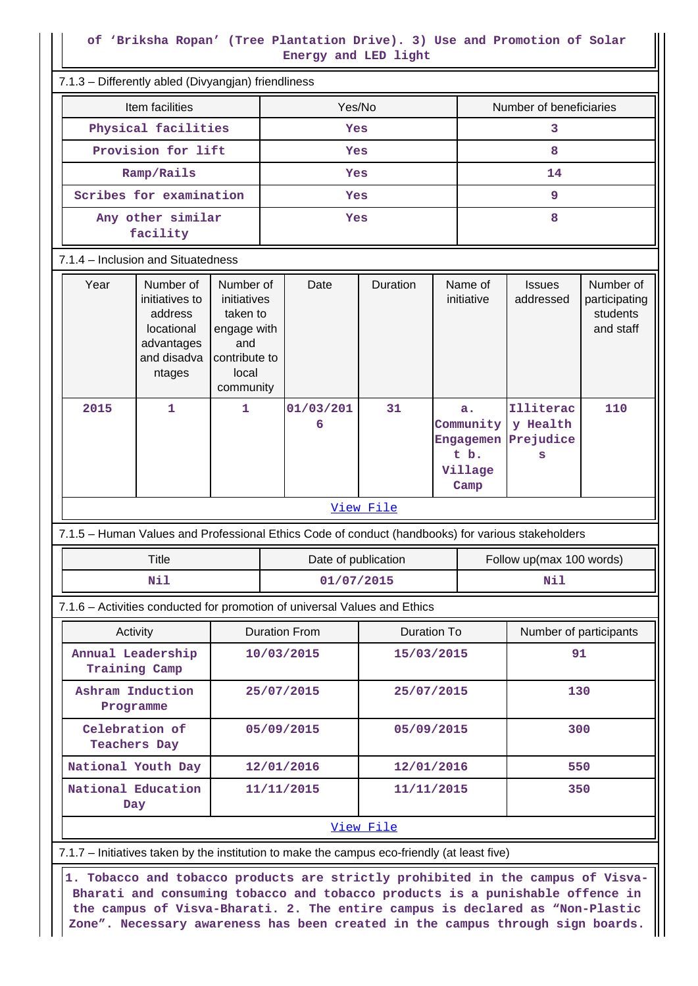#### **of 'Briksha Ropan' (Tree Plantation Drive). 3) Use and Promotion of Solar Energy and LED light**

| 7.1.3 - Differently abled (Divyangjan) friendliness                                                 |                                                                                                   |                                            |            |                                                                |                                                     |                                         |                                                     |  |  |
|-----------------------------------------------------------------------------------------------------|---------------------------------------------------------------------------------------------------|--------------------------------------------|------------|----------------------------------------------------------------|-----------------------------------------------------|-----------------------------------------|-----------------------------------------------------|--|--|
| Item facilities                                                                                     | Yes/No                                                                                            | Number of beneficiaries                    |            |                                                                |                                                     |                                         |                                                     |  |  |
| Physical facilities                                                                                 |                                                                                                   | Yes                                        |            |                                                                |                                                     | 3                                       |                                                     |  |  |
| Provision for lift                                                                                  |                                                                                                   | Yes                                        |            |                                                                |                                                     | 8                                       |                                                     |  |  |
| Ramp/Rails                                                                                          |                                                                                                   | 14<br>Yes                                  |            |                                                                |                                                     |                                         |                                                     |  |  |
| Scribes for examination<br>9<br>Yes                                                                 |                                                                                                   |                                            |            |                                                                |                                                     |                                         |                                                     |  |  |
| Any other similar<br>facility                                                                       |                                                                                                   | 8<br>Yes                                   |            |                                                                |                                                     |                                         |                                                     |  |  |
| 7.1.4 – Inclusion and Situatedness                                                                  |                                                                                                   |                                            |            |                                                                |                                                     |                                         |                                                     |  |  |
| Number of<br>Year<br>initiatives to<br>address<br>locational<br>advantages<br>and disadva<br>ntages | Number of<br>initiatives<br>taken to<br>engage with<br>and<br>contribute to<br>local<br>community | Date                                       | Duration   |                                                                | Name of<br><b>Issues</b><br>initiative<br>addressed |                                         | Number of<br>participating<br>students<br>and staff |  |  |
| 2015<br>$\mathbf{1}$                                                                                | 1                                                                                                 | 01/03/201<br>6                             | 31         | a.<br>Community<br><b>Engagemen</b><br>t b.<br>Village<br>Camp |                                                     | Illiterac<br>y Health<br>Prejudice<br>s | 110                                                 |  |  |
|                                                                                                     |                                                                                                   |                                            | View File  |                                                                |                                                     |                                         |                                                     |  |  |
| 7.1.5 - Human Values and Professional Ethics Code of conduct (handbooks) for various stakeholders   |                                                                                                   |                                            |            |                                                                |                                                     |                                         |                                                     |  |  |
| <b>Title</b>                                                                                        |                                                                                                   | Date of publication                        |            |                                                                | Follow up(max 100 words)                            |                                         |                                                     |  |  |
| Nil                                                                                                 |                                                                                                   | 01/07/2015                                 |            |                                                                |                                                     | Nil                                     |                                                     |  |  |
| 7.1.6 - Activities conducted for promotion of universal Values and Ethics                           |                                                                                                   |                                            |            |                                                                |                                                     |                                         |                                                     |  |  |
| Activity                                                                                            |                                                                                                   | <b>Duration From</b><br><b>Duration To</b> |            |                                                                | Number of participants                              |                                         |                                                     |  |  |
| Annual Leadership<br>Training Camp                                                                  |                                                                                                   | 10/03/2015                                 | 15/03/2015 |                                                                |                                                     | 91                                      |                                                     |  |  |
| Ashram Induction<br>Programme                                                                       |                                                                                                   | 25/07/2015                                 | 25/07/2015 |                                                                | 130                                                 |                                         |                                                     |  |  |
| Celebration of<br><b>Teachers Day</b>                                                               |                                                                                                   | 05/09/2015                                 | 05/09/2015 |                                                                |                                                     | 300                                     |                                                     |  |  |
| National Youth Day                                                                                  |                                                                                                   | 12/01/2016                                 | 12/01/2016 |                                                                |                                                     | 550                                     |                                                     |  |  |
| National Education<br>Day                                                                           |                                                                                                   | 11/11/2015                                 |            | 350<br>11/11/2015                                              |                                                     |                                         |                                                     |  |  |
|                                                                                                     |                                                                                                   |                                            | View File  |                                                                |                                                     |                                         |                                                     |  |  |
| 7.1.7 - Initiatives taken by the institution to make the campus eco-friendly (at least five)        |                                                                                                   |                                            |            |                                                                |                                                     |                                         |                                                     |  |  |

 **1. Tobacco and tobacco products are strictly prohibited in the campus of Visva-Bharati and consuming tobacco and tobacco products is a punishable offence in the campus of Visva-Bharati. 2. The entire campus is declared as "Non-Plastic Zone". Necessary awareness has been created in the campus through sign boards.**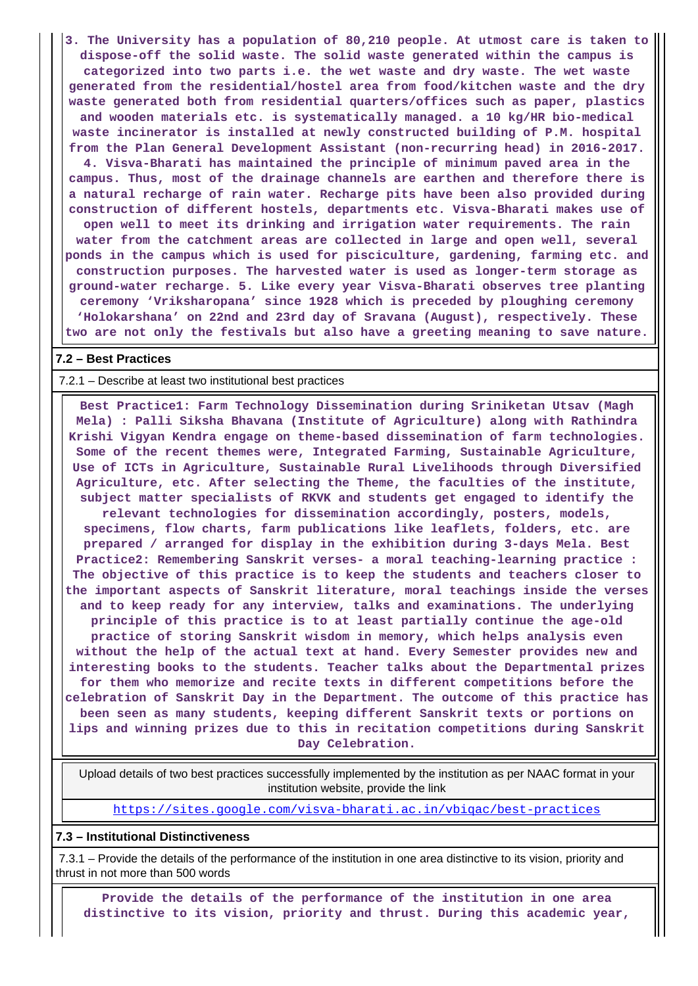**3. The University has a population of 80,210 people. At utmost care is taken to dispose-off the solid waste. The solid waste generated within the campus is categorized into two parts i.e. the wet waste and dry waste. The wet waste generated from the residential/hostel area from food/kitchen waste and the dry waste generated both from residential quarters/offices such as paper, plastics and wooden materials etc. is systematically managed. a 10 kg/HR bio-medical waste incinerator is installed at newly constructed building of P.M. hospital from the Plan General Development Assistant (non-recurring head) in 2016-2017.**

**4. Visva-Bharati has maintained the principle of minimum paved area in the campus. Thus, most of the drainage channels are earthen and therefore there is a natural recharge of rain water. Recharge pits have been also provided during construction of different hostels, departments etc. Visva-Bharati makes use of open well to meet its drinking and irrigation water requirements. The rain water from the catchment areas are collected in large and open well, several ponds in the campus which is used for pisciculture, gardening, farming etc. and construction purposes. The harvested water is used as longer-term storage as ground-water recharge. 5. Like every year Visva-Bharati observes tree planting ceremony 'Vriksharopana' since 1928 which is preceded by ploughing ceremony 'Holokarshana' on 22nd and 23rd day of Sravana (August), respectively. These two are not only the festivals but also have a greeting meaning to save nature.**

#### **7.2 – Best Practices**

#### 7.2.1 – Describe at least two institutional best practices

 **Best Practice1: Farm Technology Dissemination during Sriniketan Utsav (Magh Mela) : Palli Siksha Bhavana (Institute of Agriculture) along with Rathindra Krishi Vigyan Kendra engage on theme-based dissemination of farm technologies. Some of the recent themes were, Integrated Farming, Sustainable Agriculture, Use of ICTs in Agriculture, Sustainable Rural Livelihoods through Diversified Agriculture, etc. After selecting the Theme, the faculties of the institute, subject matter specialists of RKVK and students get engaged to identify the relevant technologies for dissemination accordingly, posters, models, specimens, flow charts, farm publications like leaflets, folders, etc. are prepared / arranged for display in the exhibition during 3-days Mela. Best Practice2: Remembering Sanskrit verses- a moral teaching-learning practice : The objective of this practice is to keep the students and teachers closer to the important aspects of Sanskrit literature, moral teachings inside the verses and to keep ready for any interview, talks and examinations. The underlying principle of this practice is to at least partially continue the age-old practice of storing Sanskrit wisdom in memory, which helps analysis even without the help of the actual text at hand. Every Semester provides new and interesting books to the students. Teacher talks about the Departmental prizes for them who memorize and recite texts in different competitions before the celebration of Sanskrit Day in the Department. The outcome of this practice has been seen as many students, keeping different Sanskrit texts or portions on lips and winning prizes due to this in recitation competitions during Sanskrit Day Celebration.**

 Upload details of two best practices successfully implemented by the institution as per NAAC format in your institution website, provide the link

<https://sites.google.com/visva-bharati.ac.in/vbiqac/best-practices>

#### **7.3 – Institutional Distinctiveness**

 7.3.1 – Provide the details of the performance of the institution in one area distinctive to its vision, priority and thrust in not more than 500 words

 **Provide the details of the performance of the institution in one area distinctive to its vision, priority and thrust. During this academic year,**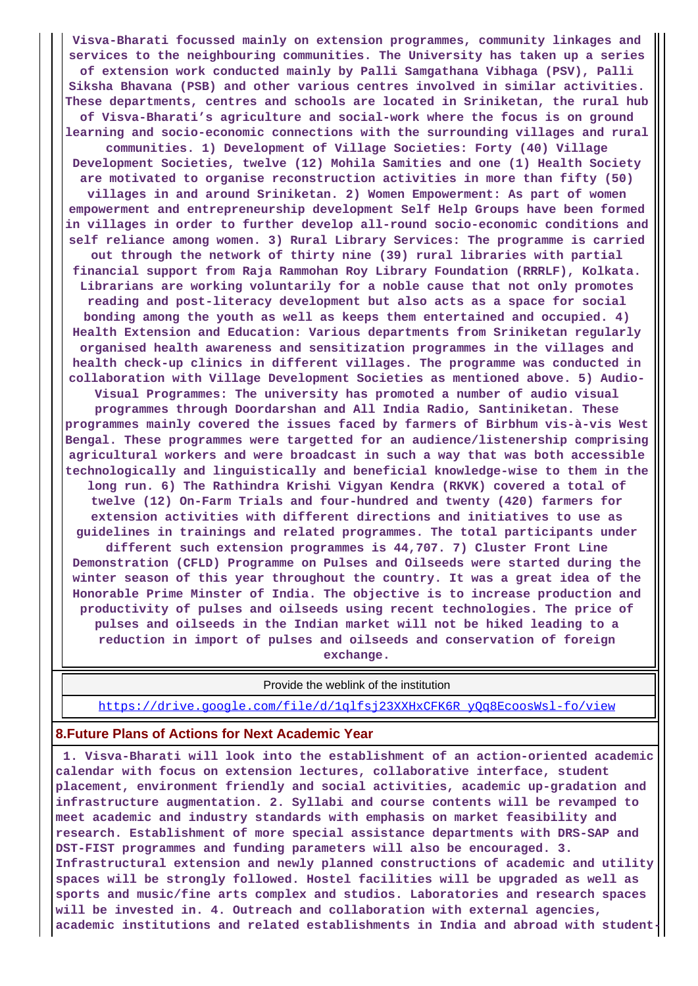**Visva-Bharati focussed mainly on extension programmes, community linkages and services to the neighbouring communities. The University has taken up a series of extension work conducted mainly by Palli Samgathana Vibhaga (PSV), Palli Siksha Bhavana (PSB) and other various centres involved in similar activities. These departments, centres and schools are located in Sriniketan, the rural hub of Visva-Bharati's agriculture and social-work where the focus is on ground learning and socio-economic connections with the surrounding villages and rural communities. 1) Development of Village Societies: Forty (40) Village Development Societies, twelve (12) Mohila Samities and one (1) Health Society are motivated to organise reconstruction activities in more than fifty (50) villages in and around Sriniketan. 2) Women Empowerment: As part of women empowerment and entrepreneurship development Self Help Groups have been formed in villages in order to further develop all-round socio-economic conditions and self reliance among women. 3) Rural Library Services: The programme is carried out through the network of thirty nine (39) rural libraries with partial financial support from Raja Rammohan Roy Library Foundation (RRRLF), Kolkata. Librarians are working voluntarily for a noble cause that not only promotes reading and post-literacy development but also acts as a space for social bonding among the youth as well as keeps them entertained and occupied. 4) Health Extension and Education: Various departments from Sriniketan regularly organised health awareness and sensitization programmes in the villages and health check-up clinics in different villages. The programme was conducted in collaboration with Village Development Societies as mentioned above. 5) Audio-Visual Programmes: The university has promoted a number of audio visual programmes through Doordarshan and All India Radio, Santiniketan. These programmes mainly covered the issues faced by farmers of Birbhum vis-à-vis West Bengal. These programmes were targetted for an audience/listenership comprising agricultural workers and were broadcast in such a way that was both accessible technologically and linguistically and beneficial knowledge-wise to them in the long run. 6) The Rathindra Krishi Vigyan Kendra (RKVK) covered a total of twelve (12) On-Farm Trials and four-hundred and twenty (420) farmers for extension activities with different directions and initiatives to use as guidelines in trainings and related programmes. The total participants under different such extension programmes is 44,707. 7) Cluster Front Line Demonstration (CFLD) Programme on Pulses and Oilseeds were started during the winter season of this year throughout the country. It was a great idea of the Honorable Prime Minster of India. The objective is to increase production and productivity of pulses and oilseeds using recent technologies. The price of pulses and oilseeds in the Indian market will not be hiked leading to a reduction in import of pulses and oilseeds and conservation of foreign**

**exchange.**

 Provide the weblink of the institution [https://drive.google.com/file/d/1qlfsj23XXHxCFK6R\\_yQq8EcoosWsl-fo/view](https://drive.google.com/file/d/1qlfsj23XXHxCFK6R_yQq8EcoosWsl-fo/view)

#### **8.Future Plans of Actions for Next Academic Year**

 **1. Visva-Bharati will look into the establishment of an action-oriented academic calendar with focus on extension lectures, collaborative interface, student placement, environment friendly and social activities, academic up-gradation and infrastructure augmentation. 2. Syllabi and course contents will be revamped to meet academic and industry standards with emphasis on market feasibility and research. Establishment of more special assistance departments with DRS-SAP and DST-FIST programmes and funding parameters will also be encouraged. 3. Infrastructural extension and newly planned constructions of academic and utility spaces will be strongly followed. Hostel facilities will be upgraded as well as sports and music/fine arts complex and studios. Laboratories and research spaces will be invested in. 4. Outreach and collaboration with external agencies, academic institutions and related establishments in India and abroad with student-**